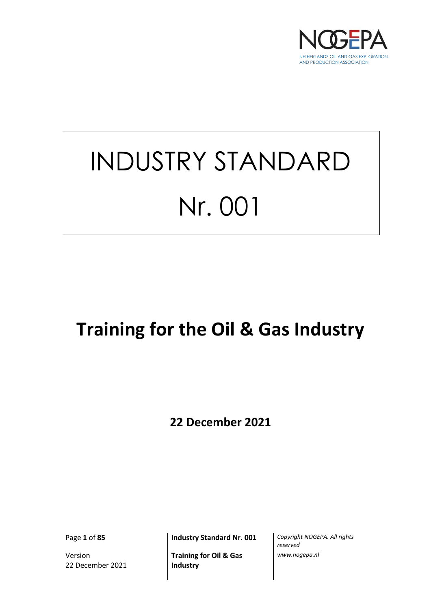

# INDUSTRY STANDARD Nr. 001

# **Training for the Oil & Gas Industry**

**22 December 2021**

Version 22 December 2021

**Training for Oil & Gas Industry**

Page **1** of **85 Industry Standard Nr. 001** *Copyright NOGEPA. All rights reserved www.nogepa.nl*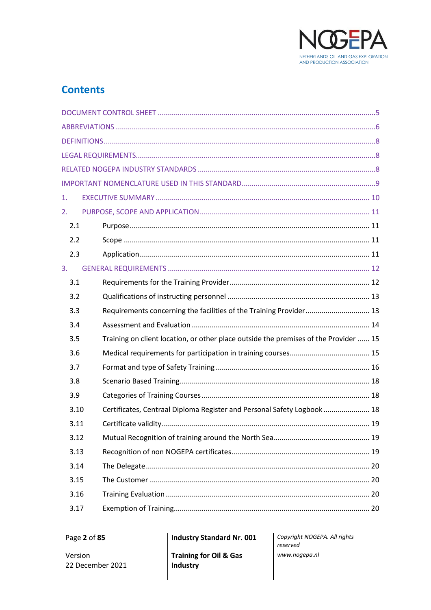

# **Contents**

| 1. |                                                                                             |                                                                         |  |  |  |
|----|---------------------------------------------------------------------------------------------|-------------------------------------------------------------------------|--|--|--|
| 2. |                                                                                             |                                                                         |  |  |  |
|    | 2.1                                                                                         |                                                                         |  |  |  |
|    | 2.2                                                                                         |                                                                         |  |  |  |
|    | 2.3                                                                                         |                                                                         |  |  |  |
| 3. |                                                                                             |                                                                         |  |  |  |
|    | 3.1                                                                                         |                                                                         |  |  |  |
|    | 3.2                                                                                         |                                                                         |  |  |  |
|    | 3.3                                                                                         | Requirements concerning the facilities of the Training Provider 13      |  |  |  |
|    | 3.4                                                                                         |                                                                         |  |  |  |
|    | Training on client location, or other place outside the premises of the Provider  15<br>3.5 |                                                                         |  |  |  |
|    | 3.6                                                                                         |                                                                         |  |  |  |
|    | 3.7                                                                                         |                                                                         |  |  |  |
|    | 3.8                                                                                         |                                                                         |  |  |  |
|    | 3.9                                                                                         |                                                                         |  |  |  |
|    | 3.10                                                                                        | Certificates, Centraal Diploma Register and Personal Safety Logbook  18 |  |  |  |
|    | 3.11                                                                                        |                                                                         |  |  |  |
|    | 3.12                                                                                        |                                                                         |  |  |  |
|    | 3.13                                                                                        |                                                                         |  |  |  |
|    | 3.14                                                                                        |                                                                         |  |  |  |
|    | 3.15                                                                                        |                                                                         |  |  |  |
|    | 3.16                                                                                        |                                                                         |  |  |  |
|    | 3.17                                                                                        |                                                                         |  |  |  |

Page 2 of 85

**Industry Standard Nr. 001** 

Version 22 December 2021 **Training for Oil & Gas** Industry

Copyright NOGEPA. All rights reserved www.nogepa.nl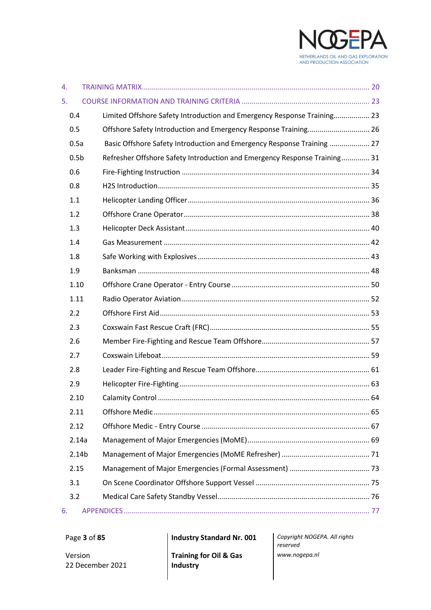

| 4. |                   |                                                                           |  |
|----|-------------------|---------------------------------------------------------------------------|--|
| 5. |                   |                                                                           |  |
|    | 0.4               | Limited Offshore Safety Introduction and Emergency Response Training 23   |  |
|    | 0.5               | Offshore Safety Introduction and Emergency Response Training 26           |  |
|    | 0.5a              | Basic Offshore Safety Introduction and Emergency Response Training  27    |  |
|    | 0.5 <sub>b</sub>  | Refresher Offshore Safety Introduction and Emergency Response Training 31 |  |
|    | 0.6               |                                                                           |  |
|    | 0.8               |                                                                           |  |
|    | 1.1               |                                                                           |  |
|    | 1.2               |                                                                           |  |
|    | 1.3               |                                                                           |  |
|    | 1.4               |                                                                           |  |
|    | 1.8               |                                                                           |  |
|    | 1.9               |                                                                           |  |
|    | 1.10              |                                                                           |  |
|    | 1.11              |                                                                           |  |
|    | 2.2               |                                                                           |  |
|    | 2.3               |                                                                           |  |
|    | 2.6               |                                                                           |  |
|    | 2.7               |                                                                           |  |
|    | 2.8               |                                                                           |  |
|    | 2.9               |                                                                           |  |
|    | 2.10              |                                                                           |  |
|    | 2.11              |                                                                           |  |
|    | 2.12              |                                                                           |  |
|    | 2.14a             |                                                                           |  |
|    | 2.14 <sub>b</sub> |                                                                           |  |
|    | 2.15              |                                                                           |  |
|    | 3.1               |                                                                           |  |
|    | 3.2               |                                                                           |  |
| 6. |                   |                                                                           |  |

22 December 2021

Version

**Training for Oil & Gas Industry**

Page **3** of **85 Industry Standard Nr. 001** *Copyright NOGEPA. All rights reserved www.nogepa.nl*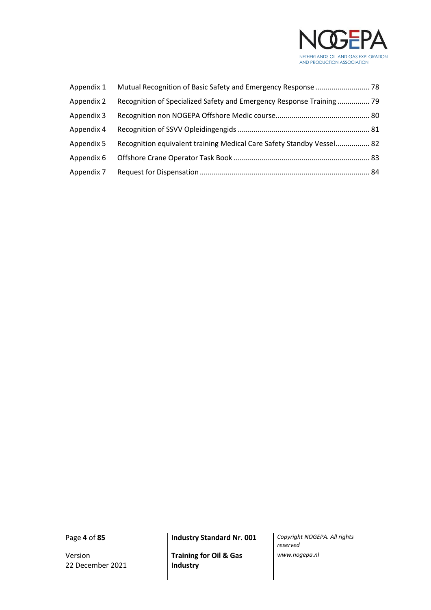

| Appendix 1 |                                                                       |  |
|------------|-----------------------------------------------------------------------|--|
| Appendix 2 | Recognition of Specialized Safety and Emergency Response Training  79 |  |
| Appendix 3 |                                                                       |  |
| Appendix 4 |                                                                       |  |
| Appendix 5 | Recognition equivalent training Medical Care Safety Standby Vessel 82 |  |
| Appendix 6 |                                                                       |  |
| Appendix 7 |                                                                       |  |

Version 22 December 2021

**Training for Oil & Gas Industry**

Page **4** of **85 Industry Standard Nr. 001** *Copyright NOGEPA. All rights reserved www.nogepa.nl*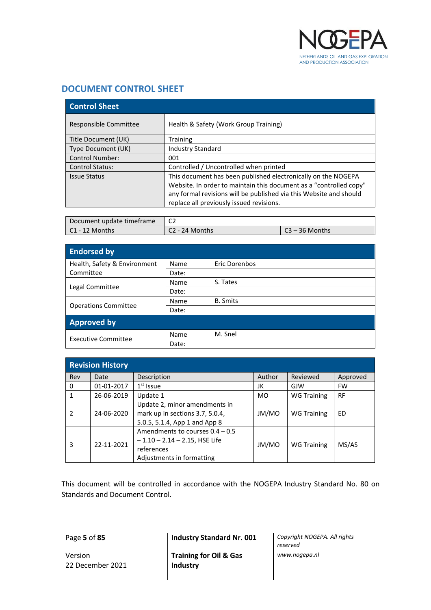

# <span id="page-4-0"></span>**DOCUMENT CONTROL SHEET**

| <b>Control Sheet</b>   |                                                                                                                                                                                                                                                       |  |  |
|------------------------|-------------------------------------------------------------------------------------------------------------------------------------------------------------------------------------------------------------------------------------------------------|--|--|
| Responsible Committee  | Health & Safety (Work Group Training)                                                                                                                                                                                                                 |  |  |
| Title Document (UK)    | <b>Training</b>                                                                                                                                                                                                                                       |  |  |
| Type Document (UK)     | <b>Industry Standard</b>                                                                                                                                                                                                                              |  |  |
| <b>Control Number:</b> | 001                                                                                                                                                                                                                                                   |  |  |
| <b>Control Status:</b> | Controlled / Uncontrolled when printed                                                                                                                                                                                                                |  |  |
| <b>Issue Status</b>    | This document has been published electronically on the NOGEPA<br>Website. In order to maintain this document as a "controlled copy"<br>any formal revisions will be published via this Website and should<br>replace all previously issued revisions. |  |  |

| Document update timeframe | ~~<br>◡∠       |                |  |
|---------------------------|----------------|----------------|--|
| C1 - 12 Months            | C2 - 24 Months | 23 – 36 Months |  |

| <b>Endorsed by</b>           |       |                 |  |  |
|------------------------------|-------|-----------------|--|--|
| Health, Safety & Environment | Name  | Eric Dorenbos   |  |  |
| Committee                    | Date: |                 |  |  |
|                              | Name  | S. Tates        |  |  |
| Legal Committee              | Date: |                 |  |  |
|                              | Name  | <b>B.</b> Smits |  |  |
| <b>Operations Committee</b>  | Date: |                 |  |  |
| <b>Approved by</b>           |       |                 |  |  |
| Executive Committee          | Name  | M. Snel         |  |  |
|                              | Date: |                 |  |  |

| <b>Revision History</b> |            |                                                                                                                  |           |                    |           |
|-------------------------|------------|------------------------------------------------------------------------------------------------------------------|-----------|--------------------|-----------|
| Rev                     | Date       | Description                                                                                                      | Author    | Reviewed           | Approved  |
| 0                       | 01-01-2017 | $1st$ Issue                                                                                                      | JK        | GJW                | <b>FW</b> |
|                         | 26-06-2019 | Update 1                                                                                                         | <b>MO</b> | <b>WG Training</b> | <b>RF</b> |
| 2                       | 24-06-2020 | Update 2, minor amendments in<br>mark up in sections 3.7, 5.0.4,<br>5.0.5, 5.1.4, App 1 and App 8                | JM/MO     | <b>WG Training</b> | ED        |
| 3                       | 22-11-2021 | Amendments to courses $0.4 - 0.5$<br>$-1.10 - 2.14 - 2.15$ , HSE Life<br>references<br>Adjustments in formatting | JM/MO     | <b>WG Training</b> | MS/AS     |

This document will be controlled in accordance with the NOGEPA Industry Standard No. 80 on Standards and Document Control.

Version 22 December 2021

**Training for Oil & Gas Industry**

Page **5** of **85 Industry Standard Nr. 001** *Copyright NOGEPA. All rights reserved www.nogepa.nl*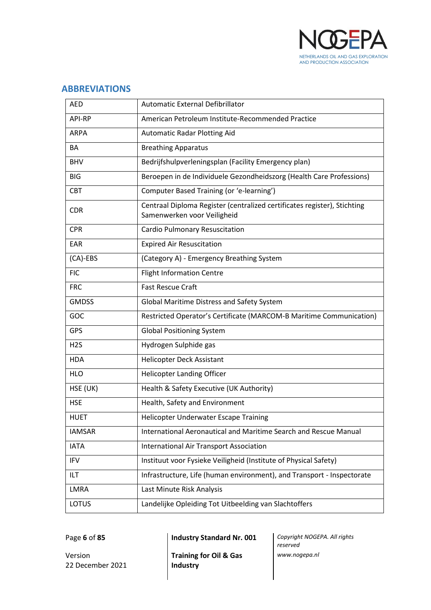

# <span id="page-5-0"></span>**ABBREVIATIONS**

| <b>AED</b>       | Automatic External Defibrillator                                                                        |
|------------------|---------------------------------------------------------------------------------------------------------|
| <b>API-RP</b>    | American Petroleum Institute-Recommended Practice                                                       |
| <b>ARPA</b>      | <b>Automatic Radar Plotting Aid</b>                                                                     |
| ΒA               | <b>Breathing Apparatus</b>                                                                              |
| <b>BHV</b>       | Bedrijfshulpverleningsplan (Facility Emergency plan)                                                    |
| <b>BIG</b>       | Beroepen in de Individuele Gezondheidszorg (Health Care Professions)                                    |
| <b>CBT</b>       | Computer Based Training (or 'e-learning')                                                               |
| <b>CDR</b>       | Centraal Diploma Register (centralized certificates register), Stichting<br>Samenwerken voor Veiligheid |
| <b>CPR</b>       | Cardio Pulmonary Resuscitation                                                                          |
| EAR              | <b>Expired Air Resuscitation</b>                                                                        |
| $(CA)-EBS$       | (Category A) - Emergency Breathing System                                                               |
| <b>FIC</b>       | <b>Flight Information Centre</b>                                                                        |
| <b>FRC</b>       | <b>Fast Rescue Craft</b>                                                                                |
| <b>GMDSS</b>     | Global Maritime Distress and Safety System                                                              |
| GOC              | Restricted Operator's Certificate (MARCOM-B Maritime Communication)                                     |
| <b>GPS</b>       | <b>Global Positioning System</b>                                                                        |
| H <sub>2</sub> S | Hydrogen Sulphide gas                                                                                   |
| <b>HDA</b>       | Helicopter Deck Assistant                                                                               |
| <b>HLO</b>       | <b>Helicopter Landing Officer</b>                                                                       |
| HSE (UK)         | Health & Safety Executive (UK Authority)                                                                |
| <b>HSE</b>       | Health, Safety and Environment                                                                          |
| <b>HUET</b>      | <b>Helicopter Underwater Escape Training</b>                                                            |
| <b>IAMSAR</b>    | International Aeronautical and Maritime Search and Rescue Manual                                        |
| <b>IATA</b>      | <b>International Air Transport Association</b>                                                          |
| <b>IFV</b>       | Instituut voor Fysieke Veiligheid (Institute of Physical Safety)                                        |
| ILT              | Infrastructure, Life (human environment), and Transport - Inspectorate                                  |
| LMRA             | Last Minute Risk Analysis                                                                               |
| LOTUS            | Landelijke Opleiding Tot Uitbeelding van Slachtoffers                                                   |

Version 22 December 2021

**Training for Oil & Gas Industry**

Page **6** of **85 Industry Standard Nr. 001** *Copyright NOGEPA. All rights reserved www.nogepa.nl*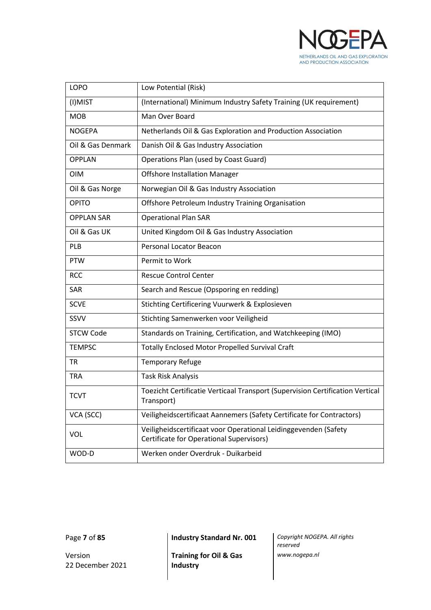

| <b>LOPO</b>       | Low Potential (Risk)                                                                                        |
|-------------------|-------------------------------------------------------------------------------------------------------------|
| (I)MIST           | (International) Minimum Industry Safety Training (UK requirement)                                           |
| <b>MOB</b>        | Man Over Board                                                                                              |
| <b>NOGEPA</b>     | Netherlands Oil & Gas Exploration and Production Association                                                |
| Oil & Gas Denmark | Danish Oil & Gas Industry Association                                                                       |
| <b>OPPLAN</b>     | Operations Plan (used by Coast Guard)                                                                       |
| <b>OIM</b>        | <b>Offshore Installation Manager</b>                                                                        |
| Oil & Gas Norge   | Norwegian Oil & Gas Industry Association                                                                    |
| <b>OPITO</b>      | Offshore Petroleum Industry Training Organisation                                                           |
| <b>OPPLAN SAR</b> | <b>Operational Plan SAR</b>                                                                                 |
| Oil & Gas UK      | United Kingdom Oil & Gas Industry Association                                                               |
| PLB               | <b>Personal Locator Beacon</b>                                                                              |
| <b>PTW</b>        | Permit to Work                                                                                              |
| <b>RCC</b>        | <b>Rescue Control Center</b>                                                                                |
| SAR               | Search and Rescue (Opsporing en redding)                                                                    |
| <b>SCVE</b>       | Stichting Certificering Vuurwerk & Explosieven                                                              |
| SSVV              | Stichting Samenwerken voor Veiligheid                                                                       |
| <b>STCW Code</b>  | Standards on Training, Certification, and Watchkeeping (IMO)                                                |
| <b>TEMPSC</b>     | <b>Totally Enclosed Motor Propelled Survival Craft</b>                                                      |
| <b>TR</b>         | <b>Temporary Refuge</b>                                                                                     |
| <b>TRA</b>        | <b>Task Risk Analysis</b>                                                                                   |
| <b>TCVT</b>       | Toezicht Certificatie Verticaal Transport (Supervision Certification Vertical<br>Transport)                 |
| VCA (SCC)         | Veiligheidscertificaat Aannemers (Safety Certificate for Contractors)                                       |
| VOL               | Veiligheidscertificaat voor Operational Leidinggevenden (Safety<br>Certificate for Operational Supervisors) |
| WOD-D             | Werken onder Overdruk - Duikarbeid                                                                          |

Version 22 December 2021

**Training for Oil & Gas Industry**

Page **7** of **85 Industry Standard Nr. 001** *Copyright NOGEPA. All rights reserved www.nogepa.nl*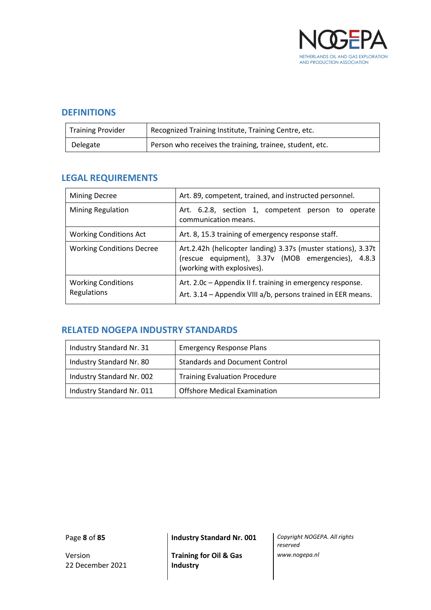

# <span id="page-7-0"></span>**DEFINITIONS**

| <b>Training Provider</b> | Recognized Training Institute, Training Centre, etc.     |
|--------------------------|----------------------------------------------------------|
| Delegate                 | Person who receives the training, trainee, student, etc. |

# <span id="page-7-1"></span>**LEGAL REQUIREMENTS**

| <b>Mining Decree</b>                     | Art. 89, competent, trained, and instructed personnel.                                                                                            |  |  |
|------------------------------------------|---------------------------------------------------------------------------------------------------------------------------------------------------|--|--|
| <b>Mining Regulation</b>                 | Art. 6.2.8, section 1, competent person to operate<br>communication means.                                                                        |  |  |
| <b>Working Conditions Act</b>            | Art. 8, 15.3 training of emergency response staff.                                                                                                |  |  |
| <b>Working Conditions Decree</b>         | Art.2.42h (helicopter landing) 3.37s (muster stations), 3.37t<br>(rescue equipment), 3.37v (MOB emergencies), 4.8.3<br>(working with explosives). |  |  |
| <b>Working Conditions</b><br>Regulations | Art. 2.0c - Appendix II f. training in emergency response.<br>Art. 3.14 - Appendix VIII a/b, persons trained in EER means.                        |  |  |

# <span id="page-7-2"></span>**RELATED NOGEPA INDUSTRY STANDARDS**

| Industry Standard Nr. 31  | <b>Emergency Response Plans</b>       |
|---------------------------|---------------------------------------|
| Industry Standard Nr. 80  | <b>Standards and Document Control</b> |
| Industry Standard Nr. 002 | <b>Training Evaluation Procedure</b>  |
| Industry Standard Nr. 011 | <b>Offshore Medical Examination</b>   |

Version 22 December 2021

Page **8** of **85 Industry Standard Nr. 001** *Copyright NOGEPA. All rights* 

**Training for Oil & Gas Industry**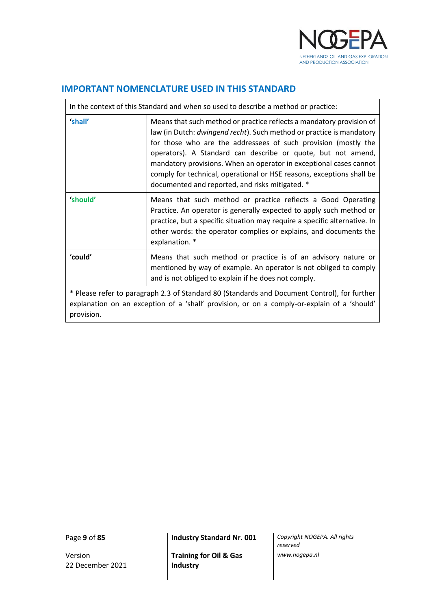

# <span id="page-8-0"></span>**IMPORTANT NOMENCLATURE USED IN THIS STANDARD**

|                                                                                                                                                                                                           | In the context of this Standard and when so used to describe a method or practice:                                                                                                                                                                                                                                                                                                                                                                                               |  |  |  |  |  |  |  |
|-----------------------------------------------------------------------------------------------------------------------------------------------------------------------------------------------------------|----------------------------------------------------------------------------------------------------------------------------------------------------------------------------------------------------------------------------------------------------------------------------------------------------------------------------------------------------------------------------------------------------------------------------------------------------------------------------------|--|--|--|--|--|--|--|
| 'shall'                                                                                                                                                                                                   | Means that such method or practice reflects a mandatory provision of<br>law (in Dutch: dwingend recht). Such method or practice is mandatory<br>for those who are the addressees of such provision (mostly the<br>operators). A Standard can describe or quote, but not amend,<br>mandatory provisions. When an operator in exceptional cases cannot<br>comply for technical, operational or HSE reasons, exceptions shall be<br>documented and reported, and risks mitigated. * |  |  |  |  |  |  |  |
| 'should'                                                                                                                                                                                                  | Means that such method or practice reflects a Good Operating<br>Practice. An operator is generally expected to apply such method or<br>practice, but a specific situation may require a specific alternative. In<br>other words: the operator complies or explains, and documents the<br>explanation. *                                                                                                                                                                          |  |  |  |  |  |  |  |
| 'could'                                                                                                                                                                                                   | Means that such method or practice is of an advisory nature or<br>mentioned by way of example. An operator is not obliged to comply<br>and is not obliged to explain if he does not comply.                                                                                                                                                                                                                                                                                      |  |  |  |  |  |  |  |
| * Please refer to paragraph 2.3 of Standard 80 (Standards and Document Control), for further<br>explanation on an exception of a 'shall' provision, or on a comply-or-explain of a 'should'<br>provision. |                                                                                                                                                                                                                                                                                                                                                                                                                                                                                  |  |  |  |  |  |  |  |

Version 22 December 2021

Page **9** of **85 Industry Standard Nr. 001** *Copyright NOGEPA. All rights* 

**Training for Oil & Gas Industry**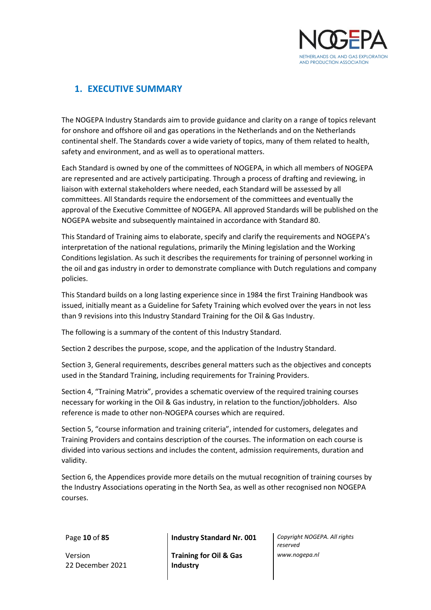

# <span id="page-9-0"></span>**1. EXECUTIVE SUMMARY**

The NOGEPA Industry Standards aim to provide guidance and clarity on a range of topics relevant for onshore and offshore oil and gas operations in the Netherlands and on the Netherlands continental shelf. The Standards cover a wide variety of topics, many of them related to health, safety and environment, and as well as to operational matters.

Each Standard is owned by one of the committees of NOGEPA, in which all members of NOGEPA are represented and are actively participating. Through a process of drafting and reviewing, in liaison with external stakeholders where needed, each Standard will be assessed by all committees. All Standards require the endorsement of the committees and eventually the approval of the Executive Committee of NOGEPA. All approved Standards will be published on the NOGEPA website and subsequently maintained in accordance with Standard 80.

This Standard of Training aims to elaborate, specify and clarify the requirements and NOGEPA's interpretation of the national regulations, primarily the Mining legislation and the Working Conditions legislation. As such it describes the requirements for training of personnel working in the oil and gas industry in order to demonstrate compliance with Dutch regulations and company policies.

This Standard builds on a long lasting experience since in 1984 the first Training Handbook was issued, initially meant as a Guideline for Safety Training which evolved over the years in not less than 9 revisions into this Industry Standard Training for the Oil & Gas Industry.

The following is a summary of the content of this Industry Standard.

Section 2 describes the purpose, scope, and the application of the Industry Standard.

Section 3, General requirements, describes general matters such as the objectives and concepts used in the Standard Training, including requirements for Training Providers.

Section 4, "Training Matrix", provides a schematic overview of the required training courses necessary for working in the Oil & Gas industry, in relation to the function/jobholders. Also reference is made to other non-NOGEPA courses which are required.

Section 5, "course information and training criteria", intended for customers, delegates and Training Providers and contains description of the courses. The information on each course is divided into various sections and includes the content, admission requirements, duration and validity.

Section 6, the Appendices provide more details on the mutual recognition of training courses by the Industry Associations operating in the North Sea, as well as other recognised non NOGEPA courses.

Version 22 December 2021

Page **10** of **85 Industry Standard Nr. 001** *Copyright NOGEPA. All rights* 

**Training for Oil & Gas Industry**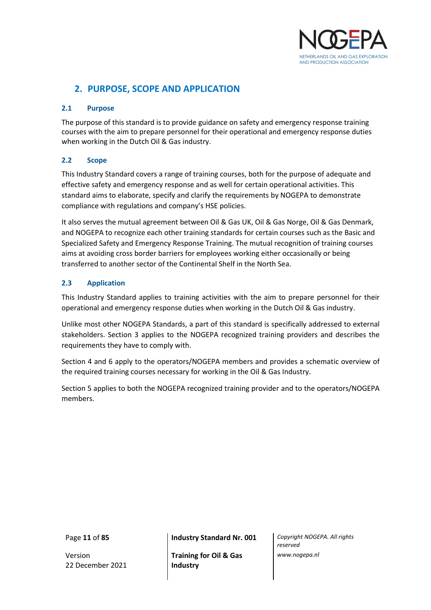

# <span id="page-10-0"></span>**2. PURPOSE, SCOPE AND APPLICATION**

# <span id="page-10-1"></span>**2.1 Purpose**

The purpose of this standard is to provide guidance on safety and emergency response training courses with the aim to prepare personnel for their operational and emergency response duties when working in the Dutch Oil & Gas industry.

# <span id="page-10-2"></span>**2.2 Scope**

This Industry Standard covers a range of training courses, both for the purpose of adequate and effective safety and emergency response and as well for certain operational activities. This standard aims to elaborate, specify and clarify the requirements by NOGEPA to demonstrate compliance with regulations and company's HSE policies.

It also serves the mutual agreement between Oil & Gas UK, Oil & Gas Norge, Oil & Gas Denmark, and NOGEPA to recognize each other training standards for certain courses such as the Basic and Specialized Safety and Emergency Response Training. The mutual recognition of training courses aims at avoiding cross border barriers for employees working either occasionally or being transferred to another sector of the Continental Shelf in the North Sea.

# <span id="page-10-3"></span>**2.3 Application**

This Industry Standard applies to training activities with the aim to prepare personnel for their operational and emergency response duties when working in the Dutch Oil & Gas industry.

Unlike most other NOGEPA Standards, a part of this standard is specifically addressed to external stakeholders. Section 3 applies to the NOGEPA recognized training providers and describes the requirements they have to comply with.

Section 4 and 6 apply to the operators/NOGEPA members and provides a schematic overview of the required training courses necessary for working in the Oil & Gas Industry.

Section 5 applies to both the NOGEPA recognized training provider and to the operators/NOGEPA members.

Version 22 December 2021

Page **11** of **85 Industry Standard Nr. 001** *Copyright NOGEPA. All rights* 

**Training for Oil & Gas Industry**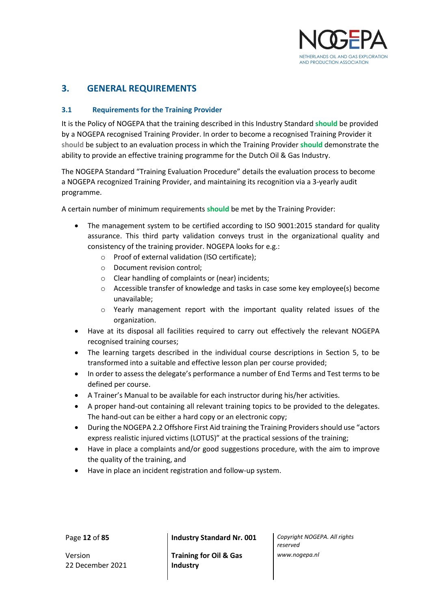

# <span id="page-11-0"></span>**3. GENERAL REQUIREMENTS**

# <span id="page-11-1"></span>**3.1 Requirements for the Training Provider**

It is the Policy of NOGEPA that the training described in this Industry Standard **should** be provided by a NOGEPA recognised Training Provider. In order to become a recognised Training Provider it **should** be subject to an evaluation process in which the Training Provider **should** demonstrate the ability to provide an effective training programme for the Dutch Oil & Gas Industry.

The NOGEPA Standard "Training Evaluation Procedure" details the evaluation process to become a NOGEPA recognized Training Provider, and maintaining its recognition via a 3-yearly audit programme.

A certain number of minimum requirements **should** be met by the Training Provider:

- The management system to be certified according to ISO 9001:2015 standard for quality assurance. This third party validation conveys trust in the organizational quality and consistency of the training provider. NOGEPA looks for e.g.:
	- o Proof of external validation (ISO certificate);
	- o Document revision control;
	- o Clear handling of complaints or (near) incidents;
	- o Accessible transfer of knowledge and tasks in case some key employee(s) become unavailable;
	- o Yearly management report with the important quality related issues of the organization.
- Have at its disposal all facilities required to carry out effectively the relevant NOGEPA recognised training courses;
- The learning targets described in the individual course descriptions in Section 5, to be transformed into a suitable and effective lesson plan per course provided;
- In order to assess the delegate's performance a number of End Terms and Test terms to be defined per course.
- A Trainer's Manual to be available for each instructor during his/her activities.
- A proper hand-out containing all relevant training topics to be provided to the delegates. The hand-out can be either a hard copy or an electronic copy;
- During the NOGEPA 2.2 Offshore First Aid training the Training Providers should use "actors express realistic injured victims (LOTUS)" at the practical sessions of the training;
- Have in place a complaints and/or good suggestions procedure, with the aim to improve the quality of the training, and
- Have in place an incident registration and follow-up system.

Version 22 December 2021

Page **12** of **85 Industry Standard Nr. 001** *Copyright NOGEPA. All rights* 

**Training for Oil & Gas Industry**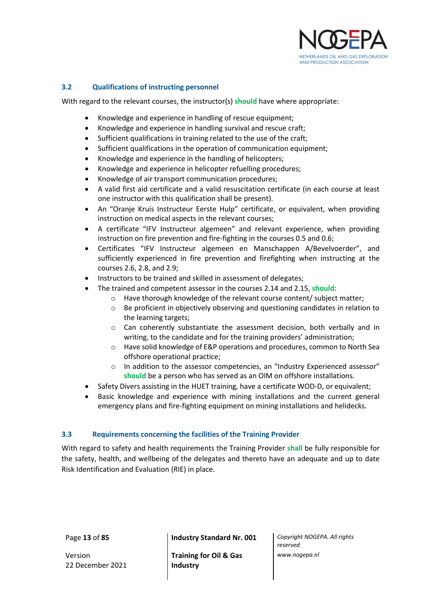

# <span id="page-12-0"></span>**3.2 Qualifications of instructing personnel**

With regard to the relevant courses, the instructor(s) **should** have where appropriate:

- Knowledge and experience in handling of rescue equipment;
- Knowledge and experience in handling survival and rescue craft;
- Sufficient qualifications in training related to the use of the craft;
- Sufficient qualifications in the operation of communication equipment;
- Knowledge and experience in the handling of helicopters;
- Knowledge and experience in helicopter refuelling procedures;
- Knowledge of air transport communication procedures;
- A valid first aid certificate and a valid resuscitation certificate (in each course at least one instructor with this qualification shall be present).
- An "Oranje Kruis Instructeur Eerste Hulp" certificate, or equivalent, when providing instruction on medical aspects in the relevant courses;
- A certificate "IFV Instructeur algemeen" and relevant experience, when providing instruction on fire prevention and fire-fighting in the courses 0.5 and 0.6;
- Certificates "IFV Instructeur algemeen en Manschappen A/Bevelvoerder", and sufficiently experienced in fire prevention and firefighting when instructing at the courses 2.6, 2.8, and 2.9;
- Instructors to be trained and skilled in assessment of delegates;
	- The trained and competent assessor in the courses 2.14 and 2.15, **should**:
		- o Have thorough knowledge of the relevant course content/ subject matter;
		- o Be proficient in objectively observing and questioning candidates in relation to the learning targets;
		- $\circ$  Can coherently substantiate the assessment decision, both verbally and in writing, to the candidate and for the training providers' administration;
		- o Have solid knowledge of E&P operations and procedures, common to North Sea offshore operational practice;
		- o In addition to the assessor competencies, an "Industry Experienced assessor" **should** be a person who has served as an OIM on offshore installations.
- Safety Divers assisting in the HUET training, have a certificate WOD-D, or equivalent;
- Basic knowledge and experience with mining installations and the current general emergency plans and fire-fighting equipment on mining installations and helidecks.

# <span id="page-12-1"></span>**3.3 Requirements concerning the facilities of the Training Provider**

With regard to safety and health requirements the Training Provider **shall** be fully responsible for the safety, health, and wellbeing of the delegates and thereto have an adequate and up to date Risk Identification and Evaluation (RIE) in place.

Version 22 December 2021

Page **13** of **85 Industry Standard Nr. 001** *Copyright NOGEPA. All rights* 

**Training for Oil & Gas Industry**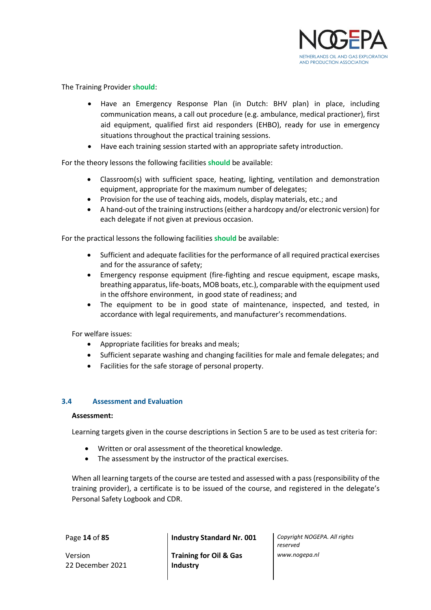

The Training Provider **should**:

- Have an Emergency Response Plan (in Dutch: BHV plan) in place, including communication means, a call out procedure (e.g. ambulance, medical practioner), first aid equipment, qualified first aid responders (EHBO), ready for use in emergency situations throughout the practical training sessions.
- Have each training session started with an appropriate safety introduction.

For the theory lessons the following facilities **should** be available:

- Classroom(s) with sufficient space, heating, lighting, ventilation and demonstration equipment, appropriate for the maximum number of delegates;
- Provision for the use of teaching aids, models, display materials, etc.; and
- A hand-out of the training instructions (either a hardcopy and/or electronic version) for each delegate if not given at previous occasion.

For the practical lessons the following facilities **should** be available:

- Sufficient and adequate facilities for the performance of all required practical exercises and for the assurance of safety;
- Emergency response equipment (fire-fighting and rescue equipment, escape masks, breathing apparatus, life-boats, MOB boats, etc.), comparable with the equipment used in the offshore environment, in good state of readiness; and
- The equipment to be in good state of maintenance, inspected, and tested, in accordance with legal requirements, and manufacturer's recommendations.

For welfare issues:

- Appropriate facilities for breaks and meals;
- Sufficient separate washing and changing facilities for male and female delegates; and
- Facilities for the safe storage of personal property.

#### <span id="page-13-0"></span>**3.4 Assessment and Evaluation**

#### **Assessment:**

Learning targets given in the course descriptions in Section 5 are to be used as test criteria for:

- Written or oral assessment of the theoretical knowledge.
- The assessment by the instructor of the practical exercises.

When all learning targets of the course are tested and assessed with a pass (responsibility of the training provider), a certificate is to be issued of the course, and registered in the delegate's Personal Safety Logbook and CDR.

Version 22 December 2021

Page **14** of **85 Industry Standard Nr. 001** *Copyright NOGEPA. All rights* 

**Training for Oil & Gas Industry**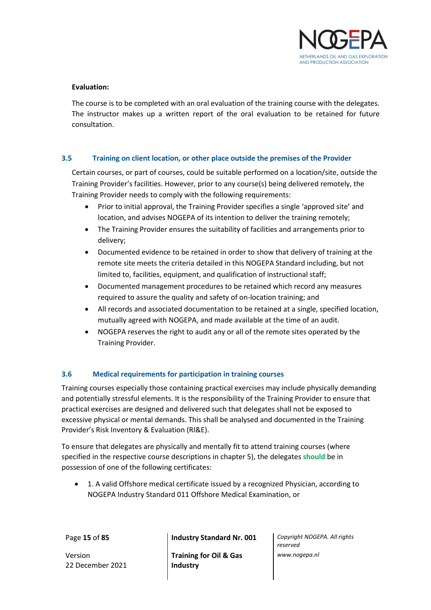

#### **Evaluation:**

The course is to be completed with an oral evaluation of the training course with the delegates. The instructor makes up a written report of the oral evaluation to be retained for future consultation.

# <span id="page-14-0"></span>**3.5 Training on client location, or other place outside the premises of the Provider**

Certain courses, or part of courses, could be suitable performed on a location/site, outside the Training Provider's facilities. However, prior to any course(s) being delivered remotely, the Training Provider needs to comply with the following requirements:

- Prior to initial approval, the Training Provider specifies a single 'approved site' and location, and advises NOGEPA of its intention to deliver the training remotely;
- The Training Provider ensures the suitability of facilities and arrangements prior to delivery;
- Documented evidence to be retained in order to show that delivery of training at the remote site meets the criteria detailed in this NOGEPA Standard including, but not limited to, facilities, equipment, and qualification of instructional staff;
- Documented management procedures to be retained which record any measures required to assure the quality and safety of on-location training; and
- All records and associated documentation to be retained at a single, specified location, mutually agreed with NOGEPA, and made available at the time of an audit.
- NOGEPA reserves the right to audit any or all of the remote sites operated by the Training Provider.

# <span id="page-14-1"></span>**3.6 Medical requirements for participation in training courses**

Training courses especially those containing practical exercises may include physically demanding and potentially stressful elements. It is the responsibility of the Training Provider to ensure that practical exercises are designed and delivered such that delegates shall not be exposed to excessive physical or mental demands. This shall be analysed and documented in the Training Provider's Risk Inventory & Evaluation (RI&E).

To ensure that delegates are physically and mentally fit to attend training courses (where specified in the respective course descriptions in chapter 5), the delegates **should** be in possession of one of the following certificates:

• 1. A valid Offshore medical certificate issued by a recognized Physician, according to NOGEPA Industry Standard 011 Offshore Medical Examination, or

Version 22 December 2021

Page **15** of **85 Industry Standard Nr. 001** *Copyright NOGEPA. All rights* 

**Training for Oil & Gas Industry**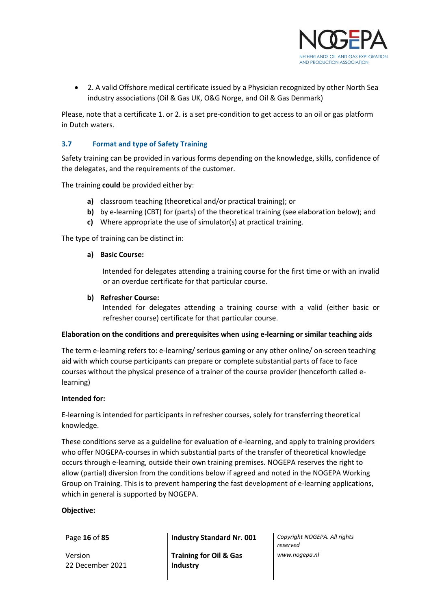

• 2. A valid Offshore medical certificate issued by a Physician recognized by other North Sea industry associations (Oil & Gas UK, O&G Norge, and Oil & Gas Denmark)

Please, note that a certificate 1. or 2. is a set pre-condition to get access to an oil or gas platform in Dutch waters.

# <span id="page-15-0"></span>**3.7 Format and type of Safety Training**

Safety training can be provided in various forms depending on the knowledge, skills, confidence of the delegates, and the requirements of the customer.

The training **could** be provided either by:

- **a)** classroom teaching (theoretical and/or practical training); or
- **b)** by e-learning (CBT) for (parts) of the theoretical training (see elaboration below); and
- **c)** Where appropriate the use of simulator(s) at practical training.

The type of training can be distinct in:

#### **a) Basic Course:**

Intended for delegates attending a training course for the first time or with an invalid or an overdue certificate for that particular course.

#### **b) Refresher Course:**

Intended for delegates attending a training course with a valid (either basic or refresher course) certificate for that particular course.

#### **Elaboration on the conditions and prerequisites when using e-learning or similar teaching aids**

The term e-learning refers to: e-learning/ serious gaming or any other online/ on-screen teaching aid with which course participants can prepare or complete substantial parts of face to face courses without the physical presence of a trainer of the course provider (henceforth called elearning)

#### **Intended for:**

E-learning is intended for participants in refresher courses, solely for transferring theoretical knowledge.

These conditions serve as a guideline for evaluation of e-learning, and apply to training providers who offer NOGEPA-courses in which substantial parts of the transfer of theoretical knowledge occurs through e-learning, outside their own training premises. NOGEPA reserves the right to allow (partial) diversion from the conditions below if agreed and noted in the NOGEPA Working Group on Training. This is to prevent hampering the fast development of e-learning applications, which in general is supported by NOGEPA.

#### **Objective:**

Version 22 December 2021

Page **16** of **85 Industry Standard Nr. 001** *Copyright NOGEPA. All rights* 

**Training for Oil & Gas Industry**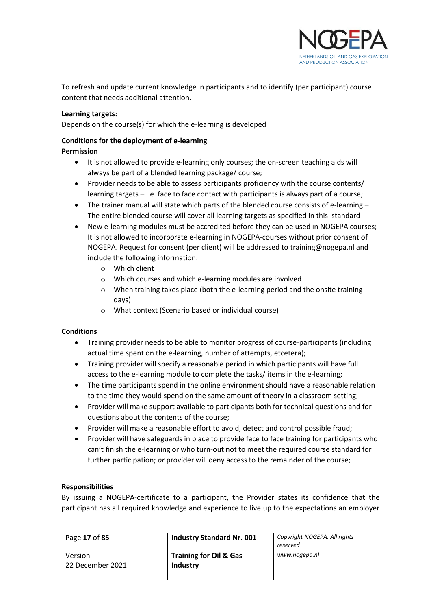

To refresh and update current knowledge in participants and to identify (per participant) course content that needs additional attention.

#### **Learning targets:**

Depends on the course(s) for which the e-learning is developed

# **Conditions for the deployment of e-learning**

# **Permission**

- It is not allowed to provide e-learning only courses; the on-screen teaching aids will always be part of a blended learning package/ course;
- Provider needs to be able to assess participants proficiency with the course contents/ learning targets – i.e. face to face contact with participants is always part of a course;
- The trainer manual will state which parts of the blended course consists of e-learning The entire blended course will cover all learning targets as specified in this standard
- New e-learning modules must be accredited before they can be used in NOGEPA courses; It is not allowed to incorporate e-learning in NOGEPA-courses without prior consent of NOGEPA. Request for consent (per client) will be addressed to [training@nogepa.nl](mailto:training@nogepa.nl) and include the following information:
	- o Which client
	- o Which courses and which e-learning modules are involved
	- o When training takes place (both the e-learning period and the onsite training days)
	- o What context (Scenario based or individual course)

# **Conditions**

- Training provider needs to be able to monitor progress of course-participants (including actual time spent on the e-learning, number of attempts, etcetera);
- Training provider will specify a reasonable period in which participants will have full access to the e-learning module to complete the tasks/ items in the e-learning;
- The time participants spend in the online environment should have a reasonable relation to the time they would spend on the same amount of theory in a classroom setting;
- Provider will make support available to participants both for technical questions and for questions about the contents of the course;
- Provider will make a reasonable effort to avoid, detect and control possible fraud;
- Provider will have safeguards in place to provide face to face training for participants who can't finish the e-learning or who turn-out not to meet the required course standard for further participation; *or* provider will deny access to the remainder of the course;

#### **Responsibilities**

By issuing a NOGEPA-certificate to a participant, the Provider states its confidence that the participant has all required knowledge and experience to live up to the expectations an employer

Version 22 December 2021

Page **17** of **85 Industry Standard Nr. 001** *Copyright NOGEPA. All rights* 

**Training for Oil & Gas Industry**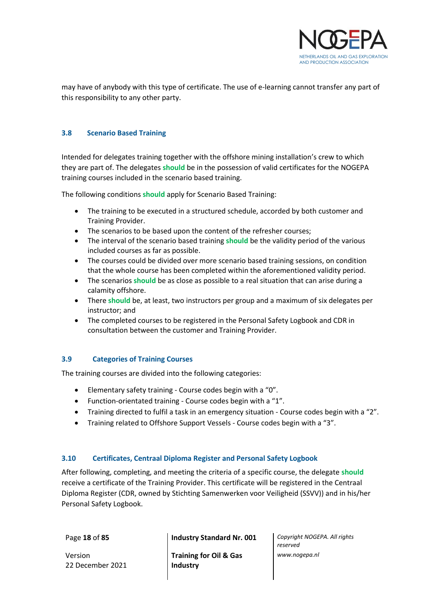

may have of anybody with this type of certificate. The use of e-learning cannot transfer any part of this responsibility to any other party.

# <span id="page-17-0"></span>**3.8 Scenario Based Training**

Intended for delegates training together with the offshore mining installation's crew to which they are part of. The delegates **should** be in the possession of valid certificates for the NOGEPA training courses included in the scenario based training.

The following conditions **should** apply for Scenario Based Training:

- The training to be executed in a structured schedule, accorded by both customer and Training Provider.
- The scenarios to be based upon the content of the refresher courses;
- The interval of the scenario based training **should** be the validity period of the various included courses as far as possible.
- The courses could be divided over more scenario based training sessions, on condition that the whole course has been completed within the aforementioned validity period.
- The scenarios **should** be as close as possible to a real situation that can arise during a calamity offshore.
- There **should** be, at least, two instructors per group and a maximum of six delegates per instructor; and
- The completed courses to be registered in the Personal Safety Logbook and CDR in consultation between the customer and Training Provider.

# <span id="page-17-1"></span>**3.9 Categories of Training Courses**

The training courses are divided into the following categories:

- Elementary safety training Course codes begin with a "0".
- Function-orientated training Course codes begin with a "1".
- Training directed to fulfil a task in an emergency situation Course codes begin with a "2".
- Training related to Offshore Support Vessels Course codes begin with a "3".

# <span id="page-17-2"></span>**3.10 Certificates, Centraal Diploma Register and Personal Safety Logbook**

After following, completing, and meeting the criteria of a specific course, the delegate **should** receive a certificate of the Training Provider. This certificate will be registered in the Centraal Diploma Register (CDR, owned by Stichting Samenwerken voor Veiligheid (SSVV)) and in his/her Personal Safety Logbook.

Version 22 December 2021

Page **18** of **85 Industry Standard Nr. 001** *Copyright NOGEPA. All rights* 

**Training for Oil & Gas Industry**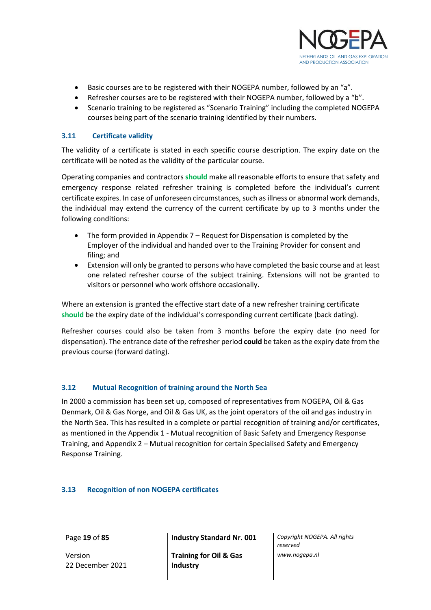

- Basic courses are to be registered with their NOGEPA number, followed by an "a".
- Refresher courses are to be registered with their NOGEPA number, followed by a "b".
- Scenario training to be registered as "Scenario Training" including the completed NOGEPA courses being part of the scenario training identified by their numbers.

# <span id="page-18-0"></span>**3.11 Certificate validity**

The validity of a certificate is stated in each specific course description. The expiry date on the certificate will be noted as the validity of the particular course.

Operating companies and contractors **should** make all reasonable efforts to ensure that safety and emergency response related refresher training is completed before the individual's current certificate expires. In case of unforeseen circumstances, such as illness or abnormal work demands, the individual may extend the currency of the current certificate by up to 3 months under the following conditions:

- The form provided in Appendix  $7$  Request for Dispensation is completed by the Employer of the individual and handed over to the Training Provider for consent and filing; and
- Extension will only be granted to persons who have completed the basic course and at least one related refresher course of the subject training. Extensions will not be granted to visitors or personnel who work offshore occasionally.

Where an extension is granted the effective start date of a new refresher training certificate **should** be the expiry date of the individual's corresponding current certificate (back dating).

Refresher courses could also be taken from 3 months before the expiry date (no need for dispensation). The entrance date of the refresher period **could** be taken as the expiry date from the previous course (forward dating).

# <span id="page-18-1"></span>**3.12 Mutual Recognition of training around the North Sea**

In 2000 a commission has been set up, composed of representatives from NOGEPA, Oil & Gas Denmark, Oil & Gas Norge, and Oil & Gas UK, as the joint operators of the oil and gas industry in the North Sea. This has resulted in a complete or partial recognition of training and/or certificates, as mentioned in the Appendix 1 - Mutual recognition of Basic Safety and Emergency Response Training, and Appendix 2 – Mutual recognition for certain Specialised Safety and Emergency Response Training.

# <span id="page-18-2"></span>**3.13 Recognition of non NOGEPA certificates**

Version 22 December 2021

Page **19** of **85 Industry Standard Nr. 001** *Copyright NOGEPA. All rights* 

**Training for Oil & Gas Industry**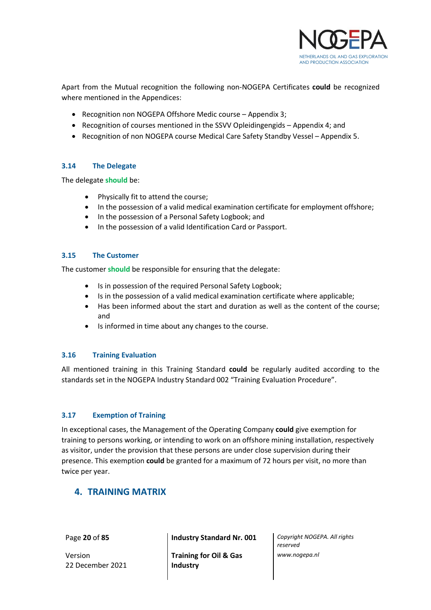

Apart from the Mutual recognition the following non-NOGEPA Certificates **could** be recognized where mentioned in the Appendices:

- Recognition non NOGEPA Offshore Medic course Appendix 3;
- Recognition of courses mentioned in the SSVV Opleidingengids Appendix 4; and
- Recognition of non NOGEPA course Medical Care Safety Standby Vessel Appendix 5.

# <span id="page-19-0"></span>**3.14 The Delegate**

The delegate **should** be:

- Physically fit to attend the course;
- In the possession of a valid medical examination certificate for employment offshore;
- In the possession of a Personal Safety Logbook; and
- In the possession of a valid Identification Card or Passport.

#### <span id="page-19-1"></span>**3.15 The Customer**

The customer **should** be responsible for ensuring that the delegate:

- Is in possession of the required Personal Safety Logbook;
- Is in the possession of a valid medical examination certificate where applicable;
- Has been informed about the start and duration as well as the content of the course; and
- Is informed in time about any changes to the course.

#### <span id="page-19-2"></span>**3.16 Training Evaluation**

All mentioned training in this Training Standard **could** be regularly audited according to the standards set in the NOGEPA Industry Standard 002 "Training Evaluation Procedure".

# <span id="page-19-3"></span>**3.17 Exemption of Training**

In exceptional cases, the Management of the Operating Company **could** give exemption for training to persons working, or intending to work on an offshore mining installation, respectively as visitor, under the provision that these persons are under close supervision during their presence. This exemption **could** be granted for a maximum of 72 hours per visit, no more than twice per year.

# <span id="page-19-4"></span>**4. TRAINING MATRIX**

Version 22 December 2021

Page **20** of **85 Industry Standard Nr. 001** *Copyright NOGEPA. All rights* 

**Training for Oil & Gas Industry**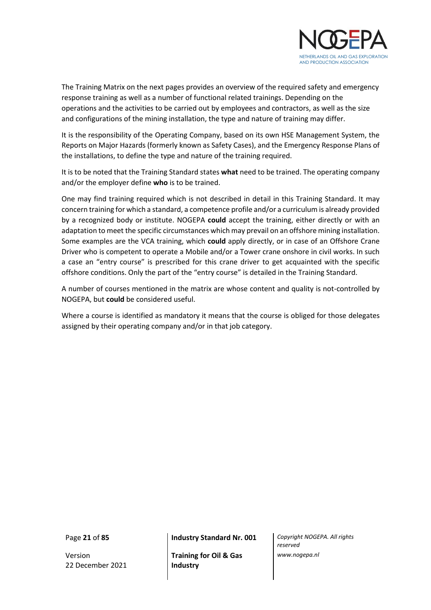

The Training Matrix on the next pages provides an overview of the required safety and emergency response training as well as a number of functional related trainings. Depending on the operations and the activities to be carried out by employees and contractors, as well as the size and configurations of the mining installation, the type and nature of training may differ.

It is the responsibility of the Operating Company, based on its own HSE Management System, the Reports on Major Hazards (formerly known as Safety Cases), and the Emergency Response Plans of the installations, to define the type and nature of the training required.

It is to be noted that the Training Standard states **what** need to be trained. The operating company and/or the employer define **who** is to be trained.

One may find training required which is not described in detail in this Training Standard. It may concern training for which a standard, a competence profile and/or a curriculum is already provided by a recognized body or institute. NOGEPA **could** accept the training, either directly or with an adaptation to meet the specific circumstances which may prevail on an offshore mining installation. Some examples are the VCA training, which **could** apply directly, or in case of an Offshore Crane Driver who is competent to operate a Mobile and/or a Tower crane onshore in civil works. In such a case an "entry course" is prescribed for this crane driver to get acquainted with the specific offshore conditions. Only the part of the "entry course" is detailed in the Training Standard.

A number of courses mentioned in the matrix are whose content and quality is not-controlled by NOGEPA, but **could** be considered useful.

Where a course is identified as mandatory it means that the course is obliged for those delegates assigned by their operating company and/or in that job category.

Version 22 December 2021

Page **21** of **85 Industry Standard Nr. 001** *Copyright NOGEPA. All rights* 

**Training for Oil & Gas Industry**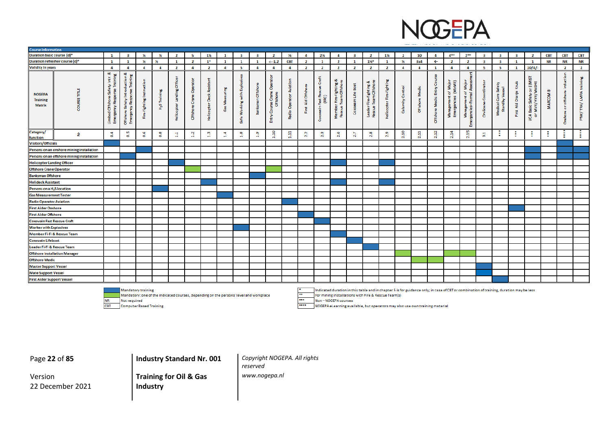

| <b>Course Information</b>                         |                                            |                                                                             |                                                                                                  |                               |                    |                                                     |                                     |                                   |                     |                                |                              |                                                   |                                                         |                         |                                                       |                                                                                                                                         |                         |                                                               |                            |                     |                  |                                 |                                                |                                               |                           |                                                         |                              |                                                                                         |             |                                     |                           |
|---------------------------------------------------|--------------------------------------------|-----------------------------------------------------------------------------|--------------------------------------------------------------------------------------------------|-------------------------------|--------------------|-----------------------------------------------------|-------------------------------------|-----------------------------------|---------------------|--------------------------------|------------------------------|---------------------------------------------------|---------------------------------------------------------|-------------------------|-------------------------------------------------------|-----------------------------------------------------------------------------------------------------------------------------------------|-------------------------|---------------------------------------------------------------|----------------------------|---------------------|------------------|---------------------------------|------------------------------------------------|-----------------------------------------------|---------------------------|---------------------------------------------------------|------------------------------|-----------------------------------------------------------------------------------------|-------------|-------------------------------------|---------------------------|
| Duration basic course (d)*                        |                                            | $\mathbf{1}$                                                                | $\overline{\mathbf{3}}$                                                                          | 36                            | 36                 | $\overline{2}$                                      | -5                                  | 1%                                | $\mathbf{1}$        | $\overline{\mathbf{3}}$        | $\overline{\mathbf{3}}$      | $\overline{2}$                                    | 36                                                      | $\overline{\mathbf{4}}$ | 2%                                                    | $\overline{a}$                                                                                                                          | $\overline{\mathbf{3}}$ | $\overline{2}$                                                | 1%                         | $\overline{2}$      | 10               | 4                               | $4***$                                         | $2***$                                        | -3                        | $\overline{\mathbf{3}}$                                 | -3                           | $\mathbf{2}$                                                                            | <b>CBT</b>  | <b>CBT</b>                          | <b>CBT</b>                |
|                                                   | Duration refresher course (d)*             | $\mathbf{1}$                                                                | $\mathbf{1}$                                                                                     | 16                            | 14                 | $\mathbf{1}$                                        | $\overline{2}$                      | $1^*$                             | $\mathbf{1}$        | $\mathbf{1}$                   | $\mathbf{1}$                 | $\leftarrow -1.2$                                 | <b>CBT</b>                                              | $\overline{2}$          | 1                                                     | $\overline{2}$                                                                                                                          | $\mathbf{1}$            | $11/4*$                                                       | $\mathbf{1}$               | 36                  | 3x4              | $\leftarrow$                    | $\overline{2}$                                 | $\overline{2}$                                | $\overline{\mathbf{3}}$   | $\overline{\mathbf{3}}$                                 | $\mathbf{1}$                 | 1                                                                                       | <b>NR</b>   | <b>NR</b>                           | <b>NR</b>                 |
| <b>Validity</b> in years                          |                                            | $\overline{4}$                                                              | $\overline{a}$                                                                                   | $\overline{a}$                | $\overline{4}$     | $\overline{2}$                                      | $\overline{a}$                      | $\overline{2}$                    | $\overline{a}$      | - 5                            | $\overline{4}$               | $\overline{4}$                                    | $\overline{a}$                                          | $\overline{2}$          | $\overline{2}$                                        | $\overline{2}$                                                                                                                          | $\mathbf{2}$            | $\overline{2}$                                                | $\overline{\mathbf{2}}$    | $\overline{4}$      | $\overline{4}$   | $\mathbf{1}$                    | $\overline{a}$                                 | $\overline{a}$                                | -5                        | - 5                                                     | $\mathbf{1}$                 | 10/4/                                                                                   |             | $\overline{2}$                      | $\overline{2}$            |
| <b>NOGEPA</b><br><b>Training</b><br><b>Matrix</b> | COURSE TITL                                | ಂಶ<br>Training<br>Ĕ<br>Safety<br>2<br>Offsho<br>æ<br>ř<br>Limited<br>Emerge | ಂಶ<br>c<br>$\mathbf{a}$<br>Ă<br>E<br>ē<br>Ξ<br>$\frac{5}{9}$<br>- 62<br>88<br>Offshore<br>Emergo | rustion<br>蓝<br>Fire-fighting | Ē<br>$\frac{5}{2}$ | $\overline{\delta}$<br>$\frac{g}{R}$<br>В<br>Helico | E.<br>්<br>ē<br>$\bullet$<br>Offsho | ۴<br>Æ.<br>폯<br>පී<br>昰<br>Helico | asuring<br>울<br>Gas | 區<br>with I<br>Working<br>Safe | <b>Offsho</b><br>c<br>Banksr | 읉<br>å<br>Craine<br>2<br>rse Crai<br>8<br>Ł<br>Ŧ, | c<br>$\Omega$<br>黃<br>ą,<br>rator<br>နီ<br><b>Radio</b> | Ğ<br>끟<br>Eirst         | Ť<br>ō<br>д<br>æ<br>(FRC)<br><b>SE</b><br>xswain<br>8 | ighting<br>$\frac{1}{2}$<br>Team<br>Member<br>Rescue                                                                                    | Boat<br>vain Life<br>8  | ಹ<br>Fire-fighting &<br>Team Offshor<br>룬<br>Leader<br>Rescue | fighti<br>흝<br>å<br>Helico | Control<br>Calamity | Medi<br>Offshore | Entry Co<br>Medic<br>Offshore I | of Major<br>(MoME)<br>ъ<br>Έ.<br>ËĒ<br>š.<br>훕 | ۴<br>Major<br>৳<br>ī<br>Management<br>g<br>g, | Coordinato<br>ደ<br>On-See | Safety<br>seal<br>-e - S<br>ී<br>Standby<br>edical<br>Σ | 호<br>Oranje<br>픻<br>in<br>Ei | ৮<br>$\sum_{n=1}^{\infty} \frac{1}{n}$<br>စ္နွ<br>Basic Safety<br>· MVK/HVK/I<br>৳<br>g | B<br>MARCOM | induction<br>or offshore<br>Orshore | LMRA training<br>PTW/TRA/ |
| Category/<br>function                             | ż                                          | ÷<br>Ö.                                                                     | <b>un</b><br>$\circ$                                                                             | ωņ<br>o                       | $\infty$<br>o      | <b>H</b><br>$\blacksquare$                          | N<br>$\blacksquare$                 | m<br>$\blacksquare$               | $\blacksquare$      | œ<br>$\blacksquare$            | ത്<br>$\blacksquare$         | 1.10                                              | 믂<br>÷.                                                 | N<br>N                  | m<br>N                                                | G<br>-N                                                                                                                                 | 27                      | $\infty$<br>Ñ                                                 | G)<br>N                    | $\bullet$<br>М      | 2.11             | 2.12                            | <b>A</b><br>큷                                  | 2.15                                          | Ħ<br>m                    | с                                                       |                              | -2                                                                                      |             | ٠<br>÷                              | ŧ                         |
| <b>Visitors/Officials</b>                         |                                            |                                                                             |                                                                                                  |                               |                    |                                                     |                                     |                                   |                     |                                |                              |                                                   |                                                         |                         |                                                       |                                                                                                                                         |                         |                                                               |                            |                     |                  |                                 |                                                |                                               |                           |                                                         |                              |                                                                                         |             |                                     |                           |
|                                                   | Persons on an onshore mining installation  |                                                                             |                                                                                                  |                               |                    |                                                     |                                     |                                   |                     |                                |                              |                                                   |                                                         |                         |                                                       |                                                                                                                                         |                         |                                                               |                            |                     |                  |                                 |                                                |                                               |                           |                                                         |                              |                                                                                         |             |                                     |                           |
|                                                   | Persons on an offshore mining installation |                                                                             |                                                                                                  |                               |                    |                                                     |                                     |                                   |                     |                                |                              |                                                   |                                                         |                         |                                                       |                                                                                                                                         |                         |                                                               |                            |                     |                  |                                 |                                                |                                               |                           |                                                         |                              |                                                                                         |             |                                     |                           |
| <b>Helicopter Landing Officer</b>                 |                                            |                                                                             |                                                                                                  |                               |                    |                                                     |                                     |                                   |                     |                                |                              |                                                   |                                                         |                         |                                                       |                                                                                                                                         |                         |                                                               |                            |                     |                  |                                 |                                                |                                               |                           |                                                         |                              |                                                                                         |             |                                     |                           |
| Offshore Crane Operator                           |                                            |                                                                             |                                                                                                  |                               |                    |                                                     |                                     |                                   |                     |                                |                              |                                                   |                                                         |                         |                                                       |                                                                                                                                         |                         |                                                               |                            |                     |                  |                                 |                                                |                                               |                           |                                                         |                              |                                                                                         |             |                                     |                           |
| <b>Banksman Offshore</b>                          |                                            |                                                                             |                                                                                                  |                               |                    |                                                     |                                     |                                   |                     |                                |                              |                                                   |                                                         |                         |                                                       |                                                                                                                                         |                         |                                                               |                            |                     |                  |                                 |                                                |                                               |                           |                                                         |                              |                                                                                         |             |                                     |                           |
| <b>Helideck Assistant</b>                         |                                            |                                                                             |                                                                                                  |                               |                    |                                                     |                                     |                                   |                     |                                |                              |                                                   |                                                         |                         |                                                       |                                                                                                                                         |                         |                                                               |                            |                     |                  |                                 |                                                |                                               |                           |                                                         |                              |                                                                                         |             |                                     |                           |
| Persons on a H <sub>2</sub> S location            |                                            |                                                                             |                                                                                                  |                               |                    |                                                     |                                     |                                   |                     |                                |                              |                                                   |                                                         |                         |                                                       |                                                                                                                                         |                         |                                                               |                            |                     |                  |                                 |                                                |                                               |                           |                                                         |                              |                                                                                         |             |                                     |                           |
| <b>Gas Measurement Tester</b>                     |                                            |                                                                             |                                                                                                  |                               |                    |                                                     |                                     |                                   |                     |                                |                              |                                                   |                                                         |                         |                                                       |                                                                                                                                         |                         |                                                               |                            |                     |                  |                                 |                                                |                                               |                           |                                                         |                              |                                                                                         |             |                                     |                           |
| <b>Radio Operator Aviation</b>                    |                                            |                                                                             |                                                                                                  |                               |                    |                                                     |                                     |                                   |                     |                                |                              |                                                   |                                                         |                         |                                                       |                                                                                                                                         |                         |                                                               |                            |                     |                  |                                 |                                                |                                               |                           |                                                         |                              |                                                                                         |             |                                     |                           |
| <b>First Aider Onshore</b>                        |                                            |                                                                             |                                                                                                  |                               |                    |                                                     |                                     |                                   |                     |                                |                              |                                                   |                                                         |                         |                                                       |                                                                                                                                         |                         |                                                               |                            |                     |                  |                                 |                                                |                                               |                           |                                                         |                              |                                                                                         |             |                                     |                           |
| <b>First Aider Offshore</b>                       |                                            |                                                                             |                                                                                                  |                               |                    |                                                     |                                     |                                   |                     |                                |                              |                                                   |                                                         |                         |                                                       |                                                                                                                                         |                         |                                                               |                            |                     |                  |                                 |                                                |                                               |                           |                                                         |                              |                                                                                         |             |                                     |                           |
| Coxswain Fast Rescue Craft                        |                                            |                                                                             |                                                                                                  |                               |                    |                                                     |                                     |                                   |                     |                                |                              |                                                   |                                                         |                         |                                                       |                                                                                                                                         |                         |                                                               |                            |                     |                  |                                 |                                                |                                               |                           |                                                         |                              |                                                                                         |             |                                     |                           |
| <b>Worker with Explosives</b>                     |                                            |                                                                             |                                                                                                  |                               |                    |                                                     |                                     |                                   |                     |                                |                              |                                                   |                                                         |                         |                                                       |                                                                                                                                         |                         |                                                               |                            |                     |                  |                                 |                                                |                                               |                           |                                                         |                              |                                                                                         |             |                                     |                           |
| Member Fi-Fi & Rescue Team                        |                                            |                                                                             |                                                                                                  |                               |                    |                                                     |                                     |                                   |                     |                                |                              |                                                   |                                                         |                         |                                                       |                                                                                                                                         |                         |                                                               |                            |                     |                  |                                 |                                                |                                               |                           |                                                         |                              |                                                                                         |             |                                     |                           |
| Coxswain Lifeboat                                 |                                            |                                                                             |                                                                                                  |                               |                    |                                                     |                                     |                                   |                     |                                |                              |                                                   |                                                         |                         |                                                       |                                                                                                                                         |                         |                                                               |                            |                     |                  |                                 |                                                |                                               |                           |                                                         |                              |                                                                                         |             |                                     |                           |
| Leader Fi-Fi & Rescue Team                        |                                            |                                                                             |                                                                                                  |                               |                    |                                                     |                                     |                                   |                     |                                |                              |                                                   |                                                         |                         |                                                       |                                                                                                                                         |                         |                                                               |                            |                     |                  |                                 |                                                |                                               |                           |                                                         |                              |                                                                                         |             |                                     |                           |
| <b>Offshore Installation Manager</b>              |                                            |                                                                             |                                                                                                  |                               |                    |                                                     |                                     |                                   |                     |                                |                              |                                                   |                                                         |                         |                                                       |                                                                                                                                         |                         |                                                               |                            |                     |                  |                                 |                                                |                                               |                           |                                                         |                              |                                                                                         |             |                                     |                           |
| <b>Offshore Medic</b>                             |                                            |                                                                             |                                                                                                  |                               |                    |                                                     |                                     |                                   |                     |                                |                              |                                                   |                                                         |                         |                                                       |                                                                                                                                         |                         |                                                               |                            |                     |                  |                                 |                                                |                                               |                           |                                                         |                              |                                                                                         |             |                                     |                           |
| <b>Master Support Vessel</b>                      |                                            |                                                                             |                                                                                                  |                               |                    |                                                     |                                     |                                   |                     |                                |                              |                                                   |                                                         |                         |                                                       |                                                                                                                                         |                         |                                                               |                            |                     |                  |                                 |                                                |                                               |                           |                                                         |                              |                                                                                         |             |                                     |                           |
| <b>Mate Support Vessel</b>                        |                                            |                                                                             |                                                                                                  |                               |                    |                                                     |                                     |                                   |                     |                                |                              |                                                   |                                                         |                         |                                                       |                                                                                                                                         |                         |                                                               |                            |                     |                  |                                 |                                                |                                               |                           |                                                         |                              |                                                                                         |             |                                     |                           |
| First Aider Support Vessel                        |                                            |                                                                             |                                                                                                  |                               |                    |                                                     |                                     |                                   |                     |                                |                              |                                                   |                                                         |                         |                                                       |                                                                                                                                         |                         |                                                               |                            |                     |                  |                                 |                                                |                                               |                           |                                                         |                              |                                                                                         |             |                                     |                           |
|                                                   |                                            |                                                                             |                                                                                                  | Mandatory training            |                    |                                                     |                                     |                                   |                     |                                |                              |                                                   |                                                         |                         |                                                       | Indicated duration in this table and in chapter 5 is for guidance only; in case of CBT or combination of training, duration may be less |                         |                                                               |                            |                     |                  |                                 |                                                |                                               |                           |                                                         |                              |                                                                                         |             |                                     |                           |

Mandatory: one of the indicated courses, depending on the persons' level and workplace

 $NR$ Not required  $CBT$ Computer Based Training

For mining installations with Fire & Rescue Team(s)  $\bullet\bullet\bullet$ Non-NOGEPA courses

 $***$ 

NOGEPA eLearning available, but operators may also use own training material

Version 22 December 2021

Page **22** of **85 Industry Standard Nr. 001** *Copyright NOGEPA. All rights* 

**Training for Oil & Gas Industry**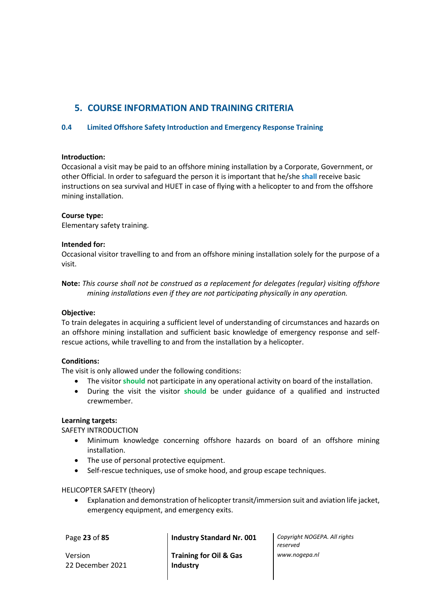# <span id="page-22-0"></span>**5. COURSE INFORMATION AND TRAINING CRITERIA**

# <span id="page-22-1"></span>**0.4 Limited Offshore Safety Introduction and Emergency Response Training**

#### **Introduction:**

Occasional a visit may be paid to an offshore mining installation by a Corporate, Government, or other Official. In order to safeguard the person it is important that he/she **shall** receive basic instructions on sea survival and HUET in case of flying with a helicopter to and from the offshore mining installation.

#### **Course type:**

Elementary safety training.

#### **Intended for:**

Occasional visitor travelling to and from an offshore mining installation solely for the purpose of a visit.

**Note:** *This course shall not be construed as a replacement for delegates (regular) visiting offshore mining installations even if they are not participating physically in any operation.*

#### **Objective:**

To train delegates in acquiring a sufficient level of understanding of circumstances and hazards on an offshore mining installation and sufficient basic knowledge of emergency response and selfrescue actions, while travelling to and from the installation by a helicopter.

#### **Conditions:**

The visit is only allowed under the following conditions:

- The visitor **should** not participate in any operational activity on board of the installation.
- During the visit the visitor **should** be under guidance of a qualified and instructed crewmember.

#### **Learning targets:**

SAFETY INTRODUCTION

- Minimum knowledge concerning offshore hazards on board of an offshore mining installation.
- The use of personal protective equipment.
- Self-rescue techniques, use of smoke hood, and group escape techniques.

#### HELICOPTER SAFETY (theory)

• Explanation and demonstration of helicopter transit/immersion suit and aviation life jacket, emergency equipment, and emergency exits.

Version 22 December 2021

**Training for Oil & Gas Industry**

Page **23** of **85 Industry Standard Nr. 001** *Copyright NOGEPA. All rights reserved www.nogepa.nl*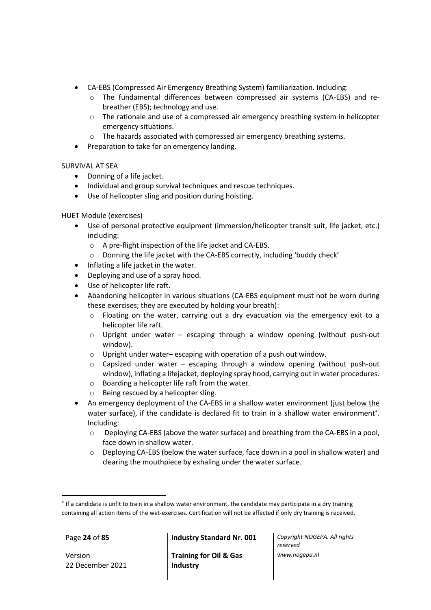- CA-EBS (Compressed Air Emergency Breathing System) familiarization. Including:
	- o The fundamental differences between compressed air systems (CA-EBS) and rebreather (EBS); technology and use.
	- o The rationale and use of a compressed air emergency breathing system in helicopter emergency situations.
	- o The hazards associated with compressed air emergency breathing systems.
- Preparation to take for an emergency landing.

SURVIVAL AT SEA

- Donning of a life jacket.
- Individual and group survival techniques and rescue techniques.
- Use of helicopter sling and position during hoisting.

HUET Module (exercises)

- Use of personal protective equipment (immersion/helicopter transit suit, life jacket, etc.) including:
	- o A pre-flight inspection of the life jacket and CA-EBS.
	- o Donning the life jacket with the CA-EBS correctly, including 'buddy check'
- Inflating a life jacket in the water.
- Deploying and use of a spray hood.
- Use of helicopter life raft.
- Abandoning helicopter in various situations (CA-EBS equipment must not be worn during these exercises; they are executed by holding your breath):
	- $\circ$  Floating on the water, carrying out a dry evacuation via the emergency exit to a helicopter life raft.
	- $\circ$  Upright under water escaping through a window opening (without push-out window).
	- o Upright under water– escaping with operation of a push out window.
	- $\circ$  Capsized under water escaping through a window opening (without push-out window), inflating a lifejacket, deploying spray hood, carrying out in water procedures.
	- o Boarding a helicopter life raft from the water.
	- o Being rescued by a helicopter sling.
- An emergency deployment of the CA-EBS in a shallow water environment (just below the water surface), if the candidate is declared fit to train in a shallow water environment<sup>\*</sup>. Including:
	- o Deploying CA-EBS (above the water surface) and breathing from the CA-EBS in a pool, face down in shallow water.
	- $\circ$  Deploying CA-EBS (below the water surface, face down in a pool in shallow water) and clearing the mouthpiece by exhaling under the water surface.

Version 22 December 2021

Page **24** of **85 Industry Standard Nr. 001** *Copyright NOGEPA. All rights* 

**Training for Oil & Gas Industry**

<sup>\*</sup> If a candidate is unfit to train in a shallow water environment, the candidate may participate in a dry training containing all action items of the wet-exercises. Certification will not be affected if only dry training is received.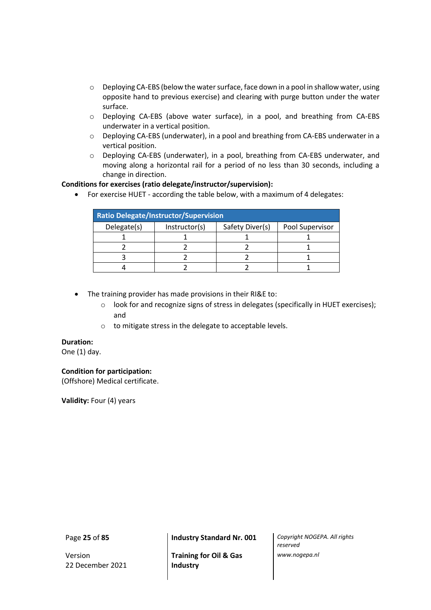- o Deploying CA-EBS (below the water surface, face down in a pool in shallow water, using opposite hand to previous exercise) and clearing with purge button under the water surface.
- o Deploying CA-EBS (above water surface), in a pool, and breathing from CA-EBS underwater in a vertical position.
- o Deploying CA-EBS (underwater), in a pool and breathing from CA-EBS underwater in a vertical position.
- o Deploying CA-EBS (underwater), in a pool, breathing from CA-EBS underwater, and moving along a horizontal rail for a period of no less than 30 seconds, including a change in direction.

#### **Conditions for exercises (ratio delegate/instructor/supervision):**

• For exercise HUET - according the table below, with a maximum of 4 delegates:

| <b>Ratio Delegate/Instructor/Supervision</b> |               |                 |                 |  |  |  |  |  |
|----------------------------------------------|---------------|-----------------|-----------------|--|--|--|--|--|
| Delegate(s)                                  | Instructor(s) | Safety Diver(s) | Pool Supervisor |  |  |  |  |  |
|                                              |               |                 |                 |  |  |  |  |  |
|                                              |               |                 |                 |  |  |  |  |  |
|                                              |               |                 |                 |  |  |  |  |  |
|                                              |               |                 |                 |  |  |  |  |  |

- The training provider has made provisions in their RI&E to:
	- o look for and recognize signs of stress in delegates (specifically in HUET exercises); and
	- o to mitigate stress in the delegate to acceptable levels.

#### **Duration:**

One (1) day.

# **Condition for participation:**

(Offshore) Medical certificate.

**Validity:** Four (4) years

Version 22 December 2021

**Training for Oil & Gas Industry**

Page **25** of **85 Industry Standard Nr. 001** *Copyright NOGEPA. All rights reserved www.nogepa.nl*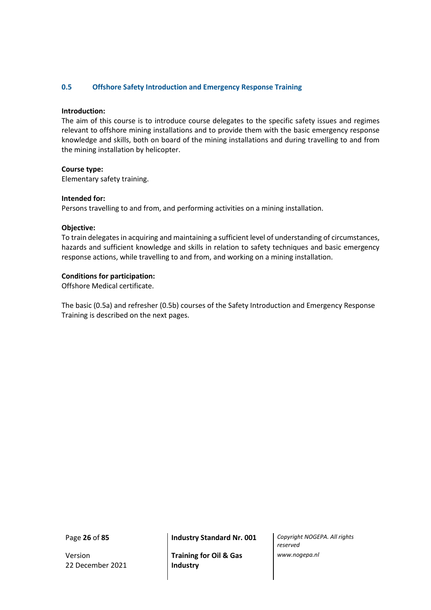#### <span id="page-25-0"></span>**0.5 Offshore Safety Introduction and Emergency Response Training**

#### **Introduction:**

The aim of this course is to introduce course delegates to the specific safety issues and regimes relevant to offshore mining installations and to provide them with the basic emergency response knowledge and skills, both on board of the mining installations and during travelling to and from the mining installation by helicopter.

#### **Course type:**

Elementary safety training.

#### **Intended for:**

Persons travelling to and from, and performing activities on a mining installation.

#### **Objective:**

To train delegates in acquiring and maintaining a sufficient level of understanding of circumstances, hazards and sufficient knowledge and skills in relation to safety techniques and basic emergency response actions, while travelling to and from, and working on a mining installation.

#### **Conditions for participation:**

Offshore Medical certificate.

The basic (0.5a) and refresher (0.5b) courses of the Safety Introduction and Emergency Response Training is described on the next pages.

Version 22 December 2021

**Training for Oil & Gas Industry**

Page **26** of **85 Industry Standard Nr. 001** *Copyright NOGEPA. All rights reserved www.nogepa.nl*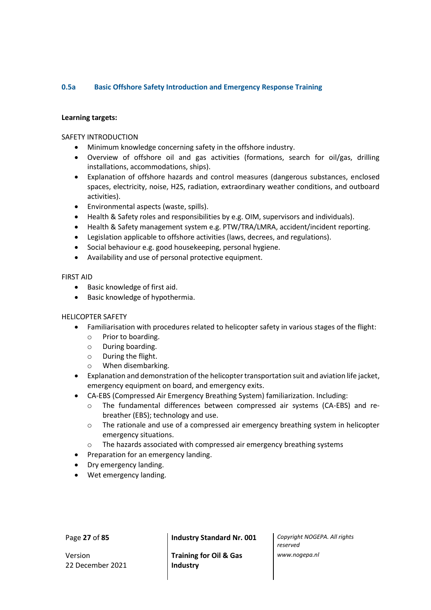# <span id="page-26-0"></span>**0.5a Basic Offshore Safety Introduction and Emergency Response Training**

#### **Learning targets:**

#### SAFETY INTRODUCTION

- Minimum knowledge concerning safety in the offshore industry.
- Overview of offshore oil and gas activities (formations, search for oil/gas, drilling installations, accommodations, ships).
- Explanation of offshore hazards and control measures (dangerous substances, enclosed spaces, electricity, noise, H2S, radiation, extraordinary weather conditions, and outboard activities).
- Environmental aspects (waste, spills).
- Health & Safety roles and responsibilities by e.g. OIM, supervisors and individuals).
- Health & Safety management system e.g. PTW/TRA/LMRA, accident/incident reporting.
- Legislation applicable to offshore activities (laws, decrees, and regulations).
- Social behaviour e.g. good housekeeping, personal hygiene.
- Availability and use of personal protective equipment.

#### FIRST AID

- Basic knowledge of first aid.
- Basic knowledge of hypothermia.

# HELICOPTER SAFETY

- Familiarisation with procedures related to helicopter safety in various stages of the flight:
	- o Prior to boarding.
	- o During boarding.
	- o During the flight.
	- o When disembarking.
- Explanation and demonstration of the helicopter transportation suit and aviation life jacket, emergency equipment on board, and emergency exits.
- CA-EBS (Compressed Air Emergency Breathing System) familiarization. Including:
	- o The fundamental differences between compressed air systems (CA-EBS) and rebreather (EBS); technology and use.
	- $\circ$  The rationale and use of a compressed air emergency breathing system in helicopter emergency situations.
	- o The hazards associated with compressed air emergency breathing systems
- Preparation for an emergency landing.
- Dry emergency landing.
- Wet emergency landing.

Version 22 December 2021

Page **27** of **85 Industry Standard Nr. 001** *Copyright NOGEPA. All rights* 

**Training for Oil & Gas Industry**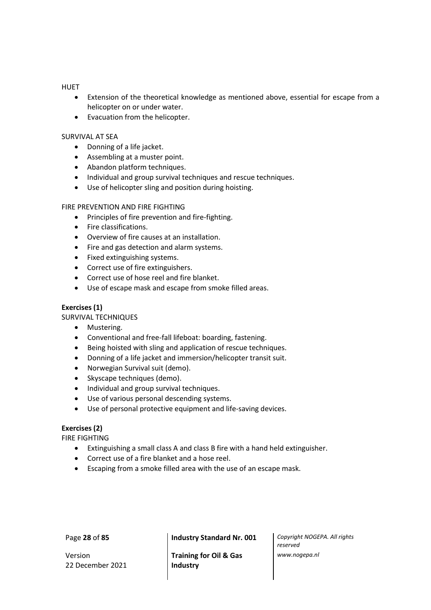#### **HUET**

- Extension of the theoretical knowledge as mentioned above, essential for escape from a helicopter on or under water.
- Evacuation from the helicopter.

#### SURVIVAL AT SEA

- Donning of a life jacket.
- Assembling at a muster point.
- Abandon platform techniques.
- Individual and group survival techniques and rescue techniques.
- Use of helicopter sling and position during hoisting.

#### FIRE PREVENTION AND FIRE FIGHTING

- Principles of fire prevention and fire-fighting.
- Fire classifications.
- Overview of fire causes at an installation.
- Fire and gas detection and alarm systems.
- Fixed extinguishing systems.
- Correct use of fire extinguishers.
- Correct use of hose reel and fire blanket.
- Use of escape mask and escape from smoke filled areas.

#### **Exercises (1)**

SURVIVAL TECHNIQUES

- Mustering.
- Conventional and free-fall lifeboat: boarding, fastening.
- Being hoisted with sling and application of rescue techniques.
- Donning of a life jacket and immersion/helicopter transit suit.
- Norwegian Survival suit (demo).
- Skyscape techniques (demo).
- Individual and group survival techniques.
- Use of various personal descending systems.
- Use of personal protective equipment and life-saving devices.

#### **Exercises (2)**

FIRE FIGHTING

- Extinguishing a small class A and class B fire with a hand held extinguisher.
- Correct use of a fire blanket and a hose reel.
- Escaping from a smoke filled area with the use of an escape mask.

Version 22 December 2021

Page **28** of **85 Industry Standard Nr. 001** *Copyright NOGEPA. All rights* 

**Training for Oil & Gas Industry**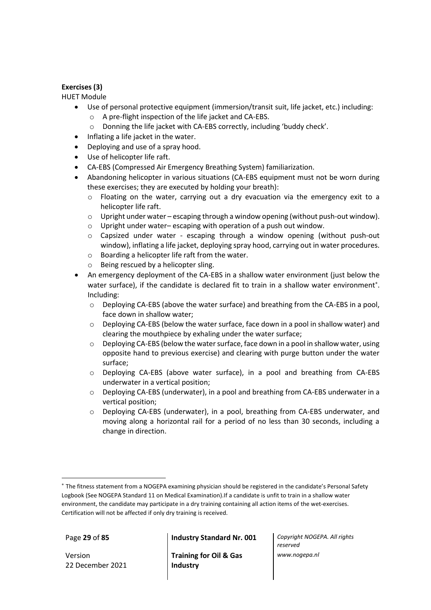# **Exercises (3)**

#### HUET Module

- Use of personal protective equipment (immersion/transit suit, life jacket, etc.) including:
	- o A pre-flight inspection of the life jacket and CA-EBS.
	- o Donning the life jacket with CA-EBS correctly, including 'buddy check'.
- Inflating a life jacket in the water.
- Deploying and use of a spray hood.
- Use of helicopter life raft.
- CA-EBS (Compressed Air Emergency Breathing System) familiarization.
- Abandoning helicopter in various situations (CA-EBS equipment must not be worn during these exercises; they are executed by holding your breath):
	- o Floating on the water, carrying out a dry evacuation via the emergency exit to a helicopter life raft.
	- $\circ$  Upright under water escaping through a window opening (without push-out window).
	- o Upright under water– escaping with operation of a push out window.
	- o Capsized under water escaping through a window opening (without push-out window), inflating a life jacket, deploying spray hood, carrying out in water procedures.
	- o Boarding a helicopter life raft from the water.
	- o Being rescued by a helicopter sling.
- An emergency deployment of the CA-EBS in a shallow water environment (just below the water surface), if the candidate is declared fit to train in a shallow water environment<sup>\*</sup>. Including:
	- o Deploying CA-EBS (above the water surface) and breathing from the CA-EBS in a pool, face down in shallow water;
	- o Deploying CA-EBS (below the water surface, face down in a pool in shallow water) and clearing the mouthpiece by exhaling under the water surface;
	- $\circ$  Deploying CA-EBS (below the water surface, face down in a pool in shallow water, using opposite hand to previous exercise) and clearing with purge button under the water surface;
	- o Deploying CA-EBS (above water surface), in a pool and breathing from CA-EBS underwater in a vertical position;
	- o Deploying CA-EBS (underwater), in a pool and breathing from CA-EBS underwater in a vertical position;
	- o Deploying CA-EBS (underwater), in a pool, breathing from CA-EBS underwater, and moving along a horizontal rail for a period of no less than 30 seconds, including a change in direction.

Version 22 December 2021

Page **29** of **85 Industry Standard Nr. 001** *Copyright NOGEPA. All rights* 

**Training for Oil & Gas Industry**

The fitness statement from a NOGEPA examining physician should be registered in the candidate's Personal Safety Logbook (See NOGEPA Standard 11 on Medical Examination).If a candidate is unfit to train in a shallow water environment, the candidate may participate in a dry training containing all action items of the wet-exercises. Certification will not be affected if only dry training is received.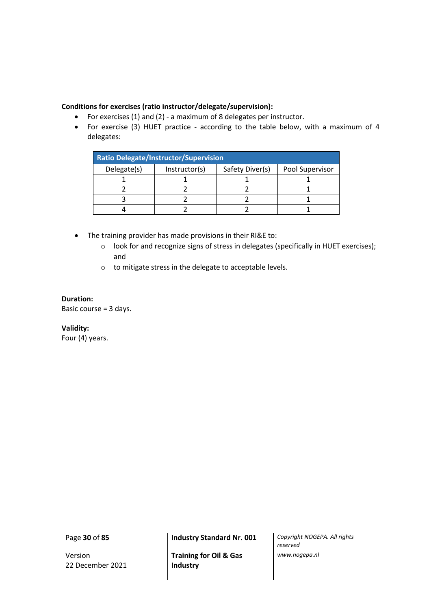# **Conditions for exercises (ratio instructor/delegate/supervision):**

- For exercises (1) and (2) a maximum of 8 delegates per instructor.
- For exercise (3) HUET practice according to the table below, with a maximum of 4 delegates:

| <b>Ratio Delegate/Instructor/Supervision</b> |               |                 |                 |  |  |  |  |  |
|----------------------------------------------|---------------|-----------------|-----------------|--|--|--|--|--|
| Delegate(s)                                  | Instructor(s) | Safety Diver(s) | Pool Supervisor |  |  |  |  |  |
|                                              |               |                 |                 |  |  |  |  |  |
|                                              |               |                 |                 |  |  |  |  |  |
|                                              |               |                 |                 |  |  |  |  |  |
|                                              |               |                 |                 |  |  |  |  |  |

- The training provider has made provisions in their RI&E to:
	- o look for and recognize signs of stress in delegates (specifically in HUET exercises); and
	- o to mitigate stress in the delegate to acceptable levels.

**Duration:** Basic course = 3 days.

**Validity:** Four (4) years.

Version 22 December 2021

**Training for Oil & Gas Industry**

Page **30** of **85 Industry Standard Nr. 001** *Copyright NOGEPA. All rights reserved www.nogepa.nl*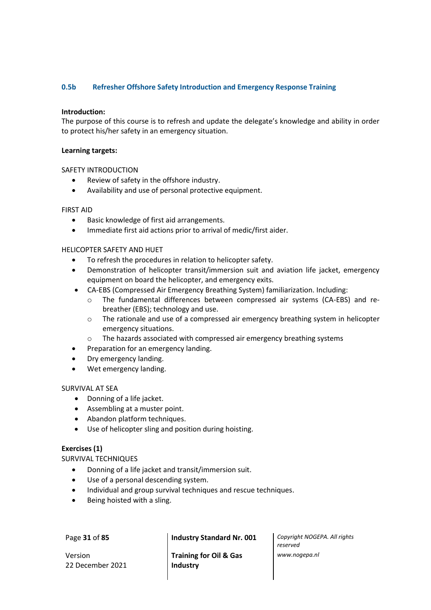# <span id="page-30-0"></span>**0.5b Refresher Offshore Safety Introduction and Emergency Response Training**

#### **Introduction:**

The purpose of this course is to refresh and update the delegate's knowledge and ability in order to protect his/her safety in an emergency situation.

#### **Learning targets:**

#### SAFETY INTRODUCTION

- Review of safety in the offshore industry.
- Availability and use of personal protective equipment.

#### FIRST AID

- Basic knowledge of first aid arrangements.
- Immediate first aid actions prior to arrival of medic/first aider.

#### HELICOPTER SAFETY AND HUET

- To refresh the procedures in relation to helicopter safety.
- Demonstration of helicopter transit/immersion suit and aviation life jacket, emergency equipment on board the helicopter, and emergency exits.
- CA-EBS (Compressed Air Emergency Breathing System) familiarization. Including:
	- o The fundamental differences between compressed air systems (CA-EBS) and rebreather (EBS); technology and use.
	- $\circ$  The rationale and use of a compressed air emergency breathing system in helicopter emergency situations.
	- o The hazards associated with compressed air emergency breathing systems
- Preparation for an emergency landing.
- Dry emergency landing.
- Wet emergency landing.

#### SURVIVAL AT SEA

- Donning of a life jacket.
- Assembling at a muster point.
- Abandon platform techniques.
- Use of helicopter sling and position during hoisting.

#### **Exercises (1)**

SURVIVAL TECHNIQUES

- Donning of a life jacket and transit/immersion suit.
- Use of a personal descending system.
- Individual and group survival techniques and rescue techniques.
- Being hoisted with a sling.

Version 22 December 2021

**Training for Oil & Gas Industry**

Page **31** of **85 Industry Standard Nr. 001** *Copyright NOGEPA. All rights reserved www.nogepa.nl*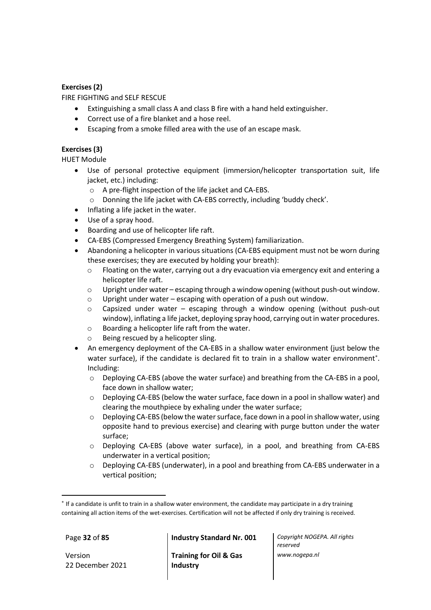# **Exercises (2)**

FIRE FIGHTING and SELF RESCUE

- Extinguishing a small class A and class B fire with a hand held extinguisher.
- Correct use of a fire blanket and a hose reel.
- Escaping from a smoke filled area with the use of an escape mask.

# **Exercises (3)**

HUET Module

- Use of personal protective equipment (immersion/helicopter transportation suit, life jacket, etc.) including:
	- o A pre-flight inspection of the life jacket and CA-EBS.
	- o Donning the life jacket with CA-EBS correctly, including 'buddy check'.
- Inflating a life jacket in the water.
- Use of a spray hood.
- Boarding and use of helicopter life raft.
- CA-EBS (Compressed Emergency Breathing System) familiarization.
- Abandoning a helicopter in various situations (CA-EBS equipment must not be worn during these exercises; they are executed by holding your breath):
	- $\circ$  Floating on the water, carrying out a dry evacuation via emergency exit and entering a helicopter life raft.
	- $\circ$  Upright under water escaping through a window opening (without push-out window.
	- $\circ$  Upright under water escaping with operation of a push out window.
	- o Capsized under water escaping through a window opening (without push-out window), inflating a life jacket, deploying spray hood, carrying out in water procedures.
	- o Boarding a helicopter life raft from the water.
	- o Being rescued by a helicopter sling.
- An emergency deployment of the CA-EBS in a shallow water environment (just below the water surface), if the candidate is declared fit to train in a shallow water environment<sup>\*</sup>. Including:
	- $\circ$  Deploying CA-EBS (above the water surface) and breathing from the CA-EBS in a pool, face down in shallow water;
	- o Deploying CA-EBS (below the water surface, face down in a pool in shallow water) and clearing the mouthpiece by exhaling under the water surface;
	- $\circ$  Deploying CA-EBS (below the water surface, face down in a pool in shallow water, using opposite hand to previous exercise) and clearing with purge button under the water surface;
	- o Deploying CA-EBS (above water surface), in a pool, and breathing from CA-EBS underwater in a vertical position;
	- o Deploying CA-EBS (underwater), in a pool and breathing from CA-EBS underwater in a vertical position;

Version 22 December 2021

Page **32** of **85 Industry Standard Nr. 001** *Copyright NOGEPA. All rights* 

**Training for Oil & Gas Industry**

<sup>\*</sup> If a candidate is unfit to train in a shallow water environment, the candidate may participate in a dry training containing all action items of the wet-exercises. Certification will not be affected if only dry training is received.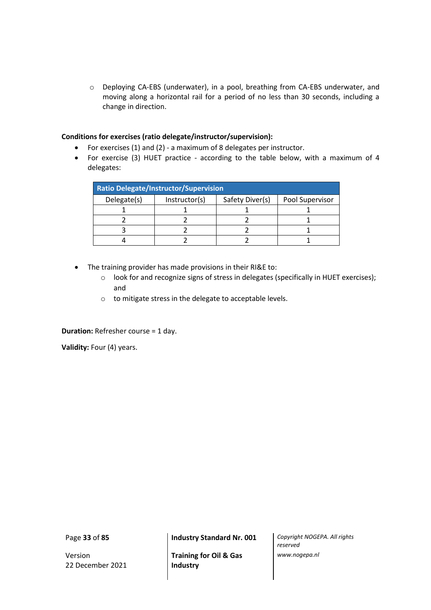o Deploying CA-EBS (underwater), in a pool, breathing from CA-EBS underwater, and moving along a horizontal rail for a period of no less than 30 seconds, including a change in direction.

#### **Conditions for exercises (ratio delegate/instructor/supervision):**

- For exercises (1) and (2) a maximum of 8 delegates per instructor.
- For exercise (3) HUET practice according to the table below, with a maximum of 4 delegates:

| <b>Ratio Delegate/Instructor/Supervision</b> |               |                 |                 |  |  |  |  |
|----------------------------------------------|---------------|-----------------|-----------------|--|--|--|--|
| Delegate(s)                                  | Instructor(s) | Safety Diver(s) | Pool Supervisor |  |  |  |  |
|                                              |               |                 |                 |  |  |  |  |
|                                              |               |                 |                 |  |  |  |  |
|                                              |               |                 |                 |  |  |  |  |
|                                              |               |                 |                 |  |  |  |  |

- The training provider has made provisions in their RI&E to:
	- o look for and recognize signs of stress in delegates (specifically in HUET exercises); and
	- o to mitigate stress in the delegate to acceptable levels.

**Duration:** Refresher course = 1 day.

**Validity:** Four (4) years.

Version 22 December 2021

**Training for Oil & Gas Industry**

Page **33** of **85 Industry Standard Nr. 001** *Copyright NOGEPA. All rights reserved www.nogepa.nl*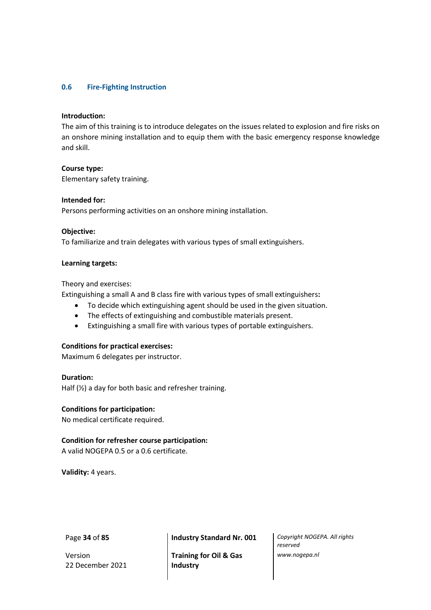#### <span id="page-33-0"></span>**0.6 Fire-Fighting Instruction**

#### **Introduction:**

The aim of this training is to introduce delegates on the issues related to explosion and fire risks on an onshore mining installation and to equip them with the basic emergency response knowledge and skill.

#### **Course type:**

Elementary safety training.

#### **Intended for:**

Persons performing activities on an onshore mining installation.

#### **Objective:**

To familiarize and train delegates with various types of small extinguishers.

#### **Learning targets:**

Theory and exercises:

Extinguishing a small A and B class fire with various types of small extinguishers**:**

- To decide which extinguishing agent should be used in the given situation.
- The effects of extinguishing and combustible materials present.
- Extinguishing a small fire with various types of portable extinguishers.

#### **Conditions for practical exercises:**

Maximum 6 delegates per instructor.

**Duration:** Half (½) a day for both basic and refresher training.

#### **Conditions for participation:**

No medical certificate required.

#### **Condition for refresher course participation:**

A valid NOGEPA 0.5 or a 0.6 certificate.

**Validity:** 4 years.

Version 22 December 2021

Page **34** of **85 Industry Standard Nr. 001** *Copyright NOGEPA. All rights* 

**Training for Oil & Gas Industry**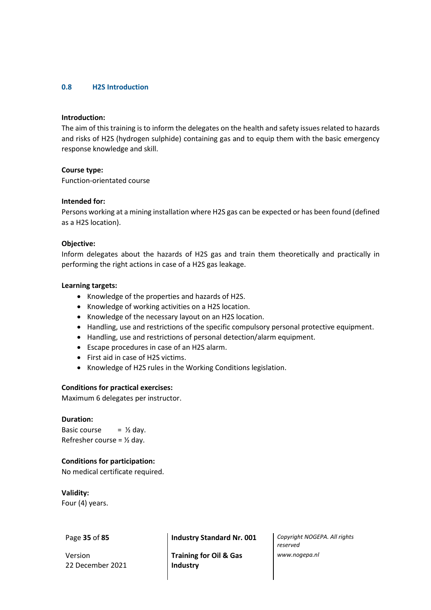#### <span id="page-34-0"></span>**0.8 H2S Introduction**

#### **Introduction:**

The aim of this training is to inform the delegates on the health and safety issues related to hazards and risks of H2S (hydrogen sulphide) containing gas and to equip them with the basic emergency response knowledge and skill.

#### **Course type:**

Function-orientated course

#### **Intended for:**

Persons working at a mining installation where H2S gas can be expected or has been found (defined as a H2S location).

#### **Objective:**

Inform delegates about the hazards of H2S gas and train them theoretically and practically in performing the right actions in case of a H2S gas leakage.

#### **Learning targets:**

- Knowledge of the properties and hazards of H2S.
- Knowledge of working activities on a H2S location.
- Knowledge of the necessary layout on an H2S location.
- Handling, use and restrictions of the specific compulsory personal protective equipment.
- Handling, use and restrictions of personal detection/alarm equipment.
- Escape procedures in case of an H2S alarm.
- First aid in case of H2S victims.
- Knowledge of H2S rules in the Working Conditions legislation.

#### **Conditions for practical exercises:**

Maximum 6 delegates per instructor.

#### **Duration:**

Basic course  $=$   $\frac{1}{2}$  day. Refresher course =  $\frac{1}{2}$  day.

#### **Conditions for participation:**

No medical certificate required.

**Validity:** Four (4) years.

Version 22 December 2021

Page **35** of **85 Industry Standard Nr. 001** *Copyright NOGEPA. All rights* 

**Training for Oil & Gas Industry**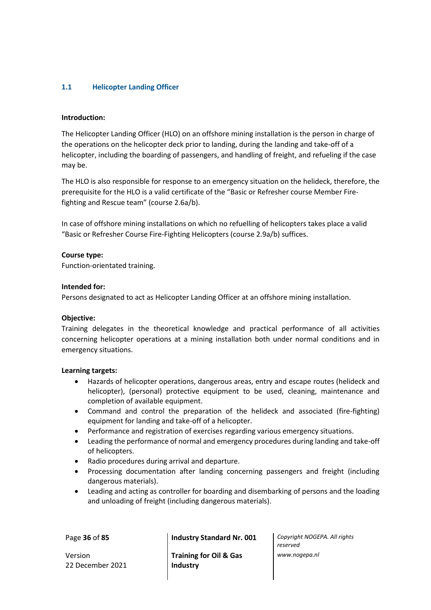# <span id="page-35-0"></span>**1.1 Helicopter Landing Officer**

#### **Introduction:**

The Helicopter Landing Officer (HLO) on an offshore mining installation is the person in charge of the operations on the helicopter deck prior to landing, during the landing and take-off of a helicopter, including the boarding of passengers, and handling of freight, and refueling if the case may be.

The HLO is also responsible for response to an emergency situation on the helideck, therefore, the prerequisite for the HLO is a valid certificate of the "Basic or Refresher course Member Firefighting and Rescue team" (course 2.6a/b).

In case of offshore mining installations on which no refuelling of helicopters takes place a valid "Basic or Refresher Course Fire-Fighting Helicopters (course 2.9a/b) suffices.

#### **Course type:**

Function-orientated training.

#### **Intended for:**

Persons designated to act as Helicopter Landing Officer at an offshore mining installation.

#### **Objective:**

Training delegates in the theoretical knowledge and practical performance of all activities concerning helicopter operations at a mining installation both under normal conditions and in emergency situations.

#### **Learning targets:**

- Hazards of helicopter operations, dangerous areas, entry and escape routes (helideck and helicopter), (personal) protective equipment to be used, cleaning, maintenance and completion of available equipment.
- Command and control the preparation of the helideck and associated (fire-fighting) equipment for landing and take-off of a helicopter.
- Performance and registration of exercises regarding various emergency situations.
- Leading the performance of normal and emergency procedures during landing and take-off of helicopters.
- Radio procedures during arrival and departure.
- Processing documentation after landing concerning passengers and freight (including dangerous materials).
- Leading and acting as controller for boarding and disembarking of persons and the loading and unloading of freight (including dangerous materials).

| Page 36 of 85 | <b>Industry Standard Nr. 001</b>  | Copyright NOGEPA. All rights<br>reserved |
|---------------|-----------------------------------|------------------------------------------|
| Version       | <b>Training for Oil &amp; Gas</b> | www.nogepa.nl                            |

Version 22 December 2021

**Training for Oil & Gas Industry**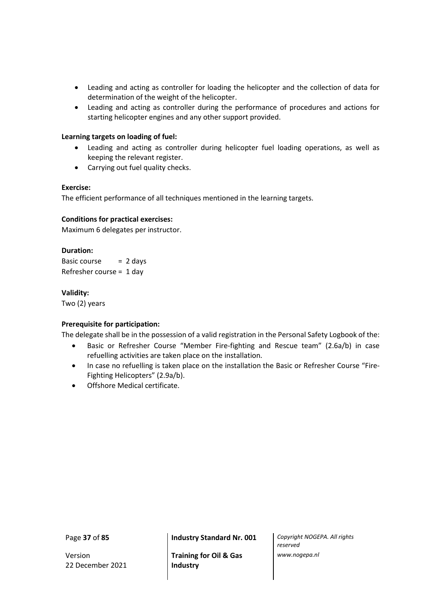- Leading and acting as controller for loading the helicopter and the collection of data for determination of the weight of the helicopter.
- Leading and acting as controller during the performance of procedures and actions for starting helicopter engines and any other support provided.

# **Learning targets on loading of fuel:**

- Leading and acting as controller during helicopter fuel loading operations, as well as keeping the relevant register.
- Carrying out fuel quality checks.

## **Exercise:**

The efficient performance of all techniques mentioned in the learning targets.

## **Conditions for practical exercises:**

Maximum 6 delegates per instructor.

## **Duration:**

Basic course  $= 2$  days Refresher course = 1 day

## **Validity:**

Two (2) years

## **Prerequisite for participation:**

The delegate shall be in the possession of a valid registration in the Personal Safety Logbook of the:

- Basic or Refresher Course "Member Fire-fighting and Rescue team" (2.6a/b) in case refuelling activities are taken place on the installation.
- In case no refuelling is taken place on the installation the Basic or Refresher Course "Fire-Fighting Helicopters" (2.9a/b).
- Offshore Medical certificate.

Version 22 December 2021

Page **37** of **85 Industry Standard Nr. 001** *Copyright NOGEPA. All rights* 

**Training for Oil & Gas Industry**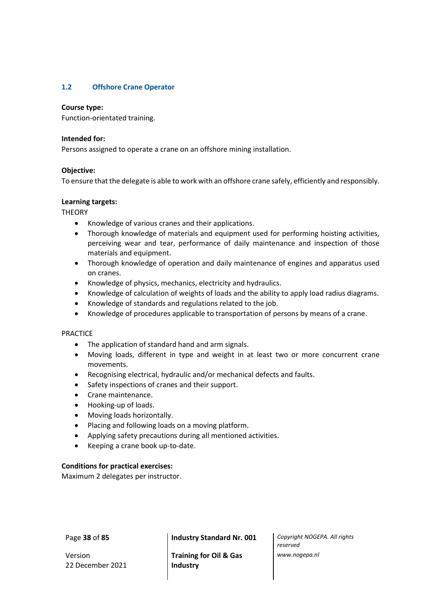# **1.2 Offshore Crane Operator**

## **Course type:**

Function-orientated training.

# **Intended for:**

Persons assigned to operate a crane on an offshore mining installation.

# **Objective:**

To ensure that the delegate is able to work with an offshore crane safely, efficiently and responsibly.

# **Learning targets:**

**THEORY** 

- Knowledge of various cranes and their applications.
- Thorough knowledge of materials and equipment used for performing hoisting activities, perceiving wear and tear, performance of daily maintenance and inspection of those materials and equipment.
- Thorough knowledge of operation and daily maintenance of engines and apparatus used on cranes.
- Knowledge of physics, mechanics, electricity and hydraulics.
- Knowledge of calculation of weights of loads and the ability to apply load radius diagrams.
- Knowledge of standards and regulations related to the job.
- Knowledge of procedures applicable to transportation of persons by means of a crane.

## PRACTICE

- The application of standard hand and arm signals.
- Moving loads, different in type and weight in at least two or more concurrent crane movements.
- Recognising electrical, hydraulic and/or mechanical defects and faults.
- Safety inspections of cranes and their support.
- Crane maintenance.
- Hooking-up of loads.
- Moving loads horizontally.
- Placing and following loads on a moving platform.
- Applying safety precautions during all mentioned activities.
- Keeping a crane book up-to-date.

## **Conditions for practical exercises:**

Maximum 2 delegates per instructor.

Version 22 December 2021

Page **38** of **85 Industry Standard Nr. 001** *Copyright NOGEPA. All rights* 

**Training for Oil & Gas Industry**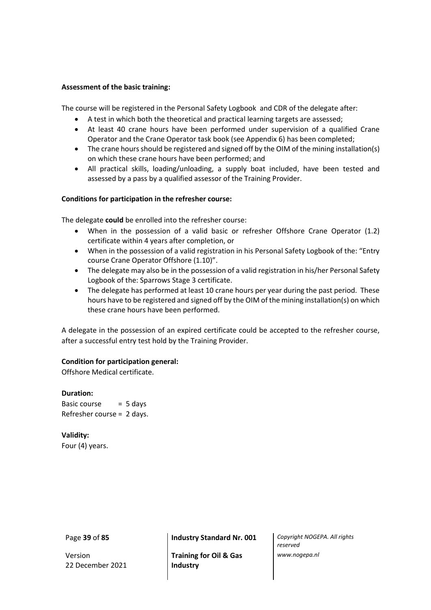## **Assessment of the basic training:**

The course will be registered in the Personal Safety Logbook and CDR of the delegate after:

- A test in which both the theoretical and practical learning targets are assessed;
- At least 40 crane hours have been performed under supervision of a qualified Crane Operator and the Crane Operator task book (see Appendix 6) has been completed;
- The crane hours should be registered and signed off by the OIM of the mining installation(s) on which these crane hours have been performed; and
- All practical skills, loading/unloading, a supply boat included, have been tested and assessed by a pass by a qualified assessor of the Training Provider.

# **Conditions for participation in the refresher course:**

The delegate **could** be enrolled into the refresher course:

- When in the possession of a valid basic or refresher Offshore Crane Operator (1.2) certificate within 4 years after completion, or
- When in the possession of a valid registration in his Personal Safety Logbook of the: "Entry course Crane Operator Offshore (1.10)".
- The delegate may also be in the possession of a valid registration in his/her Personal Safety Logbook of the: Sparrows Stage 3 certificate.
- The delegate has performed at least 10 crane hours per year during the past period. These hours have to be registered and signed off by the OIM of the mining installation(s) on which these crane hours have been performed.

A delegate in the possession of an expired certificate could be accepted to the refresher course, after a successful entry test hold by the Training Provider.

## **Condition for participation general:**

Offshore Medical certificate.

## **Duration:**

Basic course  $= 5$  days Refresher course = 2 days.

**Validity:** Four (4) years.

Version 22 December 2021

Page **39** of **85 Industry Standard Nr. 001** *Copyright NOGEPA. All rights* 

**Training for Oil & Gas Industry**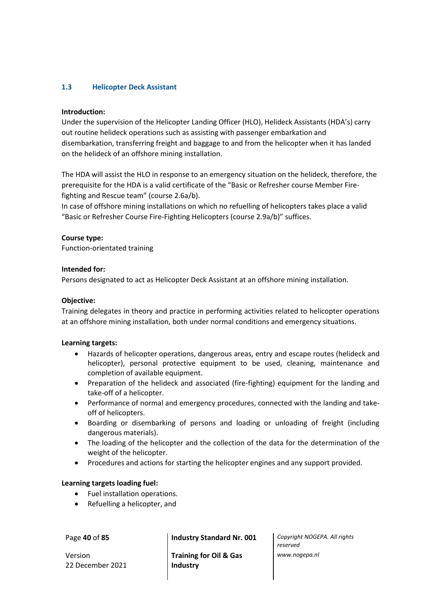# **1.3 Helicopter Deck Assistant**

# **Introduction:**

Under the supervision of the Helicopter Landing Officer (HLO), Helideck Assistants (HDA's) carry out routine helideck operations such as assisting with passenger embarkation and disembarkation, transferring freight and baggage to and from the helicopter when it has landed on the helideck of an offshore mining installation.

The HDA will assist the HLO in response to an emergency situation on the helideck, therefore, the prerequisite for the HDA is a valid certificate of the "Basic or Refresher course Member Firefighting and Rescue team" (course 2.6a/b).

In case of offshore mining installations on which no refuelling of helicopters takes place a valid "Basic or Refresher Course Fire-Fighting Helicopters (course 2.9a/b)" suffices.

# **Course type:**

Function-orientated training

# **Intended for:**

Persons designated to act as Helicopter Deck Assistant at an offshore mining installation.

# **Objective:**

Training delegates in theory and practice in performing activities related to helicopter operations at an offshore mining installation, both under normal conditions and emergency situations.

## **Learning targets:**

- Hazards of helicopter operations, dangerous areas, entry and escape routes (helideck and helicopter), personal protective equipment to be used, cleaning, maintenance and completion of available equipment.
- Preparation of the helideck and associated (fire-fighting) equipment for the landing and take-off of a helicopter.
- Performance of normal and emergency procedures, connected with the landing and takeoff of helicopters.
- Boarding or disembarking of persons and loading or unloading of freight (including dangerous materials).
- The loading of the helicopter and the collection of the data for the determination of the weight of the helicopter.
- Procedures and actions for starting the helicopter engines and any support provided.

## **Learning targets loading fuel:**

- Fuel installation operations.
- Refuelling a helicopter, and

Version 22 December 2021

Page **40** of **85 Industry Standard Nr. 001** *Copyright NOGEPA. All rights* 

**Training for Oil & Gas Industry**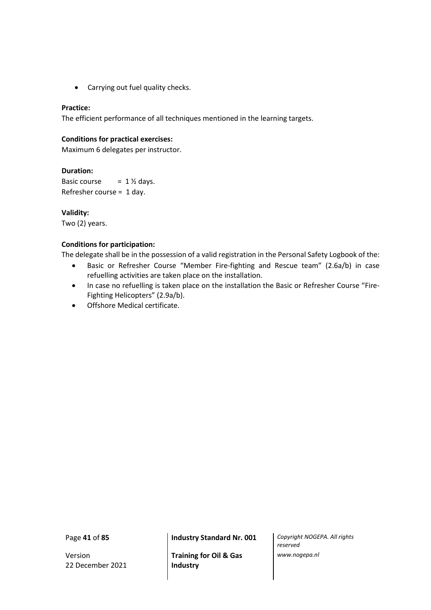• Carrying out fuel quality checks.

# **Practice:**

The efficient performance of all techniques mentioned in the learning targets.

# **Conditions for practical exercises:**

Maximum 6 delegates per instructor.

# **Duration:**

Basic course  $= 1 \frac{1}{2}$  days. Refresher course = 1 day.

# **Validity:**

Two (2) years.

# **Conditions for participation:**

The delegate shall be in the possession of a valid registration in the Personal Safety Logbook of the:

- Basic or Refresher Course "Member Fire-fighting and Rescue team" (2.6a/b) in case refuelling activities are taken place on the installation.
- In case no refuelling is taken place on the installation the Basic or Refresher Course "Fire-Fighting Helicopters" (2.9a/b).
- Offshore Medical certificate.

Version 22 December 2021

Page **41** of **85 Industry Standard Nr. 001** *Copyright NOGEPA. All rights* 

**Training for Oil & Gas Industry**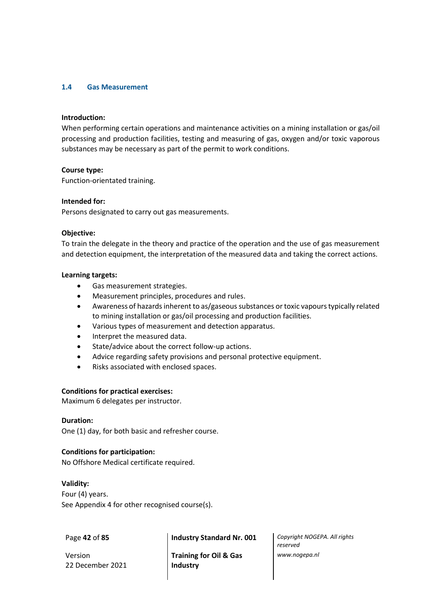### **1.4 Gas Measurement**

#### **Introduction:**

When performing certain operations and maintenance activities on a mining installation or gas/oil processing and production facilities, testing and measuring of gas, oxygen and/or toxic vaporous substances may be necessary as part of the permit to work conditions.

#### **Course type:**

Function-orientated training.

#### **Intended for:**

Persons designated to carry out gas measurements.

#### **Objective:**

To train the delegate in the theory and practice of the operation and the use of gas measurement and detection equipment, the interpretation of the measured data and taking the correct actions.

#### **Learning targets:**

- Gas measurement strategies.
- Measurement principles, procedures and rules.
- Awareness of hazards inherent to as/gaseous substances or toxic vapours typically related to mining installation or gas/oil processing and production facilities.
- Various types of measurement and detection apparatus.
- Interpret the measured data.
- State/advice about the correct follow-up actions.
- Advice regarding safety provisions and personal protective equipment.
- Risks associated with enclosed spaces.

## **Conditions for practical exercises:**

Maximum 6 delegates per instructor.

## **Duration:**

One (1) day, for both basic and refresher course.

## **Conditions for participation:**

No Offshore Medical certificate required.

#### **Validity:**

Four (4) years. See Appendix 4 for other recognised course(s).

Version 22 December 2021

Page **42** of **85 Industry Standard Nr. 001** *Copyright NOGEPA. All rights* 

**Training for Oil & Gas Industry**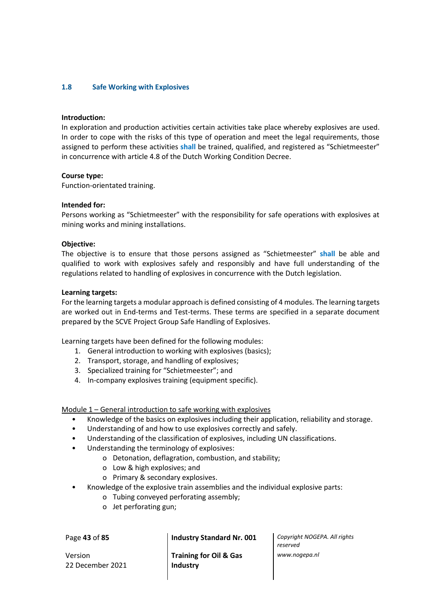# **1.8 Safe Working with Explosives**

#### **Introduction:**

In exploration and production activities certain activities take place whereby explosives are used. In order to cope with the risks of this type of operation and meet the legal requirements, those assigned to perform these activities **shall** be trained, qualified, and registered as "Schietmeester" in concurrence with article 4.8 of the Dutch Working Condition Decree.

#### **Course type:**

Function-orientated training.

#### **Intended for:**

Persons working as "Schietmeester" with the responsibility for safe operations with explosives at mining works and mining installations.

#### **Objective:**

The objective is to ensure that those persons assigned as "Schietmeester" **shall** be able and qualified to work with explosives safely and responsibly and have full understanding of the regulations related to handling of explosives in concurrence with the Dutch legislation.

#### **Learning targets:**

For the learning targets a modular approach is defined consisting of 4 modules. The learning targets are worked out in End-terms and Test-terms. These terms are specified in a separate document prepared by the SCVE Project Group Safe Handling of Explosives.

Learning targets have been defined for the following modules:

- 1. General introduction to working with explosives (basics);
- 2. Transport, storage, and handling of explosives;
- 3. Specialized training for "Schietmeester"; and
- 4. In-company explosives training (equipment specific).

Module 1 – General introduction to safe working with explosives

- Knowledge of the basics on explosives including their application, reliability and storage.
- Understanding of and how to use explosives correctly and safely.
- Understanding of the classification of explosives, including UN classifications.
- Understanding the terminology of explosives:
	- o Detonation, deflagration, combustion, and stability;
	- o Low & high explosives; and
	- o Primary & secondary explosives.
- Knowledge of the explosive train assemblies and the individual explosive parts:
	- o Tubing conveyed perforating assembly;
	- o Jet perforating gun;

Version 22 December 2021

**Training for Oil & Gas Industry**

Page **43** of **85 Industry Standard Nr. 001** *Copyright NOGEPA. All rights reserved www.nogepa.nl*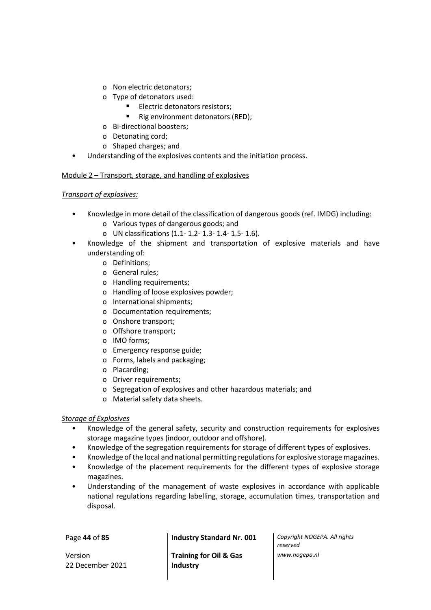- o Non electric detonators;
- o Type of detonators used:
	- **■** Electric detonators resistors;
	- Rig environment detonators (RED);
- o Bi-directional boosters;
- o Detonating cord;
- o Shaped charges; and
- Understanding of the explosives contents and the initiation process.

# Module 2 – Transport, storage, and handling of explosives

# *Transport of explosives:*

- Knowledge in more detail of the classification of dangerous goods (ref. IMDG) including:
	- o Various types of dangerous goods; and
	- o UN classifications (1.1- 1.2- 1.3- 1.4- 1.5- 1.6).
- Knowledge of the shipment and transportation of explosive materials and have understanding of:
	- o Definitions;
	- o General rules;
	- o Handling requirements;
	- o Handling of loose explosives powder;
	- o International shipments;
	- o Documentation requirements;
	- o Onshore transport;
	- o Offshore transport;
	- o IMO forms;
	- o Emergency response guide;
	- o Forms, labels and packaging;
	- o Placarding;
	- o Driver requirements;
	- o Segregation of explosives and other hazardous materials; and
	- o Material safety data sheets.

# *Storage of Explosives*

- Knowledge of the general safety, security and construction requirements for explosives storage magazine types (indoor, outdoor and offshore).
- Knowledge of the segregation requirements for storage of different types of explosives.
- Knowledge of the local and national permitting regulations for explosive storage magazines.
- Knowledge of the placement requirements for the different types of explosive storage magazines.
- Understanding of the management of waste explosives in accordance with applicable national regulations regarding labelling, storage, accumulation times, transportation and disposal.

Version 22 December 2021

Page **44** of **85 Industry Standard Nr. 001** *Copyright NOGEPA. All rights* 

**Training for Oil & Gas Industry**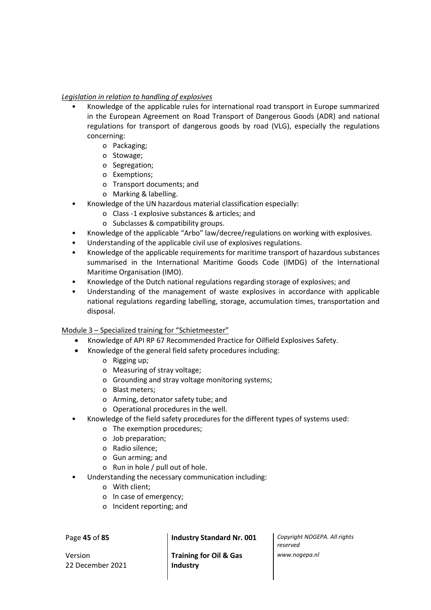# *Legislation in relation to handling of explosives*

- Knowledge of the applicable rules for international road transport in Europe summarized in the European Agreement on Road Transport of Dangerous Goods (ADR) and national regulations for transport of dangerous goods by road (VLG), especially the regulations concerning:
	- o Packaging;
	- o Stowage;
	- o Segregation;
	- o Exemptions;
	- o Transport documents; and
	- o Marking & labelling.
- Knowledge of the UN hazardous material classification especially:
	- o Class -1 explosive substances & articles; and
	- o Subclasses & compatibility groups.
- Knowledge of the applicable "Arbo" law/decree/regulations on working with explosives.
- Understanding of the applicable civil use of explosives regulations.
- Knowledge of the applicable requirements for maritime transport of hazardous substances summarised in the International Maritime Goods Code (IMDG) of the International Maritime Organisation (IMO).
- Knowledge of the Dutch national regulations regarding storage of explosives; and
- Understanding of the management of waste explosives in accordance with applicable national regulations regarding labelling, storage, accumulation times, transportation and disposal.

Module 3 – Specialized training for "Schietmeester"

- Knowledge of API RP 67 Recommended Practice for Oilfield Explosives Safety.
- Knowledge of the general field safety procedures including:
	- o Rigging up;
	- o Measuring of stray voltage;
	- o Grounding and stray voltage monitoring systems;
	- o Blast meters;
	- o Arming, detonator safety tube; and
	- o Operational procedures in the well.
- Knowledge of the field safety procedures for the different types of systems used:
	- o The exemption procedures;
	- o Job preparation;
	- o Radio silence;
	- o Gun arming; and
	- o Run in hole / pull out of hole.
- Understanding the necessary communication including:
	- o With client;
	- o In case of emergency;
	- o Incident reporting; and

Version 22 December 2021

Page **45** of **85 Industry Standard Nr. 001** *Copyright NOGEPA. All rights* 

**Training for Oil & Gas Industry**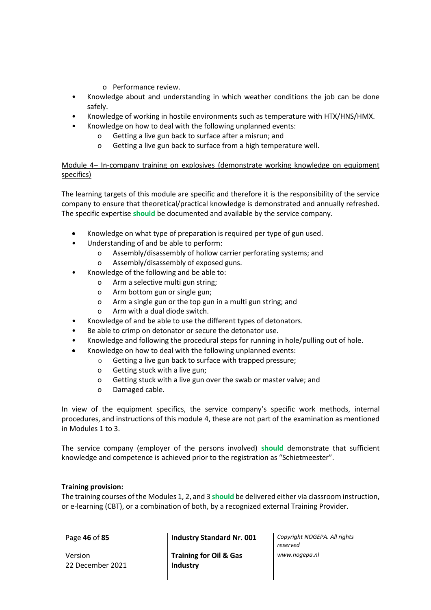- o Performance review.
- Knowledge about and understanding in which weather conditions the job can be done safely.
- Knowledge of working in hostile environments such as temperature with HTX/HNS/HMX.
- Knowledge on how to deal with the following unplanned events:
	- o Getting a live gun back to surface after a misrun; and
	- o Getting a live gun back to surface from a high temperature well.

# Module 4– In-company training on explosives (demonstrate working knowledge on equipment specifics)

The learning targets of this module are specific and therefore it is the responsibility of the service company to ensure that theoretical/practical knowledge is demonstrated and annually refreshed. The specific expertise **should** be documented and available by the service company.

- Knowledge on what type of preparation is required per type of gun used.
- Understanding of and be able to perform:
	- o Assembly/disassembly of hollow carrier perforating systems; and
	- o Assembly/disassembly of exposed guns.
- Knowledge of the following and be able to:
	- o Arm a selective multi gun string;
	- o Arm bottom gun or single gun;
	- o Arm a single gun or the top gun in a multi gun string; and
	- o Arm with a dual diode switch.
- Knowledge of and be able to use the different types of detonators.
- Be able to crimp on detonator or secure the detonator use.
- Knowledge and following the procedural steps for running in hole/pulling out of hole.
- Knowledge on how to deal with the following unplanned events:
	- o Getting a live gun back to surface with trapped pressure;
	- o Getting stuck with a live gun;
	- o Getting stuck with a live gun over the swab or master valve; and
	- o Damaged cable.

In view of the equipment specifics, the service company's specific work methods, internal procedures, and instructions of this module 4, these are not part of the examination as mentioned in Modules 1 to 3.

The service company (employer of the persons involved) **should** demonstrate that sufficient knowledge and competence is achieved prior to the registration as "Schietmeester".

## **Training provision:**

The training courses of the Modules 1, 2, and 3 **should** be delivered either via classroom instruction, or e-learning (CBT), or a combination of both, by a recognized external Training Provider.

Version 22 December 2021

Page **46** of **85 Industry Standard Nr. 001** *Copyright NOGEPA. All rights* 

**Training for Oil & Gas Industry**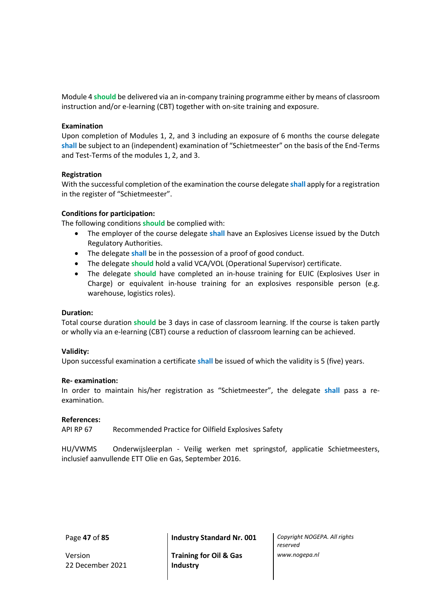Module 4 **should** be delivered via an in-company training programme either by means of classroom instruction and/or e-learning (CBT) together with on-site training and exposure.

## **Examination**

Upon completion of Modules 1, 2, and 3 including an exposure of 6 months the course delegate **shall** be subject to an (independent) examination of "Schietmeester" on the basis of the End-Terms and Test-Terms of the modules 1, 2, and 3.

#### **Registration**

With the successful completion of the examination the course delegate **shall** apply for a registration in the register of "Schietmeester".

#### **Conditions for participation:**

The following conditions **should** be complied with:

- The employer of the course delegate **shall** have an Explosives License issued by the Dutch Regulatory Authorities.
- The delegate **shall** be in the possession of a proof of good conduct.
- The delegate **should** hold a valid VCA/VOL (Operational Supervisor) certificate.
- The delegate **should** have completed an in-house training for EUIC (Explosives User in Charge) or equivalent in-house training for an explosives responsible person (e.g. warehouse, logistics roles).

## **Duration:**

Total course duration **should** be 3 days in case of classroom learning. If the course is taken partly or wholly via an e-learning (CBT) course a reduction of classroom learning can be achieved.

#### **Validity:**

Upon successful examination a certificate **shall** be issued of which the validity is 5 (five) years.

#### **Re- examination:**

In order to maintain his/her registration as "Schietmeester", the delegate **shall** pass a reexamination.

## **References:**

API RP 67 Recommended Practice for Oilfield Explosives Safety

HU/VWMS Onderwijsleerplan - Veilig werken met springstof, applicatie Schietmeesters, inclusief aanvullende ETT Olie en Gas, September 2016.

Version 22 December 2021

Page **47** of **85 Industry Standard Nr. 001** *Copyright NOGEPA. All rights* 

**Training for Oil & Gas Industry**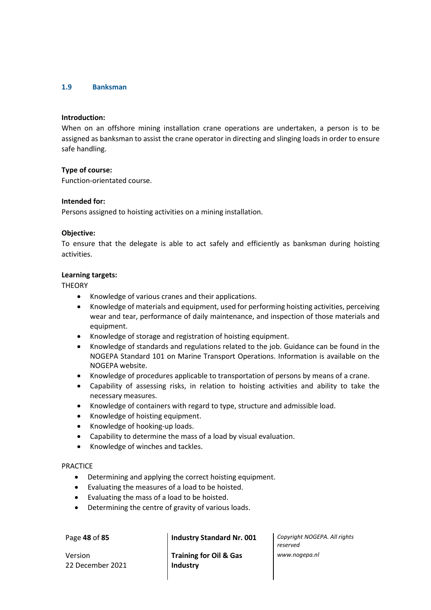### **1.9 Banksman**

#### **Introduction:**

When on an offshore mining installation crane operations are undertaken, a person is to be assigned as banksman to assist the crane operator in directing and slinging loads in order to ensure safe handling.

#### **Type of course:**

Function-orientated course.

#### **Intended for:**

Persons assigned to hoisting activities on a mining installation.

#### **Objective:**

To ensure that the delegate is able to act safely and efficiently as banksman during hoisting activities.

### **Learning targets:**

**THEORY** 

- Knowledge of various cranes and their applications.
- Knowledge of materials and equipment, used for performing hoisting activities, perceiving wear and tear, performance of daily maintenance, and inspection of those materials and equipment.
- Knowledge of storage and registration of hoisting equipment.
- Knowledge of standards and regulations related to the job. Guidance can be found in the NOGEPA Standard 101 on Marine Transport Operations. Information is available on the NOGEPA website.
- Knowledge of procedures applicable to transportation of persons by means of a crane.
- Capability of assessing risks, in relation to hoisting activities and ability to take the necessary measures.
- Knowledge of containers with regard to type, structure and admissible load.
- Knowledge of hoisting equipment.
- Knowledge of hooking-up loads.
- Capability to determine the mass of a load by visual evaluation.
- Knowledge of winches and tackles.

#### PRACTICE

- Determining and applying the correct hoisting equipment.
- Evaluating the measures of a load to be hoisted.
- Evaluating the mass of a load to be hoisted.
- Determining the centre of gravity of various loads.

Version 22 December 2021

**Training for Oil & Gas Industry**

Page **48** of **85 Industry Standard Nr. 001** *Copyright NOGEPA. All rights reserved www.nogepa.nl*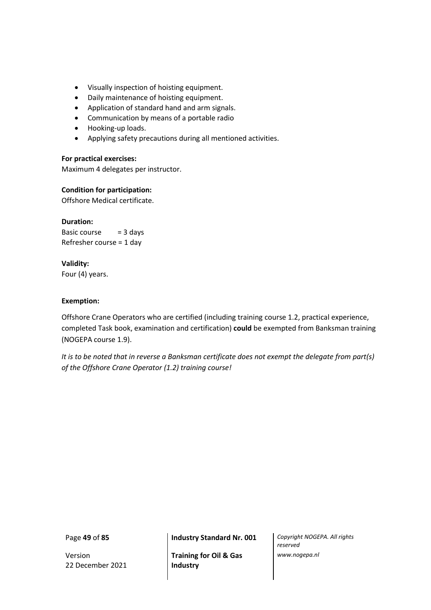- Visually inspection of hoisting equipment.
- Daily maintenance of hoisting equipment.
- Application of standard hand and arm signals.
- Communication by means of a portable radio
- Hooking-up loads.
- Applying safety precautions during all mentioned activities.

#### **For practical exercises:**

Maximum 4 delegates per instructor.

# **Condition for participation:**

Offshore Medical certificate.

#### **Duration:**

Basic course  $= 3$  days Refresher course = 1 day

## **Validity:**

Four (4) years.

## **Exemption:**

Offshore Crane Operators who are certified (including training course 1.2, practical experience, completed Task book, examination and certification) **could** be exempted from Banksman training (NOGEPA course 1.9).

*It is to be noted that in reverse a Banksman certificate does not exempt the delegate from part(s) of the Offshore Crane Operator (1.2) training course!*

Version 22 December 2021

**Training for Oil & Gas Industry**

Page **49** of **85 Industry Standard Nr. 001** *Copyright NOGEPA. All rights reserved www.nogepa.nl*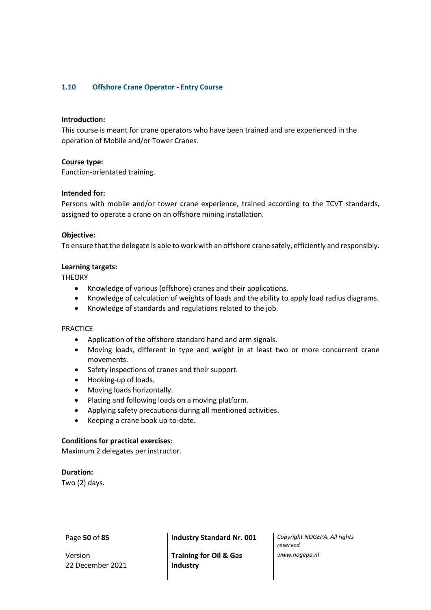# **1.10 Offshore Crane Operator - Entry Course**

#### **Introduction:**

This course is meant for crane operators who have been trained and are experienced in the operation of Mobile and/or Tower Cranes.

#### **Course type:**

Function-orientated training.

#### **Intended for:**

Persons with mobile and/or tower crane experience, trained according to the TCVT standards, assigned to operate a crane on an offshore mining installation.

#### **Objective:**

To ensure that the delegate is able to work with an offshore crane safely, efficiently and responsibly.

#### **Learning targets:**

**THEORY** 

- Knowledge of various (offshore) cranes and their applications.
- Knowledge of calculation of weights of loads and the ability to apply load radius diagrams.
- Knowledge of standards and regulations related to the job.

#### PRACTICE

- Application of the offshore standard hand and arm signals.
- Moving loads, different in type and weight in at least two or more concurrent crane movements.
- Safety inspections of cranes and their support.
- Hooking-up of loads.
- Moving loads horizontally.
- Placing and following loads on a moving platform.
- Applying safety precautions during all mentioned activities.
- Keeping a crane book up-to-date.

#### **Conditions for practical exercises:**

Maximum 2 delegates per instructor.

**Duration:** Two (2) days.

Version 22 December 2021

Page **50** of **85 Industry Standard Nr. 001** *Copyright NOGEPA. All rights* 

**Training for Oil & Gas Industry**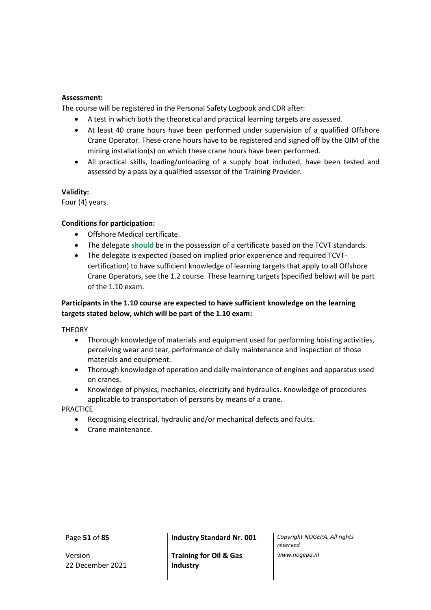## **Assessment:**

The course will be registered in the Personal Safety Logbook and CDR after:

- A test in which both the theoretical and practical learning targets are assessed.
- At least 40 crane hours have been performed under supervision of a qualified Offshore Crane Operator. These crane hours have to be registered and signed off by the OIM of the mining installation(s) on which these crane hours have been performed.
- All practical skills, loading/unloading of a supply boat included, have been tested and assessed by a pass by a qualified assessor of the Training Provider.

## **Validity:**

Four (4) years.

# **Conditions for participation:**

- Offshore Medical certificate.
- The delegate **should** be in the possession of a certificate based on the TCVT standards.
- The delegate is expected (based on implied prior experience and required TCVTcertification) to have sufficient knowledge of learning targets that apply to all Offshore Crane Operators, see the 1.2 course. These learning targets (specified below) will be part of the 1.10 exam.

# **Participants in the 1.10 course are expected to have sufficient knowledge on the learning targets stated below, which will be part of the 1.10 exam:**

**THEORY** 

- Thorough knowledge of materials and equipment used for performing hoisting activities, perceiving wear and tear, performance of daily maintenance and inspection of those materials and equipment.
- Thorough knowledge of operation and daily maintenance of engines and apparatus used on cranes.
- Knowledge of physics, mechanics, electricity and hydraulics. Knowledge of procedures applicable to transportation of persons by means of a crane.

PRACTICE

- Recognising electrical, hydraulic and/or mechanical defects and faults.
- Crane maintenance.

Version 22 December 2021

Page **51** of **85 Industry Standard Nr. 001** *Copyright NOGEPA. All rights* 

**Training for Oil & Gas Industry**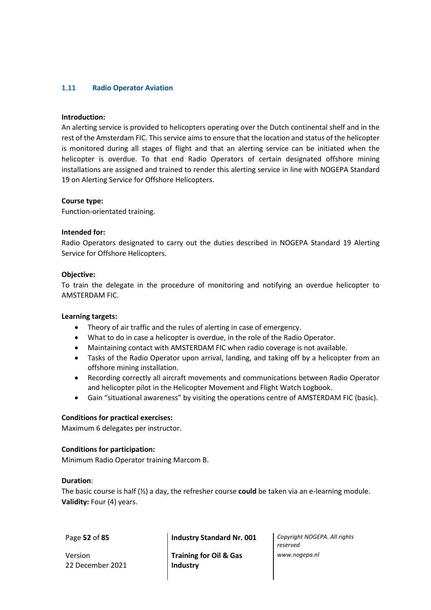# **1**.**11 Radio Operator Aviation**

#### **Introduction:**

An alerting service is provided to helicopters operating over the Dutch continental shelf and in the rest of the Amsterdam FIC. This service aims to ensure that the location and status of the helicopter is monitored during all stages of flight and that an alerting service can be initiated when the helicopter is overdue. To that end Radio Operators of certain designated offshore mining installations are assigned and trained to render this alerting service in line with NOGEPA Standard 19 on Alerting Service for Offshore Helicopters.

#### **Course type:**

Function-orientated training.

#### **Intended for:**

Radio Operators designated to carry out the duties described in NOGEPA Standard 19 Alerting Service for Offshore Helicopters.

#### **Objective:**

To train the delegate in the procedure of monitoring and notifying an overdue helicopter to AMSTERDAM FIC.

## **Learning targets:**

- Theory of air traffic and the rules of alerting in case of emergency.
- What to do in case a helicopter is overdue, in the role of the Radio Operator.
- Maintaining contact with AMSTERDAM FIC when radio coverage is not available.
- Tasks of the Radio Operator upon arrival, landing, and taking off by a helicopter from an offshore mining installation.
- Recording correctly all aircraft movements and communications between Radio Operator and helicopter pilot in the Helicopter Movement and Flight Watch Logbook.
- Gain "situational awareness" by visiting the operations centre of AMSTERDAM FIC (basic).

#### **Conditions for practical exercises:**

Maximum 6 delegates per instructor.

## **Conditions for participation:**

Minimum Radio Operator training Marcom B.

#### **Duration**:

The basic course is half (½) a day, the refresher course **could** be taken via an e-learning module. **Validity:** Four (4) years.

Version 22 December 2021

Page **52** of **85 Industry Standard Nr. 001** *Copyright NOGEPA. All rights* 

**Training for Oil & Gas Industry**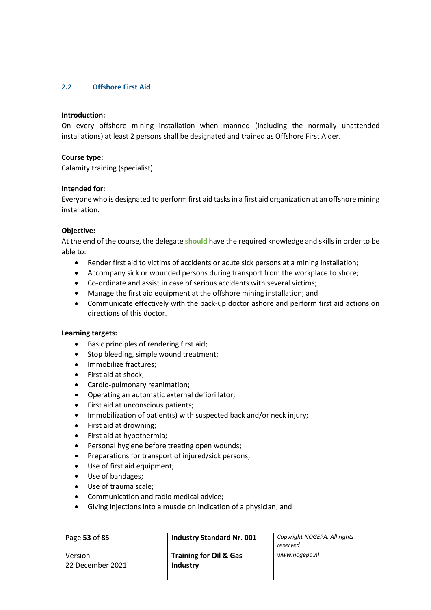# **2.2 Offshore First Aid**

### **Introduction:**

On every offshore mining installation when manned (including the normally unattended installations) at least 2 persons shall be designated and trained as Offshore First Aider.

#### **Course type:**

Calamity training (specialist).

#### **Intended for:**

Everyone who is designated to perform first aid tasks in a first aid organization at an offshore mining installation.

#### **Objective:**

At the end of the course, the delegate **should** have the required knowledge and skills in order to be able to:

- Render first aid to victims of accidents or acute sick persons at a mining installation;
- Accompany sick or wounded persons during transport from the workplace to shore;
- Co-ordinate and assist in case of serious accidents with several victims;
- Manage the first aid equipment at the offshore mining installation; and
- Communicate effectively with the back-up doctor ashore and perform first aid actions on directions of this doctor.

#### **Learning targets:**

- Basic principles of rendering first aid;
- Stop bleeding, simple wound treatment;
- Immobilize fractures;
- First aid at shock;
- Cardio-pulmonary reanimation;
- Operating an automatic external defibrillator;
- First aid at unconscious patients;
- Immobilization of patient(s) with suspected back and/or neck injury;
- First aid at drowning;
- First aid at hypothermia;
- Personal hygiene before treating open wounds;
- Preparations for transport of injured/sick persons;
- Use of first aid equipment;
- Use of bandages;
- Use of trauma scale;
- Communication and radio medical advice;
- Giving injections into a muscle on indication of a physician; and

Version 22 December 2021

Page **53** of **85 Industry Standard Nr. 001** *Copyright NOGEPA. All rights* 

**Training for Oil & Gas Industry**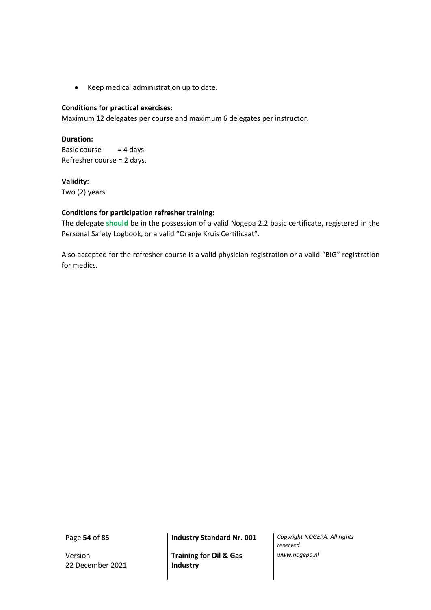• Keep medical administration up to date.

## **Conditions for practical exercises:**

Maximum 12 delegates per course and maximum 6 delegates per instructor.

# **Duration:**

Basic course  $= 4$  days. Refresher course = 2 days.

# **Validity:**

Two (2) years.

# **Conditions for participation refresher training:**

The delegate **should** be in the possession of a valid Nogepa 2.2 basic certificate, registered in the Personal Safety Logbook, or a valid "Oranje Kruis Certificaat".

Also accepted for the refresher course is a valid physician registration or a valid "BIG" registration for medics.

Version 22 December 2021

**Training for Oil & Gas Industry**

Page **54** of **85 Industry Standard Nr. 001** *Copyright NOGEPA. All rights reserved www.nogepa.nl*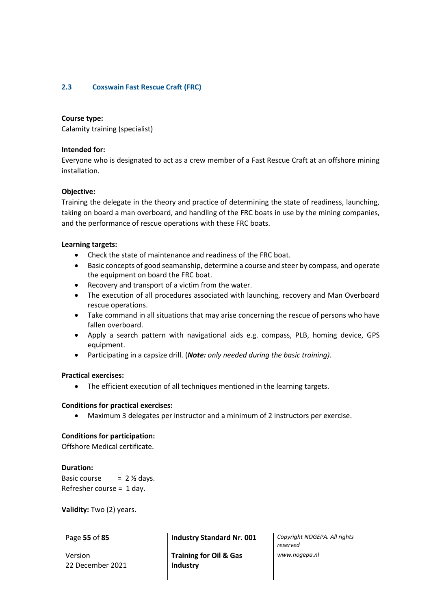# **2.3 Coxswain Fast Rescue Craft (FRC)**

## **Course type:**

Calamity training (specialist)

## **Intended for:**

Everyone who is designated to act as a crew member of a Fast Rescue Craft at an offshore mining installation.

## **Objective:**

Training the delegate in the theory and practice of determining the state of readiness, launching, taking on board a man overboard, and handling of the FRC boats in use by the mining companies, and the performance of rescue operations with these FRC boats.

## **Learning targets:**

- Check the state of maintenance and readiness of the FRC boat.
- Basic concepts of good seamanship, determine a course and steer by compass, and operate the equipment on board the FRC boat.
- Recovery and transport of a victim from the water.
- The execution of all procedures associated with launching, recovery and Man Overboard rescue operations.
- Take command in all situations that may arise concerning the rescue of persons who have fallen overboard.
- Apply a search pattern with navigational aids e.g. compass, PLB, homing device, GPS equipment.
- Participating in a capsize drill. (*Note: only needed during the basic training).*

## **Practical exercises:**

• The efficient execution of all techniques mentioned in the learning targets.

## **Conditions for practical exercises:**

• Maximum 3 delegates per instructor and a minimum of 2 instructors per exercise.

## **Conditions for participation:**

Offshore Medical certificate.

## **Duration:**

Basic course  $= 2 \frac{1}{2}$  days. Refresher course = 1 day.

**Validity:** Two (2) years.

Version 22 December 2021

Page **55** of **85 Industry Standard Nr. 001** *Copyright NOGEPA. All rights* 

**Training for Oil & Gas Industry**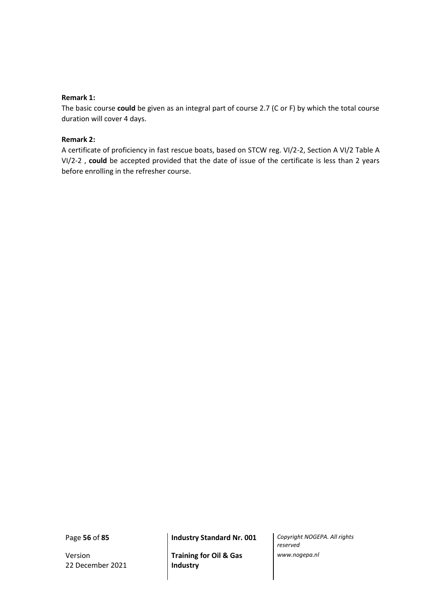## **Remark 1:**

The basic course **could** be given as an integral part of course 2.7 (C or F) by which the total course duration will cover 4 days.

# **Remark 2:**

A certificate of proficiency in fast rescue boats, based on STCW reg. VI/2-2, Section A VI/2 Table A VI/2-2 , **could** be accepted provided that the date of issue of the certificate is less than 2 years before enrolling in the refresher course.

Version 22 December 2021

**Training for Oil & Gas Industry**

Page **56** of **85 Industry Standard Nr. 001** *Copyright NOGEPA. All rights reserved www.nogepa.nl*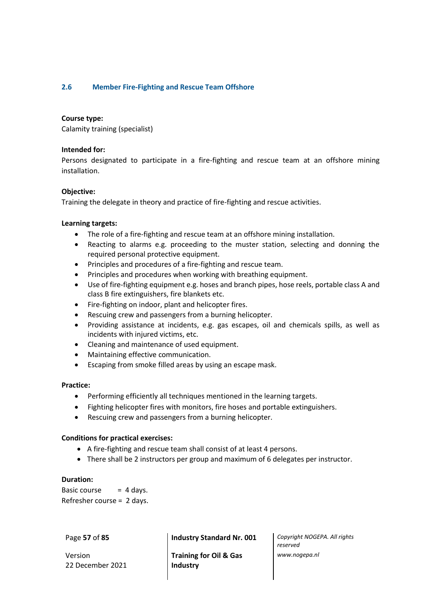# **2.6 Member Fire-Fighting and Rescue Team Offshore**

## **Course type:**

Calamity training (specialist)

### **Intended for:**

Persons designated to participate in a fire-fighting and rescue team at an offshore mining installation.

## **Objective:**

Training the delegate in theory and practice of fire-fighting and rescue activities.

## **Learning targets:**

- The role of a fire-fighting and rescue team at an offshore mining installation.
- Reacting to alarms e.g. proceeding to the muster station, selecting and donning the required personal protective equipment.
- Principles and procedures of a fire-fighting and rescue team.
- Principles and procedures when working with breathing equipment.
- Use of fire-fighting equipment e.g. hoses and branch pipes, hose reels, portable class A and class B fire extinguishers, fire blankets etc.
- Fire-fighting on indoor, plant and helicopter fires.
- Rescuing crew and passengers from a burning helicopter.
- Providing assistance at incidents, e.g. gas escapes, oil and chemicals spills, as well as incidents with injured victims, etc.
- Cleaning and maintenance of used equipment.
- Maintaining effective communication.
- Escaping from smoke filled areas by using an escape mask.

## **Practice:**

- Performing efficiently all techniques mentioned in the learning targets.
- Fighting helicopter fires with monitors, fire hoses and portable extinguishers.
- Rescuing crew and passengers from a burning helicopter.

## **Conditions for practical exercises:**

- A fire-fighting and rescue team shall consist of at least 4 persons.
- There shall be 2 instructors per group and maximum of 6 delegates per instructor.

## **Duration:**

Basic course  $= 4$  days. Refresher course = 2 days.

Version 22 December 2021

Page **57** of **85 Industry Standard Nr. 001** *Copyright NOGEPA. All rights* 

**Training for Oil & Gas Industry**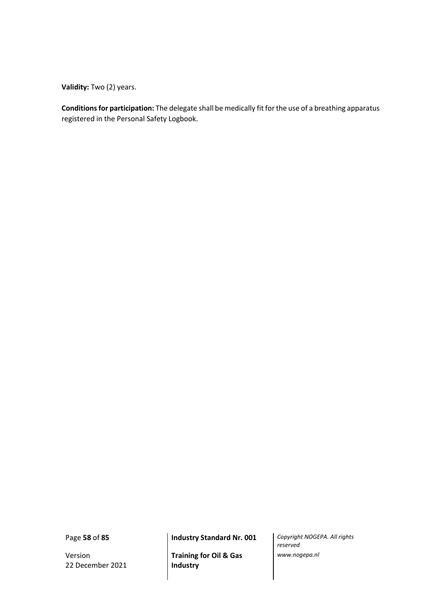**Validity:** Two (2) years.

**Conditions for participation:** The delegate shall be medically fit for the use of a breathing apparatus registered in the Personal Safety Logbook.

Version 22 December 2021

**Training for Oil & Gas Industry**

Page **58** of **85 Industry Standard Nr. 001** *Copyright NOGEPA. All rights reserved www.nogepa.nl*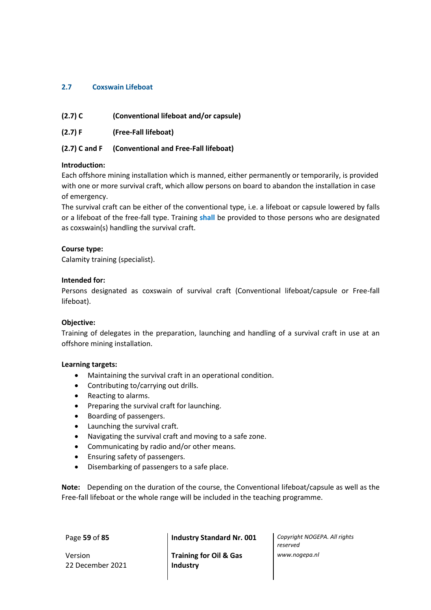# **2.7 Coxswain Lifeboat**

| $(2.7)$ C | (Conventional lifeboat and/or capsule) |
|-----------|----------------------------------------|
|-----------|----------------------------------------|

**(2.7) F (Free-Fall lifeboat)**

# **(2.7) C and F (Conventional and Free-Fall lifeboat)**

# **Introduction:**

Each offshore mining installation which is manned, either permanently or temporarily, is provided with one or more survival craft, which allow persons on board to abandon the installation in case of emergency.

The survival craft can be either of the conventional type, i.e. a lifeboat or capsule lowered by falls or a lifeboat of the free-fall type. Training **shall** be provided to those persons who are designated as coxswain(s) handling the survival craft.

# **Course type:**

Calamity training (specialist).

# **Intended for:**

Persons designated as coxswain of survival craft (Conventional lifeboat/capsule or Free-fall lifeboat).

# **Objective:**

Training of delegates in the preparation, launching and handling of a survival craft in use at an offshore mining installation.

## **Learning targets:**

- Maintaining the survival craft in an operational condition.
- Contributing to/carrying out drills.
- Reacting to alarms.
- Preparing the survival craft for launching.
- Boarding of passengers.
- Launching the survival craft.
- Navigating the survival craft and moving to a safe zone.
- Communicating by radio and/or other means.
- Ensuring safety of passengers.
- Disembarking of passengers to a safe place.

**Note:** Depending on the duration of the course, the Conventional lifeboat/capsule as well as the Free-fall lifeboat or the whole range will be included in the teaching programme.

Version 22 December 2021

Page **59** of **85 Industry Standard Nr. 001** *Copyright NOGEPA. All rights* 

**Training for Oil & Gas Industry**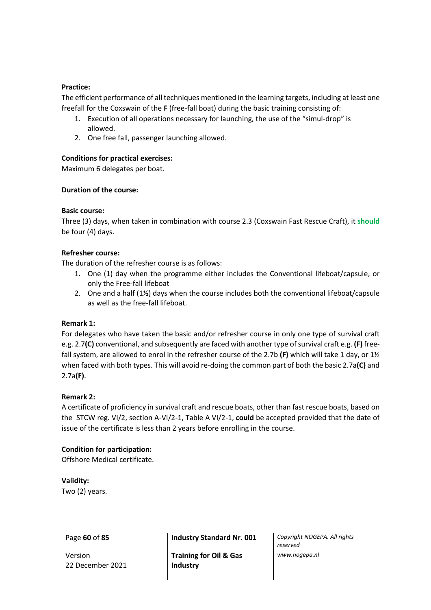# **Practice:**

The efficient performance of all techniques mentioned in the learning targets, including at least one freefall for the Coxswain of the **F** (free-fall boat) during the basic training consisting of:

- 1. Execution of all operations necessary for launching, the use of the "simul-drop" is allowed.
- 2. One free fall, passenger launching allowed.

# **Conditions for practical exercises:**

Maximum 6 delegates per boat.

# **Duration of the course:**

# **Basic course:**

Three (3) days, when taken in combination with course 2.3 (Coxswain Fast Rescue Craft), it **should** be four (4) days.

# **Refresher course:**

The duration of the refresher course is as follows:

- 1. One (1) day when the programme either includes the Conventional lifeboat/capsule, or only the Free-fall lifeboat
- 2. One and a half (1½) days when the course includes both the conventional lifeboat/capsule as well as the free-fall lifeboat.

## **Remark 1:**

For delegates who have taken the basic and/or refresher course in only one type of survival craft e.g. 2.7**(C)** conventional, and subsequently are faced with another type of survival craft e.g. **(F)** freefall system, are allowed to enrol in the refresher course of the 2.7b **(F)** which will take 1 day, or 1½ when faced with both types. This will avoid re-doing the common part of both the basic 2.7a**(C)** and 2.7a**(F)**.

# **Remark 2:**

A certificate of proficiency in survival craft and rescue boats, other than fast rescue boats, based on the STCW reg. VI/2, section A-VI/2-1, Table A VI/2-1, **could** be accepted provided that the date of issue of the certificate is less than 2 years before enrolling in the course.

# **Condition for participation:**

Offshore Medical certificate.

**Validity:** Two (2) years.

Version 22 December 2021

Page **60** of **85 Industry Standard Nr. 001** *Copyright NOGEPA. All rights* 

**Training for Oil & Gas Industry**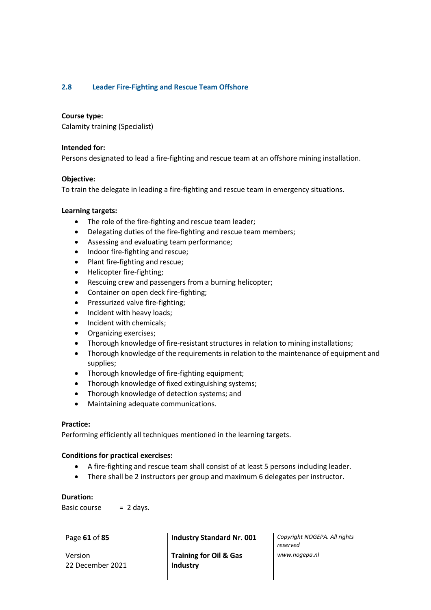# **2.8 Leader Fire-Fighting and Rescue Team Offshore**

### **Course type:**

Calamity training (Specialist)

#### **Intended for:**

Persons designated to lead a fire-fighting and rescue team at an offshore mining installation.

#### **Objective:**

To train the delegate in leading a fire-fighting and rescue team in emergency situations.

#### **Learning targets:**

- The role of the fire-fighting and rescue team leader;
- Delegating duties of the fire-fighting and rescue team members;
- Assessing and evaluating team performance;
- Indoor fire-fighting and rescue;
- Plant fire-fighting and rescue;
- Helicopter fire-fighting;
- Rescuing crew and passengers from a burning helicopter;
- Container on open deck fire-fighting;
- Pressurized valve fire-fighting;
- Incident with heavy loads;
- Incident with chemicals;
- Organizing exercises;
- Thorough knowledge of fire-resistant structures in relation to mining installations;
- Thorough knowledge of the requirements in relation to the maintenance of equipment and supplies;
- Thorough knowledge of fire-fighting equipment;
- Thorough knowledge of fixed extinguishing systems;
- Thorough knowledge of detection systems; and
- Maintaining adequate communications.

## **Practice:**

Performing efficiently all techniques mentioned in the learning targets.

## **Conditions for practical exercises:**

- A fire-fighting and rescue team shall consist of at least 5 persons including leader.
- There shall be 2 instructors per group and maximum 6 delegates per instructor.

## **Duration:**

Basic course  $= 2$  days.

Version 22 December 2021

**Training for Oil & Gas Industry**

Page **61** of **85 Industry Standard Nr. 001** *Copyright NOGEPA. All rights reserved www.nogepa.nl*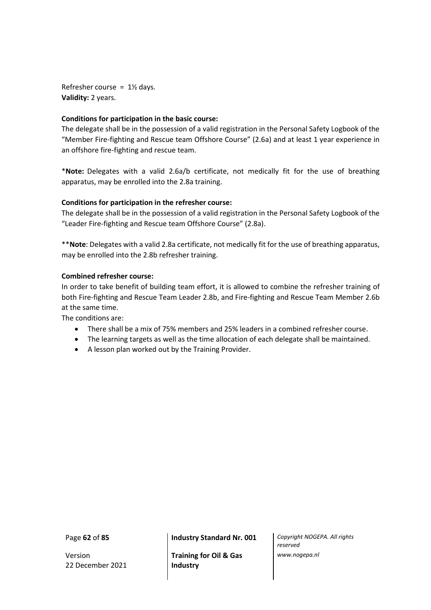Refresher course =  $1\frac{1}{2}$  days. **Validity:** 2 years.

# **Conditions for participation in the basic course:**

The delegate shall be in the possession of a valid registration in the Personal Safety Logbook of the "Member Fire-fighting and Rescue team Offshore Course" (2.6a) and at least 1 year experience in an offshore fire-fighting and rescue team.

\***Note:** Delegates with a valid 2.6a/b certificate, not medically fit for the use of breathing apparatus, may be enrolled into the 2.8a training.

# **Conditions for participation in the refresher course:**

The delegate shall be in the possession of a valid registration in the Personal Safety Logbook of the "Leader Fire-fighting and Rescue team Offshore Course" (2.8a).

\*\***Note**: Delegates with a valid 2.8a certificate, not medically fit for the use of breathing apparatus, may be enrolled into the 2.8b refresher training.

# **Combined refresher course:**

In order to take benefit of building team effort, it is allowed to combine the refresher training of both Fire-fighting and Rescue Team Leader 2.8b, and Fire-fighting and Rescue Team Member 2.6b at the same time.

The conditions are:

- There shall be a mix of 75% members and 25% leaders in a combined refresher course.
- The learning targets as well as the time allocation of each delegate shall be maintained.
- A lesson plan worked out by the Training Provider.

Version 22 December 2021

Page **62** of **85 Industry Standard Nr. 001** *Copyright NOGEPA. All rights* 

**Training for Oil & Gas Industry**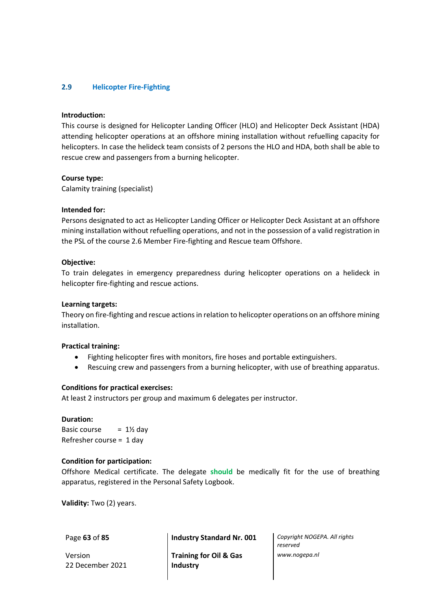# **2.9 Helicopter Fire-Fighting**

#### **Introduction:**

This course is designed for Helicopter Landing Officer (HLO) and Helicopter Deck Assistant (HDA) attending helicopter operations at an offshore mining installation without refuelling capacity for helicopters. In case the helideck team consists of 2 persons the HLO and HDA, both shall be able to rescue crew and passengers from a burning helicopter.

#### **Course type:**

Calamity training (specialist)

#### **Intended for:**

Persons designated to act as Helicopter Landing Officer or Helicopter Deck Assistant at an offshore mining installation without refuelling operations, and not in the possession of a valid registration in the PSL of the course 2.6 Member Fire-fighting and Rescue team Offshore.

#### **Objective:**

To train delegates in emergency preparedness during helicopter operations on a helideck in helicopter fire-fighting and rescue actions.

#### **Learning targets:**

Theory on fire-fighting and rescue actions in relation to helicopter operations on an offshore mining installation.

#### **Practical training:**

- Fighting helicopter fires with monitors, fire hoses and portable extinguishers.
- Rescuing crew and passengers from a burning helicopter, with use of breathing apparatus.

#### **Conditions for practical exercises:**

At least 2 instructors per group and maximum 6 delegates per instructor.

#### **Duration:**

Basic course  $= 1\frac{1}{2}$  day Refresher course = 1 day

#### **Condition for participation:**

Offshore Medical certificate. The delegate **should** be medically fit for the use of breathing apparatus, registered in the Personal Safety Logbook.

**Validity:** Two (2) years.

Version 22 December 2021

Page **63** of **85 Industry Standard Nr. 001** *Copyright NOGEPA. All rights* 

**Training for Oil & Gas Industry**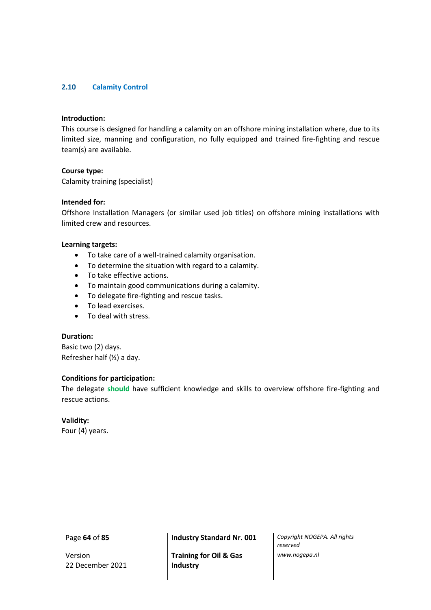# **2.10 Calamity Control**

### **Introduction:**

This course is designed for handling a calamity on an offshore mining installation where, due to its limited size, manning and configuration, no fully equipped and trained fire-fighting and rescue team(s) are available.

#### **Course type:**

Calamity training (specialist)

### **Intended for:**

Offshore Installation Managers (or similar used job titles) on offshore mining installations with limited crew and resources.

#### **Learning targets:**

- To take care of a well-trained calamity organisation.
- To determine the situation with regard to a calamity.
- To take effective actions.
- To maintain good communications during a calamity.
- To delegate fire-fighting and rescue tasks.
- To lead exercises.
- To deal with stress.

# **Duration:**

Basic two (2) days. Refresher half (½) a day.

## **Conditions for participation:**

The delegate **should** have sufficient knowledge and skills to overview offshore fire-fighting and rescue actions.

## **Validity:**

Four (4) years.

Version 22 December 2021

**Training for Oil & Gas Industry**

Page **64** of **85 Industry Standard Nr. 001** *Copyright NOGEPA. All rights reserved www.nogepa.nl*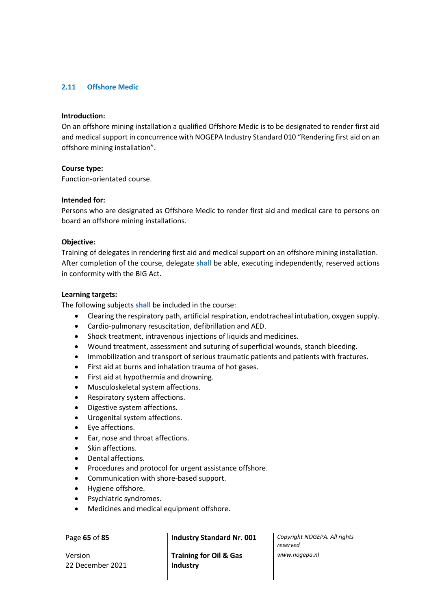# **2.11 Offshore Medic**

### **Introduction:**

On an offshore mining installation a qualified Offshore Medic is to be designated to render first aid and medical support in concurrence with NOGEPA Industry Standard 010 "Rendering first aid on an offshore mining installation".

#### **Course type:**

Function-orientated course.

#### **Intended for:**

Persons who are designated as Offshore Medic to render first aid and medical care to persons on board an offshore mining installations.

## **Objective:**

Training of delegates in rendering first aid and medical support on an offshore mining installation. After completion of the course, delegate **shall** be able, executing independently, reserved actions in conformity with the BIG Act.

#### **Learning targets:**

The following subjects **shall** be included in the course:

- Clearing the respiratory path, artificial respiration, endotracheal intubation, oxygen supply.
- Cardio-pulmonary resuscitation, defibrillation and AED.
- Shock treatment, intravenous injections of liquids and medicines.
- Wound treatment, assessment and suturing of superficial wounds, stanch bleeding.
- Immobilization and transport of serious traumatic patients and patients with fractures.
- First aid at burns and inhalation trauma of hot gases.
- First aid at hypothermia and drowning.
- Musculoskeletal system affections.
- Respiratory system affections.
- Digestive system affections.
- Urogenital system affections.
- Eye affections.
- Ear, nose and throat affections.
- Skin affections.
- Dental affections.
- Procedures and protocol for urgent assistance offshore.
- Communication with shore-based support.
- Hygiene offshore.
- Psychiatric syndromes.
- Medicines and medical equipment offshore.

Version 22 December 2021

**Training for Oil & Gas Industry**

Page **65** of **85 Industry Standard Nr. 001** *Copyright NOGEPA. All rights reserved www.nogepa.nl*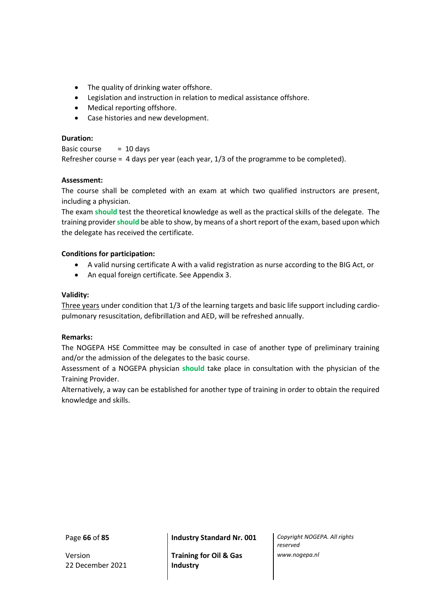- The quality of drinking water offshore.
- Legislation and instruction in relation to medical assistance offshore.
- Medical reporting offshore.
- Case histories and new development.

# **Duration:**

Basic course  $= 10$  days Refresher course = 4 days per year (each year, 1/3 of the programme to be completed).

# **Assessment:**

The course shall be completed with an exam at which two qualified instructors are present, including a physician.

The exam **should** test the theoretical knowledge as well as the practical skills of the delegate. The training provider**should** be able to show, by means of a short report of the exam, based upon which the delegate has received the certificate.

# **Conditions for participation:**

- A valid nursing certificate A with a valid registration as nurse according to the BIG Act, or
- An equal foreign certificate. See Appendix 3.

## **Validity:**

Three years under condition that 1/3 of the learning targets and basic life support including cardiopulmonary resuscitation, defibrillation and AED, will be refreshed annually.

## **Remarks:**

The NOGEPA HSE Committee may be consulted in case of another type of preliminary training and/or the admission of the delegates to the basic course.

Assessment of a NOGEPA physician **should** take place in consultation with the physician of the Training Provider.

Alternatively, a way can be established for another type of training in order to obtain the required knowledge and skills.

Version 22 December 2021

Page **66** of **85 Industry Standard Nr. 001** *Copyright NOGEPA. All rights* 

**Training for Oil & Gas Industry**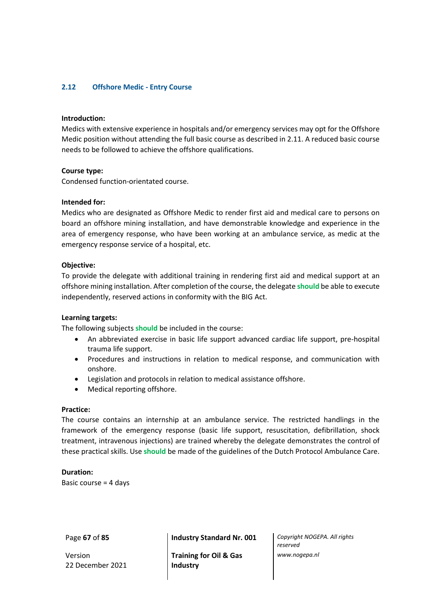# **2.12 Offshore Medic - Entry Course**

#### **Introduction:**

Medics with extensive experience in hospitals and/or emergency services may opt for the Offshore Medic position without attending the full basic course as described in 2.11. A reduced basic course needs to be followed to achieve the offshore qualifications.

#### **Course type:**

Condensed function-orientated course.

### **Intended for:**

Medics who are designated as Offshore Medic to render first aid and medical care to persons on board an offshore mining installation, and have demonstrable knowledge and experience in the area of emergency response, who have been working at an ambulance service, as medic at the emergency response service of a hospital, etc.

#### **Objective:**

To provide the delegate with additional training in rendering first aid and medical support at an offshore mining installation. After completion of the course, the delegate **should** be able to execute independently, reserved actions in conformity with the BIG Act.

#### **Learning targets:**

The following subjects **should** be included in the course:

- An abbreviated exercise in basic life support advanced cardiac life support, pre-hospital trauma life support.
- Procedures and instructions in relation to medical response, and communication with onshore.
- Legislation and protocols in relation to medical assistance offshore.
- Medical reporting offshore.

### **Practice:**

The course contains an internship at an ambulance service. The restricted handlings in the framework of the emergency response (basic life support, resuscitation, defibrillation, shock treatment, intravenous injections) are trained whereby the delegate demonstrates the control of these practical skills. Use **should** be made of the guidelines of the Dutch Protocol Ambulance Care.

## **Duration:**

Basic course = 4 days

Version 22 December 2021

Page **67** of **85 Industry Standard Nr. 001** *Copyright NOGEPA. All rights* 

**Training for Oil & Gas Industry**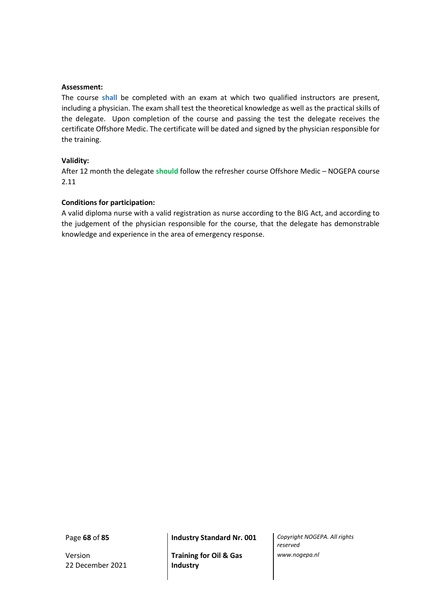#### **Assessment:**

The course **shall** be completed with an exam at which two qualified instructors are present, including a physician. The exam shall test the theoretical knowledge as well as the practical skills of the delegate. Upon completion of the course and passing the test the delegate receives the certificate Offshore Medic. The certificate will be dated and signed by the physician responsible for the training.

#### **Validity:**

After 12 month the delegate **should** follow the refresher course Offshore Medic – NOGEPA course 2.11

## **Conditions for participation:**

A valid diploma nurse with a valid registration as nurse according to the BIG Act, and according to the judgement of the physician responsible for the course, that the delegate has demonstrable knowledge and experience in the area of emergency response.

Version 22 December 2021

**Training for Oil & Gas Industry**

Page **68** of **85 Industry Standard Nr. 001** *Copyright NOGEPA. All rights reserved www.nogepa.nl*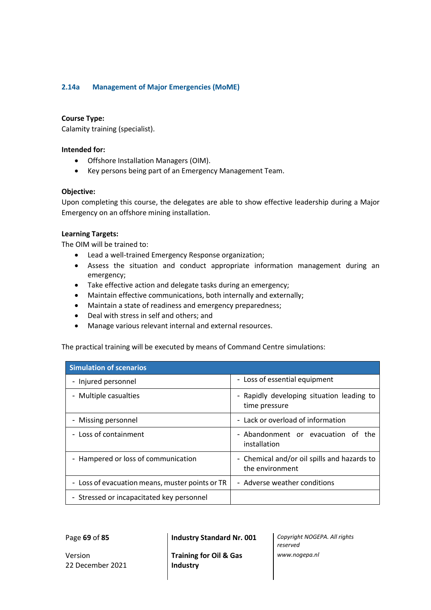# **2.14a Management of Major Emergencies (MoME)**

### **Course Type:**

Calamity training (specialist).

### **Intended for:**

- Offshore Installation Managers (OIM).
- Key persons being part of an Emergency Management Team.

#### **Objective:**

Upon completing this course, the delegates are able to show effective leadership during a Major Emergency on an offshore mining installation.

#### **Learning Targets:**

The OIM will be trained to:

- Lead a well-trained Emergency Response organization;
- Assess the situation and conduct appropriate information management during an emergency;
- Take effective action and delegate tasks during an emergency;
- Maintain effective communications, both internally and externally;
- Maintain a state of readiness and emergency preparedness;
- Deal with stress in self and others; and
- Manage various relevant internal and external resources.

The practical training will be executed by means of Command Centre simulations:

| <b>Simulation of scenarios</b>                  |                                                                |  |
|-------------------------------------------------|----------------------------------------------------------------|--|
| - Injured personnel                             | - Loss of essential equipment                                  |  |
| - Multiple casualties                           | - Rapidly developing situation leading to<br>time pressure     |  |
| - Missing personnel                             | - Lack or overload of information                              |  |
| - Loss of containment                           | - Abandonment or evacuation of the<br>installation             |  |
| - Hampered or loss of communication             | - Chemical and/or oil spills and hazards to<br>the environment |  |
| - Loss of evacuation means, muster points or TR | - Adverse weather conditions                                   |  |
| - Stressed or incapacitated key personnel       |                                                                |  |

Version 22 December 2021

Page **69** of **85 Industry Standard Nr. 001** *Copyright NOGEPA. All rights* 

*reserved www.nogepa.nl*

**Training for Oil & Gas Industry**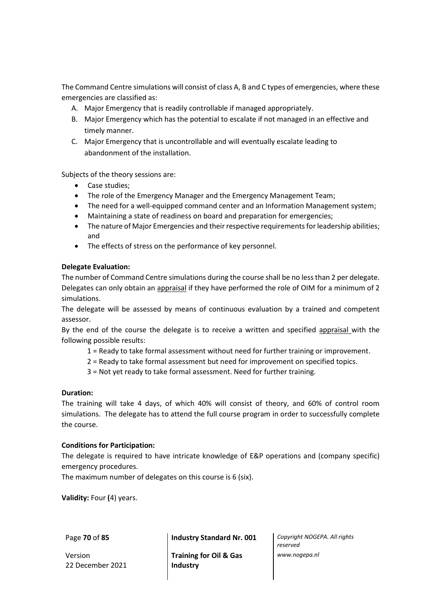The Command Centre simulations will consist of class A, B and C types of emergencies, where these emergencies are classified as:

- A. Major Emergency that is readily controllable if managed appropriately.
- B. Major Emergency which has the potential to escalate if not managed in an effective and timely manner.
- C. Major Emergency that is uncontrollable and will eventually escalate leading to abandonment of the installation.

Subjects of the theory sessions are:

- Case studies;
- The role of the Emergency Manager and the Emergency Management Team;
- The need for a well-equipped command center and an Information Management system;
- Maintaining a state of readiness on board and preparation for emergencies;
- The nature of Major Emergencies and their respective requirements for leadership abilities; and
- The effects of stress on the performance of key personnel.

# **Delegate Evaluation:**

The number of Command Centre simulations during the course shall be no less than 2 per delegate. Delegates can only obtain an appraisal if they have performed the role of OIM for a minimum of 2 simulations.

The delegate will be assessed by means of continuous evaluation by a trained and competent assessor.

By the end of the course the delegate is to receive a written and specified appraisal with the following possible results:

- 1 = Ready to take formal assessment without need for further training or improvement.
- 2 = Ready to take formal assessment but need for improvement on specified topics.
- 3 = Not yet ready to take formal assessment. Need for further training.

# **Duration:**

The training will take 4 days, of which 40% will consist of theory, and 60% of control room simulations. The delegate has to attend the full course program in order to successfully complete the course.

## **Conditions for Participation:**

The delegate is required to have intricate knowledge of E&P operations and (company specific) emergency procedures.

The maximum number of delegates on this course is 6 (six).

**Validity:** Four **(**4) years.

Version 22 December 2021

Page **70** of **85 Industry Standard Nr. 001** *Copyright NOGEPA. All rights* 

**Training for Oil & Gas Industry**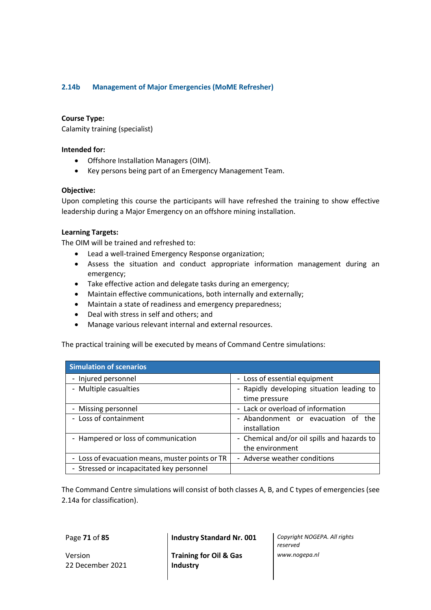# **2.14b Management of Major Emergencies (MoME Refresher)**

## **Course Type:**

Calamity training (specialist)

## **Intended for:**

- Offshore Installation Managers (OIM).
- Key persons being part of an Emergency Management Team.

# **Objective:**

Upon completing this course the participants will have refreshed the training to show effective leadership during a Major Emergency on an offshore mining installation.

# **Learning Targets:**

The OIM will be trained and refreshed to:

- Lead a well-trained Emergency Response organization;
- Assess the situation and conduct appropriate information management during an emergency;
- Take effective action and delegate tasks during an emergency;
- Maintain effective communications, both internally and externally;
- Maintain a state of readiness and emergency preparedness;
- Deal with stress in self and others; and
- Manage various relevant internal and external resources.

The practical training will be executed by means of Command Centre simulations:

| <b>Simulation of scenarios</b>                  |                                             |  |  |
|-------------------------------------------------|---------------------------------------------|--|--|
| - Injured personnel                             | - Loss of essential equipment               |  |  |
| - Multiple casualties                           | - Rapidly developing situation leading to   |  |  |
|                                                 | time pressure                               |  |  |
| - Missing personnel                             | - Lack or overload of information           |  |  |
| - Loss of containment                           | - Abandonment or evacuation of the          |  |  |
|                                                 | installation                                |  |  |
| - Hampered or loss of communication             | - Chemical and/or oil spills and hazards to |  |  |
|                                                 | the environment                             |  |  |
| - Loss of evacuation means, muster points or TR | - Adverse weather conditions                |  |  |
| - Stressed or incapacitated key personnel       |                                             |  |  |

The Command Centre simulations will consist of both classes A, B, and C types of emergencies (see 2.14a for classification).

Version 22 December 2021

**Training for Oil & Gas Industry**

Page **71** of **85 Industry Standard Nr. 001** *Copyright NOGEPA. All rights reserved www.nogepa.nl*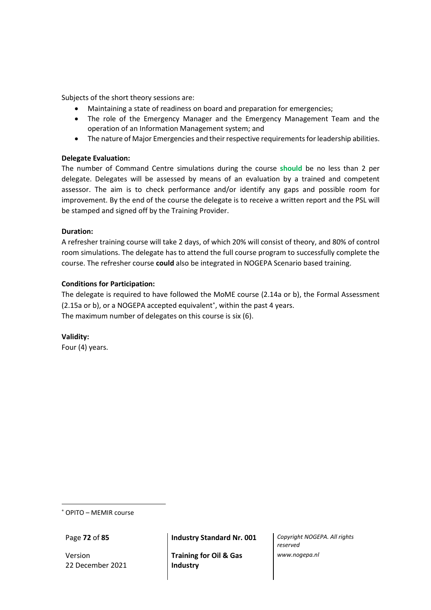Subjects of the short theory sessions are:

- Maintaining a state of readiness on board and preparation for emergencies;
- The role of the Emergency Manager and the Emergency Management Team and the operation of an Information Management system; and
- The nature of Major Emergencies and their respective requirements for leadership abilities.

## **Delegate Evaluation:**

The number of Command Centre simulations during the course **should** be no less than 2 per delegate. Delegates will be assessed by means of an evaluation by a trained and competent assessor. The aim is to check performance and/or identify any gaps and possible room for improvement. By the end of the course the delegate is to receive a written report and the PSL will be stamped and signed off by the Training Provider.

## **Duration:**

A refresher training course will take 2 days, of which 20% will consist of theory, and 80% of control room simulations. The delegate has to attend the full course program to successfully complete the course. The refresher course **could** also be integrated in NOGEPA Scenario based training.

# **Conditions for Participation:**

The delegate is required to have followed the MoME course (2.14a or b), the Formal Assessment (2.15a or b), or a NOGEPA accepted equivalent\*, within the past 4 years. The maximum number of delegates on this course is six (6).

**Validity:** Four (4) years.

OPITO – MEMIR course

Version 22 December 2021

Page **72** of **85 Industry Standard Nr. 001** *Copyright NOGEPA. All rights* 

**Training for Oil & Gas Industry**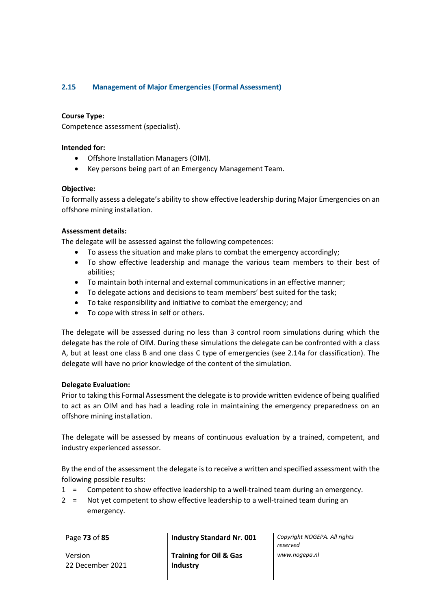# **2.15 Management of Major Emergencies (Formal Assessment)**

# **Course Type:**

Competence assessment (specialist).

## **Intended for:**

- Offshore Installation Managers (OIM).
- Key persons being part of an Emergency Management Team.

# **Objective:**

To formally assess a delegate's ability to show effective leadership during Major Emergencies on an offshore mining installation.

## **Assessment details:**

The delegate will be assessed against the following competences:

- To assess the situation and make plans to combat the emergency accordingly;
- To show effective leadership and manage the various team members to their best of abilities;
- To maintain both internal and external communications in an effective manner;
- To delegate actions and decisions to team members' best suited for the task;
- To take responsibility and initiative to combat the emergency; and
- To cope with stress in self or others.

The delegate will be assessed during no less than 3 control room simulations during which the delegate has the role of OIM. During these simulations the delegate can be confronted with a class A, but at least one class B and one class C type of emergencies (see 2.14a for classification). The delegate will have no prior knowledge of the content of the simulation.

## **Delegate Evaluation:**

Prior to taking this Formal Assessment the delegate is to provide written evidence of being qualified to act as an OIM and has had a leading role in maintaining the emergency preparedness on an offshore mining installation.

The delegate will be assessed by means of continuous evaluation by a trained, competent, and industry experienced assessor.

By the end of the assessment the delegate is to receive a written and specified assessment with the following possible results:

- 1 = Competent to show effective leadership to a well-trained team during an emergency.
- 2 = Not yet competent to show effective leadership to a well-trained team during an emergency.

Version 22 December 2021

Page **73** of **85 Industry Standard Nr. 001** *Copyright NOGEPA. All rights* 

**Training for Oil & Gas Industry**

*reserved www.nogepa.nl*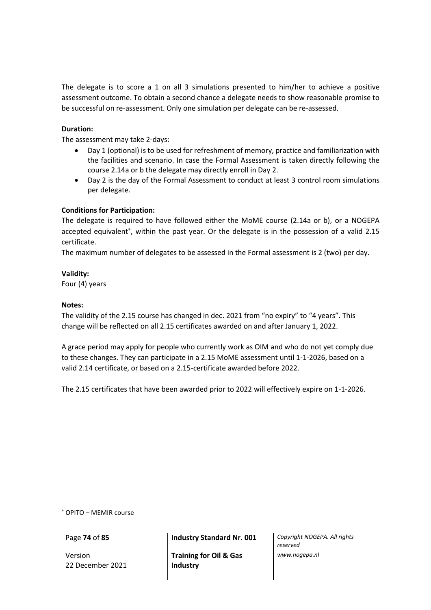The delegate is to score a 1 on all 3 simulations presented to him/her to achieve a positive assessment outcome. To obtain a second chance a delegate needs to show reasonable promise to be successful on re-assessment. Only one simulation per delegate can be re-assessed.

# **Duration:**

The assessment may take 2-days:

- Day 1 (optional) is to be used for refreshment of memory, practice and familiarization with the facilities and scenario. In case the Formal Assessment is taken directly following the course 2.14a or b the delegate may directly enroll in Day 2.
- Day 2 is the day of the Formal Assessment to conduct at least 3 control room simulations per delegate.

# **Conditions for Participation:**

The delegate is required to have followed either the MoME course (2.14a or b), or a NOGEPA accepted equivalent\*, within the past year. Or the delegate is in the possession of a valid 2.15 certificate.

The maximum number of delegates to be assessed in the Formal assessment is 2 (two) per day.

# **Validity:**

Four (4) years

# **Notes:**

The validity of the 2.15 course has changed in dec. 2021 from "no expiry" to "4 years". This change will be reflected on all 2.15 certificates awarded on and after January 1, 2022.

A grace period may apply for people who currently work as OIM and who do not yet comply due to these changes. They can participate in a 2.15 MoME assessment until 1-1-2026, based on a valid 2.14 certificate, or based on a 2.15-certificate awarded before 2022.

The 2.15 certificates that have been awarded prior to 2022 will effectively expire on 1-1-2026.

OPITO – MEMIR course

Version 22 December 2021

Page **74** of **85 Industry Standard Nr. 001** *Copyright NOGEPA. All rights* 

**Training for Oil & Gas Industry**

*reserved www.nogepa.nl*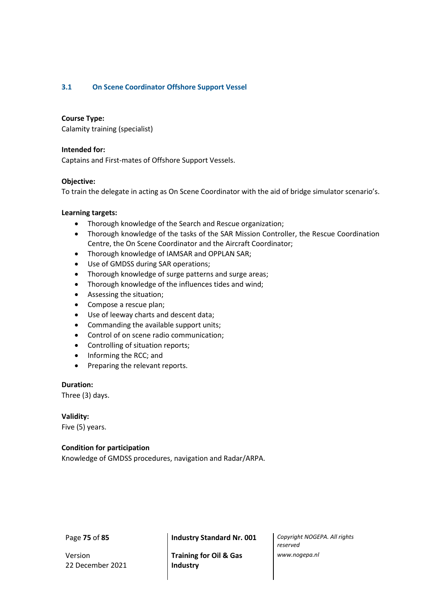# **3.1 On Scene Coordinator Offshore Support Vessel**

## **Course Type:**

Calamity training (specialist)

## **Intended for:**

Captains and First-mates of Offshore Support Vessels.

#### **Objective:**

To train the delegate in acting as On Scene Coordinator with the aid of bridge simulator scenario's.

#### **Learning targets:**

- Thorough knowledge of the Search and Rescue organization;
- Thorough knowledge of the tasks of the SAR Mission Controller, the Rescue Coordination Centre, the On Scene Coordinator and the Aircraft Coordinator;
- Thorough knowledge of IAMSAR and OPPLAN SAR;
- Use of GMDSS during SAR operations;
- Thorough knowledge of surge patterns and surge areas;
- Thorough knowledge of the influences tides and wind;
- Assessing the situation;
- Compose a rescue plan;
- Use of leeway charts and descent data;
- Commanding the available support units;
- Control of on scene radio communication;
- Controlling of situation reports;
- Informing the RCC; and
- Preparing the relevant reports.

# **Duration:**

Three (3) days.

## **Validity:**

Five (5) years.

# **Condition for participation**

Knowledge of GMDSS procedures, navigation and Radar/ARPA.

Version 22 December 2021

**Training for Oil & Gas Industry**

Page **75** of **85 Industry Standard Nr. 001** *Copyright NOGEPA. All rights reserved www.nogepa.nl*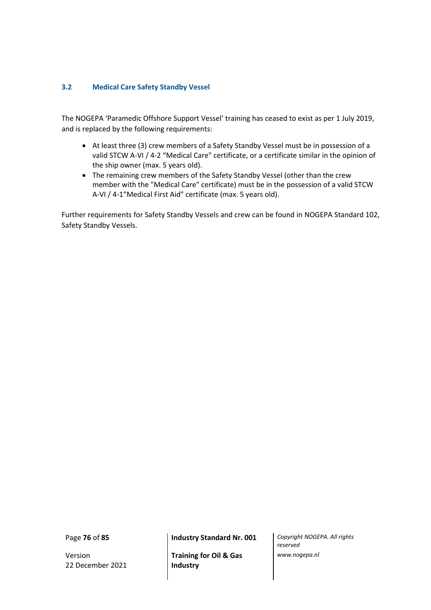# **3.2 Medical Care Safety Standby Vessel**

The NOGEPA 'Paramedic Offshore Support Vessel' training has ceased to exist as per 1 July 2019, and is replaced by the following requirements:

- At least three (3) crew members of a Safety Standby Vessel must be in possession of a valid STCW A-VI / 4-2 "Medical Care" certificate, or a certificate similar in the opinion of the ship owner (max. 5 years old).
- The remaining crew members of the Safety Standby Vessel (other than the crew member with the "Medical Care" certificate) must be in the possession of a valid STCW A-VI / 4-1"Medical First Aid" certificate (max. 5 years old).

Further requirements for Safety Standby Vessels and crew can be found in NOGEPA Standard 102, Safety Standby Vessels.

Version 22 December 2021

**Training for Oil & Gas Industry**

Page **76** of **85 Industry Standard Nr. 001** *Copyright NOGEPA. All rights reserved www.nogepa.nl*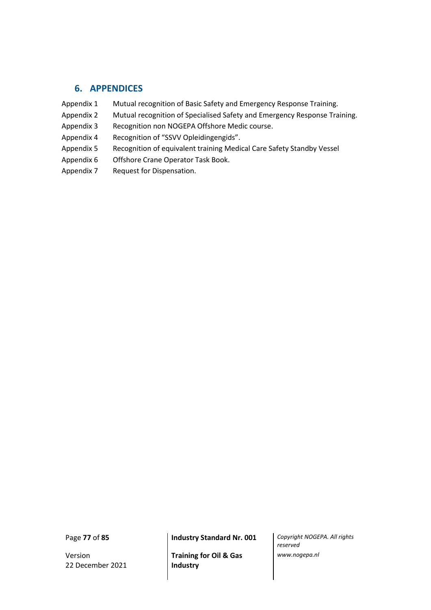# **6. APPENDICES**

- Appendix 1 Mutual recognition of Basic Safety and Emergency Response Training.
- Appendix 2 Mutual recognition of Specialised Safety and Emergency Response Training.
- Appendix 3 Recognition non NOGEPA Offshore Medic course.
- Appendix 4 Recognition of "SSVV Opleidingengids".
- Appendix 5 Recognition of equivalent training Medical Care Safety Standby Vessel
- Appendix 6 Offshore Crane Operator Task Book.
- Appendix 7 Request for Dispensation.

Version 22 December 2021

**Training for Oil & Gas Industry**

Page **77** of **85 Industry Standard Nr. 001** *Copyright NOGEPA. All rights reserved www.nogepa.nl*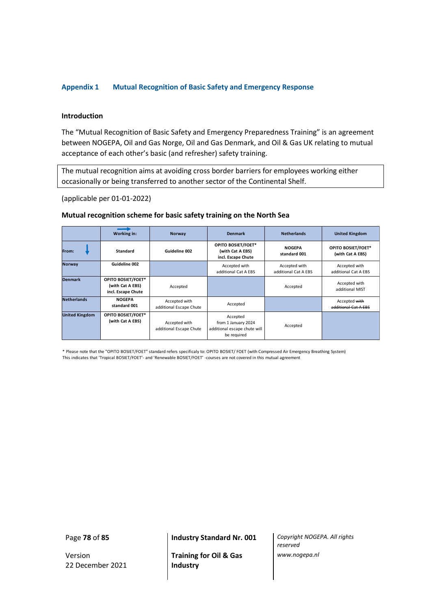#### **Appendix 1 Mutual Recognition of Basic Safety and Emergency Response**

#### **Introduction**

The "Mutual Recognition of Basic Safety and Emergency Preparedness Training" is an agreement between NOGEPA, Oil and Gas Norge, Oil and Gas Denmark, and Oil & Gas UK relating to mutual acceptance of each other's basic (and refresher) safety training.

The mutual recognition aims at avoiding cross border barriers for employees working either occasionally or being transferred to another sector of the Continental Shelf.

(applicable per 01-01-2022)

# **Mutual recognition scheme for basic safety training on the North Sea**

|                       | Working in:                                                  | Norway                                   | <b>Denmark</b>                                                                 | <b>Netherlands</b>                    | <b>United Kingdom</b>                  |
|-----------------------|--------------------------------------------------------------|------------------------------------------|--------------------------------------------------------------------------------|---------------------------------------|----------------------------------------|
| From:                 | Standard                                                     | Guideline 002                            | <b>OPITO BOSIET/FOET*</b><br>(with Cat A EBS)<br>incl. Escape Chute            | <b>NOGEPA</b><br>standard 001         | OPITO BOSIET/FOET*<br>(with Cat A EBS) |
| <b>Norway</b>         | Guideline 002                                                |                                          | Accepted with<br>additional Cat A EBS                                          | Accepted with<br>additional Cat A EBS | Accepted with<br>additional Cat A EBS  |
| <b>Denmark</b>        | OPITO BOSIET/FOET*<br>(with Cat A EBS)<br>incl. Escape Chute | Accepted                                 |                                                                                | Accepted                              | Accepted with<br>additional MIST       |
| <b>Netherlands</b>    | <b>NOGEPA</b><br>standard 001                                | Accepted with<br>additional Escape Chute | Accepted                                                                       |                                       | Accepted with<br>additional Cat A EBS  |
| <b>United Kingdom</b> | OPITO BOSIET/FOET*<br>(with Cat A EBS)                       | Accepted with<br>additional Escape Chute | Accepted<br>from 1 January 2024<br>additional escape chute will<br>be required | Accepted                              |                                        |

\* Please note that the "OPITO BOSIET/FOET" standard refers specificaly to: OPITO BOSIET/ FOET (with Compressed Air Emergency Breathing System) This indicates that 'Tropical BOSIET/FOET'- and 'Renewable BOSIET/FOET' -courses are not covered in this mutual agreement

Version 22 December 2021

**Training for Oil & Gas Industry**

Page **78** of **85 Industry Standard Nr. 001** *Copyright NOGEPA. All rights reserved www.nogepa.nl*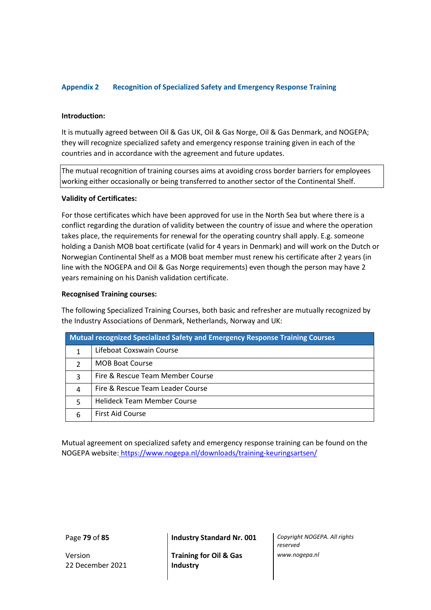# **Appendix 2 Recognition of Specialized Safety and Emergency Response Training**

#### **Introduction:**

It is mutually agreed between Oil & Gas UK, Oil & Gas Norge, Oil & Gas Denmark, and NOGEPA; they will recognize specialized safety and emergency response training given in each of the countries and in accordance with the agreement and future updates.

The mutual recognition of training courses aims at avoiding cross border barriers for employees working either occasionally or being transferred to another sector of the Continental Shelf.

#### **Validity of Certificates:**

For those certificates which have been approved for use in the North Sea but where there is a conflict regarding the duration of validity between the country of issue and where the operation takes place, the requirements for renewal for the operating country shall apply. E.g. someone holding a Danish MOB boat certificate (valid for 4 years in Denmark) and will work on the Dutch or Norwegian Continental Shelf as a MOB boat member must renew his certificate after 2 years (in line with the NOGEPA and Oil & Gas Norge requirements) even though the person may have 2 years remaining on his Danish validation certificate.

#### **Recognised Training courses:**

The following Specialized Training Courses, both basic and refresher are mutually recognized by the Industry Associations of Denmark, Netherlands, Norway and UK:

| <b>Mutual recognized Specialized Safety and Emergency Response Training Courses</b> |                                    |  |  |  |
|-------------------------------------------------------------------------------------|------------------------------------|--|--|--|
|                                                                                     | Lifeboat Coxswain Course           |  |  |  |
| $\mathcal{P}$                                                                       | <b>MOB Boat Course</b>             |  |  |  |
| 3                                                                                   | Fire & Rescue Team Member Course   |  |  |  |
| 4                                                                                   | Fire & Rescue Team Leader Course   |  |  |  |
| 5                                                                                   | <b>Helideck Team Member Course</b> |  |  |  |
|                                                                                     | <b>First Aid Course</b>            |  |  |  |

Mutual agreement on specialized safety and emergency response training can be found on the NOGEPA website: <https://www.nogepa.nl/downloads/training-keuringsartsen/>

Version 22 December 2021

**Training for Oil & Gas Industry**

Page **79** of **85 Industry Standard Nr. 001** *Copyright NOGEPA. All rights reserved www.nogepa.nl*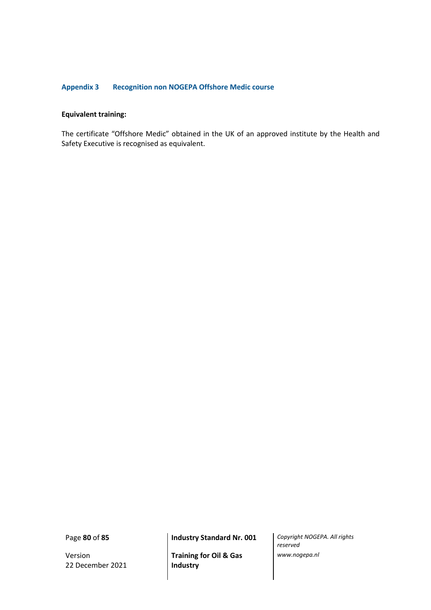# **Appendix 3 Recognition non NOGEPA Offshore Medic course**

#### **Equivalent training:**

The certificate "Offshore Medic" obtained in the UK of an approved institute by the Health and Safety Executive is recognised as equivalent.

Version 22 December 2021

**Training for Oil & Gas Industry**

Page **80** of **85 Industry Standard Nr. 001** *Copyright NOGEPA. All rights reserved www.nogepa.nl*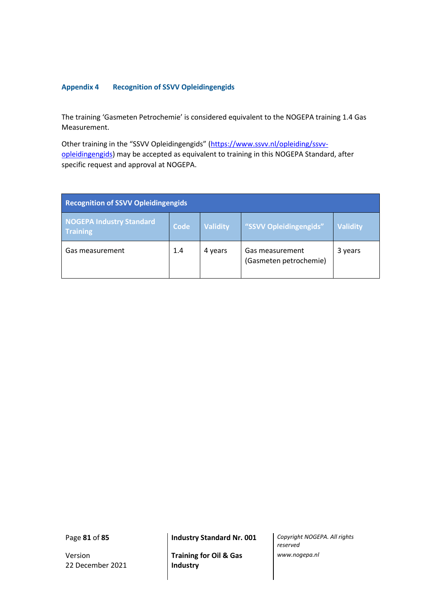# **Appendix 4 Recognition of SSVV Opleidingengids**

The training 'Gasmeten Petrochemie' is considered equivalent to the NOGEPA training 1.4 Gas Measurement.

Other training in the "SSVV Opleidingengids" [\(https://www.ssvv.nl/opleiding/ssvv](https://www.ssvv.nl/opleiding/ssvv-opleidingengids)[opleidingengids\)](https://www.ssvv.nl/opleiding/ssvv-opleidingengids) may be accepted as equivalent to training in this NOGEPA Standard, after specific request and approval at NOGEPA.

| <b>Recognition of SSVV Opleidingengids</b>         |      |                 |                                           |                 |  |  |  |  |
|----------------------------------------------------|------|-----------------|-------------------------------------------|-----------------|--|--|--|--|
| <b>NOGEPA Industry Standard</b><br><b>Training</b> | Code | <b>Validity</b> | "SSVV Opleidingengids"                    | <b>Validity</b> |  |  |  |  |
| Gas measurement                                    | 1.4  | 4 years         | Gas measurement<br>(Gasmeten petrochemie) | 3 years         |  |  |  |  |

Version 22 December 2021

**Training for Oil & Gas Industry**

Page **81** of **85 Industry Standard Nr. 001** *Copyright NOGEPA. All rights reserved www.nogepa.nl*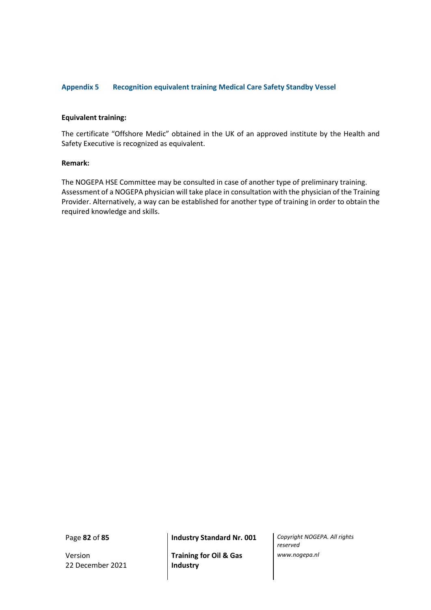## **Appendix 5 Recognition equivalent training Medical Care Safety Standby Vessel**

#### **Equivalent training:**

The certificate "Offshore Medic" obtained in the UK of an approved institute by the Health and Safety Executive is recognized as equivalent.

#### **Remark:**

The NOGEPA HSE Committee may be consulted in case of another type of preliminary training. Assessment of a NOGEPA physician will take place in consultation with the physician of the Training Provider. Alternatively, a way can be established for another type of training in order to obtain the required knowledge and skills.

Version 22 December 2021

**Training for Oil & Gas Industry**

Page **82** of **85 Industry Standard Nr. 001** *Copyright NOGEPA. All rights reserved www.nogepa.nl*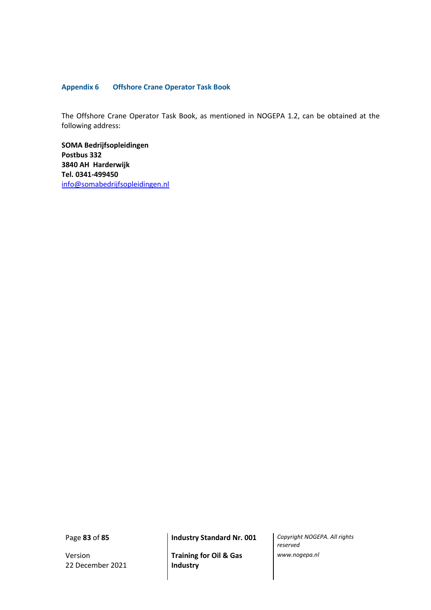## **Appendix 6 Offshore Crane Operator Task Book**

The Offshore Crane Operator Task Book, as mentioned in NOGEPA 1.2, can be obtained at the following address:

**SOMA Bedrijfsopleidingen Postbus 332 3840 AH Harderwijk Tel. 0341-499450** [info@somabedrijfsopleidingen.nl](mailto:info@somabedrijfsopleidingen.nl)

Version 22 December 2021

**Training for Oil & Gas Industry**

Page **83** of **85 Industry Standard Nr. 001** *Copyright NOGEPA. All rights reserved www.nogepa.nl*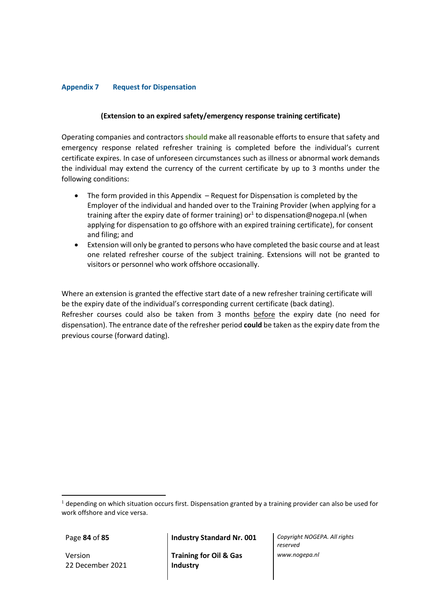# **Appendix 7 Request for Dispensation**

# **(Extension to an expired safety/emergency response training certificate)**

Operating companies and contractors **should** make all reasonable efforts to ensure that safety and emergency response related refresher training is completed before the individual's current certificate expires. In case of unforeseen circumstances such as illness or abnormal work demands the individual may extend the currency of the current certificate by up to 3 months under the following conditions:

- The form provided in this Appendix Request for Dispensation is completed by the Employer of the individual and handed over to the Training Provider (when applying for a training after the expiry date of former training) or<sup>1</sup> to dispensation@nogepa.nl (when applying for dispensation to go offshore with an expired training certificate), for consent and filing; and
- Extension will only be granted to persons who have completed the basic course and at least one related refresher course of the subject training. Extensions will not be granted to visitors or personnel who work offshore occasionally.

Where an extension is granted the effective start date of a new refresher training certificate will be the expiry date of the individual's corresponding current certificate (back dating). Refresher courses could also be taken from 3 months before the expiry date (no need for dispensation). The entrance date of the refresher period **could** be taken as the expiry date from the previous course (forward dating).

Version 22 December 2021

Page **84** of **85 Industry Standard Nr. 001** *Copyright NOGEPA. All rights* 

**Training for Oil & Gas Industry**

*reserved www.nogepa.nl*

 $<sup>1</sup>$  depending on which situation occurs first. Dispensation granted by a training provider can also be used for</sup> work offshore and vice versa.